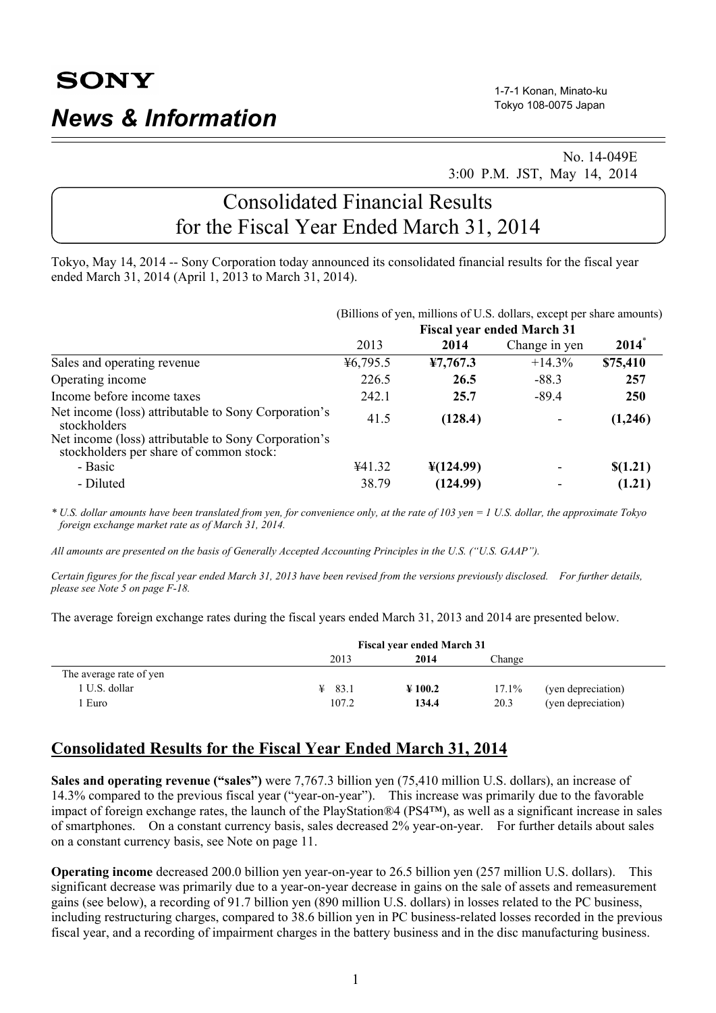## No. 14-049E 3:00 P.M. JST, May 14, 2014

# Consolidated Financial Results for the Fiscal Year Ended March 31, 2014

Tokyo, May 14, 2014 -- Sony Corporation today announced its consolidated financial results for the fiscal year ended March 31, 2014 (April 1, 2013 to March 31, 2014).

|                                                                                                 |                                   |                       | (Billions of yen, millions of U.S. dollars, except per share amounts) |          |  |
|-------------------------------------------------------------------------------------------------|-----------------------------------|-----------------------|-----------------------------------------------------------------------|----------|--|
|                                                                                                 | <b>Fiscal year ended March 31</b> |                       |                                                                       |          |  |
|                                                                                                 | 2013                              | 2014                  | Change in yen                                                         | $2014^*$ |  |
| Sales and operating revenue                                                                     | 46,795.5                          | 47,767.3              | $+14.3%$                                                              | \$75,410 |  |
| Operating income                                                                                | 226.5                             | 26.5                  | $-88.3$                                                               | 257      |  |
| Income before income taxes                                                                      | 242.1                             | 25.7                  | $-89.4$                                                               | 250      |  |
| Net income (loss) attributable to Sony Corporation's<br>stockholders                            | 41.5                              | (128.4)               |                                                                       | (1,246)  |  |
| Net income (loss) attributable to Sony Corporation's<br>stockholders per share of common stock: |                                   |                       |                                                                       |          |  |
| - Basic                                                                                         | 441.32                            | $\frac{1}{2}(124.99)$ |                                                                       | \$(1.21) |  |
| - Diluted                                                                                       | 38.79                             | (124.99)              |                                                                       | (1.21)   |  |

*\* U.S. dollar amounts have been translated from yen, for convenience only, at the rate of 103 yen = 1 U.S. dollar, the approximate Tokyo foreign exchange market rate as of March 31, 2014.* 

*All amounts are presented on the basis of Generally Accepted Accounting Principles in the U.S. ("U.S. GAAP").* 

*Certain figures for the fiscal year ended March 31, 2013 have been revised from the versions previously disclosed. For further details, please see Note 5 on page F-18.* 

The average foreign exchange rates during the fiscal years ended March 31, 2013 and 2014 are presented below.

|                         |                    | <b>Fiscal year ended March 31</b> |        |                    |
|-------------------------|--------------------|-----------------------------------|--------|--------------------|
|                         | 2013               | 2014                              | Change |                    |
| The average rate of yen |                    |                                   |        |                    |
| 1 U.S. dollar           | $\frac{1}{2}$ 83.1 | $*100.2$                          | 17.1%  | (yen depreciation) |
| Euro                    | 107.2              | 134.4                             | 20.3   | (yen depreciation) |

## **Consolidated Results for the Fiscal Year Ended March 31, 2014**

**Sales and operating revenue ("sales")** were 7,767.3 billion yen (75,410 million U.S. dollars), an increase of 14.3% compared to the previous fiscal year ("year-on-year"). This increase was primarily due to the favorable impact of foreign exchange rates, the launch of the PlayStation®4 (PS4™), as well as a significant increase in sales of smartphones. On a constant currency basis, sales decreased 2% year-on-year. For further details about sales on a constant currency basis, see Note on page 11.

**Operating income** decreased 200.0 billion yen year-on-year to 26.5 billion yen (257 million U.S. dollars). This significant decrease was primarily due to a year-on-year decrease in gains on the sale of assets and remeasurement gains (see below), a recording of 91.7 billion yen (890 million U.S. dollars) in losses related to the PC business, including restructuring charges, compared to 38.6 billion yen in PC business-related losses recorded in the previous fiscal year, and a recording of impairment charges in the battery business and in the disc manufacturing business.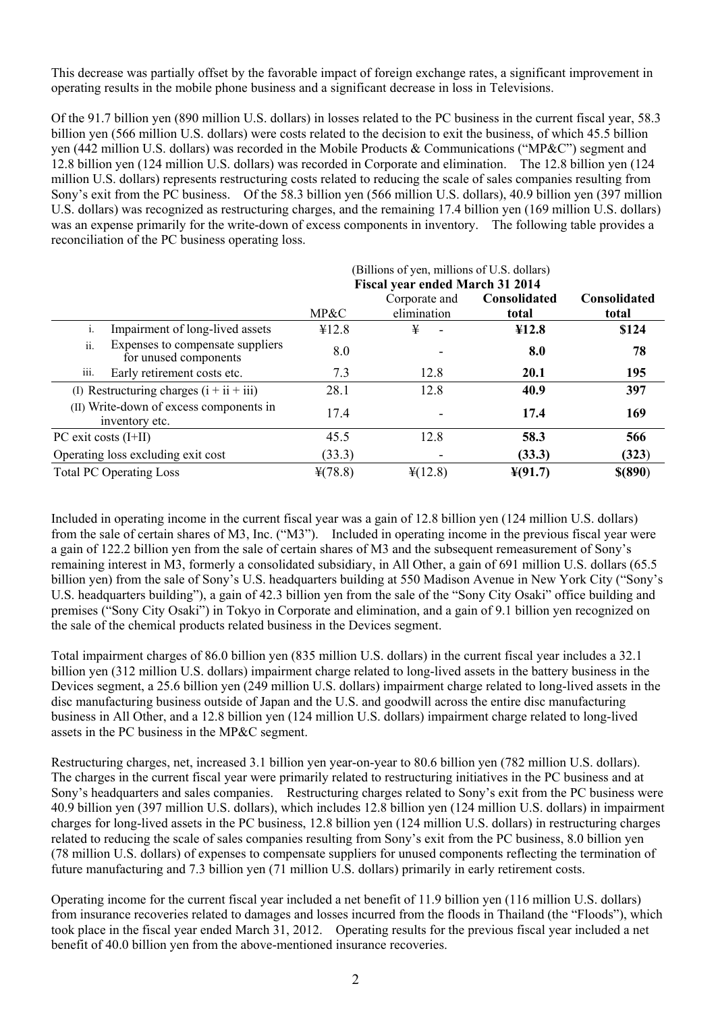This decrease was partially offset by the favorable impact of foreign exchange rates, a significant improvement in operating results in the mobile phone business and a significant decrease in loss in Televisions.

Of the 91.7 billion yen (890 million U.S. dollars) in losses related to the PC business in the current fiscal year, 58.3 billion yen (566 million U.S. dollars) were costs related to the decision to exit the business, of which 45.5 billion yen (442 million U.S. dollars) was recorded in the Mobile Products & Communications ("MP&C") segment and 12.8 billion yen (124 million U.S. dollars) was recorded in Corporate and elimination. The 12.8 billion yen (124 million U.S. dollars) represents restructuring costs related to reducing the scale of sales companies resulting from Sony's exit from the PC business. Of the 58.3 billion yen (566 million U.S. dollars), 40.9 billion yen (397 million U.S. dollars) was recognized as restructuring charges, and the remaining 17.4 billion yen (169 million U.S. dollars) was an expense primarily for the write-down of excess components in inventory. The following table provides a reconciliation of the PC business operating loss.

|                                                                  | (Billions of yen, millions of U.S. dollars) |                                        |                     |                     |  |  |
|------------------------------------------------------------------|---------------------------------------------|----------------------------------------|---------------------|---------------------|--|--|
|                                                                  |                                             | <b>Fiscal year ended March 31 2014</b> |                     |                     |  |  |
|                                                                  |                                             | Corporate and                          | <b>Consolidated</b> | <b>Consolidated</b> |  |  |
|                                                                  | MP&C                                        | elimination                            | total               | total               |  |  |
| Impairment of long-lived assets<br>$\mathbf{1}$ .                | ¥12.8                                       | ¥<br>L,                                | ¥12.8               | \$124               |  |  |
| Expenses to compensate suppliers<br>ii.<br>for unused components | 8.0                                         |                                        | 8.0                 | 78                  |  |  |
| Early retirement costs etc.<br>111.                              | 7.3                                         | 12.8                                   | 20.1                | 195                 |  |  |
| (I) Restructuring charges $(i + ii + iii)$                       | 28.1                                        | 12.8                                   | 40.9                | 397                 |  |  |
| (II) Write-down of excess components in<br>inventory etc.        | 17.4                                        |                                        | 17.4                | 169                 |  |  |
| $PC$ exit costs $(I+II)$                                         | 45.5                                        | 12.8                                   | 58.3                | 566                 |  |  |
| Operating loss excluding exit cost                               | (33.3)                                      |                                        | (33.3)              | (323)               |  |  |
| <b>Total PC Operating Loss</b>                                   | $\frac{1}{2}(78.8)$                         | $\frac{1}{2}(12.8)$                    | $\frac{1}{2}(91.7)$ | \$(890)             |  |  |

Included in operating income in the current fiscal year was a gain of 12.8 billion yen (124 million U.S. dollars) from the sale of certain shares of M3, Inc. ("M3"). Included in operating income in the previous fiscal year were a gain of 122.2 billion yen from the sale of certain shares of M3 and the subsequent remeasurement of Sony's remaining interest in M3, formerly a consolidated subsidiary, in All Other, a gain of 691 million U.S. dollars (65.5 billion yen) from the sale of Sony's U.S. headquarters building at 550 Madison Avenue in New York City ("Sony's U.S. headquarters building"), a gain of 42.3 billion yen from the sale of the "Sony City Osaki" office building and premises ("Sony City Osaki") in Tokyo in Corporate and elimination, and a gain of 9.1 billion yen recognized on the sale of the chemical products related business in the Devices segment.

Total impairment charges of 86.0 billion yen (835 million U.S. dollars) in the current fiscal year includes a 32.1 billion yen (312 million U.S. dollars) impairment charge related to long-lived assets in the battery business in the Devices segment, a 25.6 billion yen (249 million U.S. dollars) impairment charge related to long-lived assets in the disc manufacturing business outside of Japan and the U.S. and goodwill across the entire disc manufacturing business in All Other, and a 12.8 billion yen (124 million U.S. dollars) impairment charge related to long-lived assets in the PC business in the MP&C segment.

Restructuring charges, net, increased 3.1 billion yen year-on-year to 80.6 billion yen (782 million U.S. dollars). The charges in the current fiscal year were primarily related to restructuring initiatives in the PC business and at Sony's headquarters and sales companies. Restructuring charges related to Sony's exit from the PC business were 40.9 billion yen (397 million U.S. dollars), which includes 12.8 billion yen (124 million U.S. dollars) in impairment charges for long-lived assets in the PC business, 12.8 billion yen (124 million U.S. dollars) in restructuring charges related to reducing the scale of sales companies resulting from Sony's exit from the PC business, 8.0 billion yen (78 million U.S. dollars) of expenses to compensate suppliers for unused components reflecting the termination of future manufacturing and 7.3 billion yen (71 million U.S. dollars) primarily in early retirement costs.

Operating income for the current fiscal year included a net benefit of 11.9 billion yen (116 million U.S. dollars) from insurance recoveries related to damages and losses incurred from the floods in Thailand (the "Floods"), which took place in the fiscal year ended March 31, 2012. Operating results for the previous fiscal year included a net benefit of 40.0 billion yen from the above-mentioned insurance recoveries.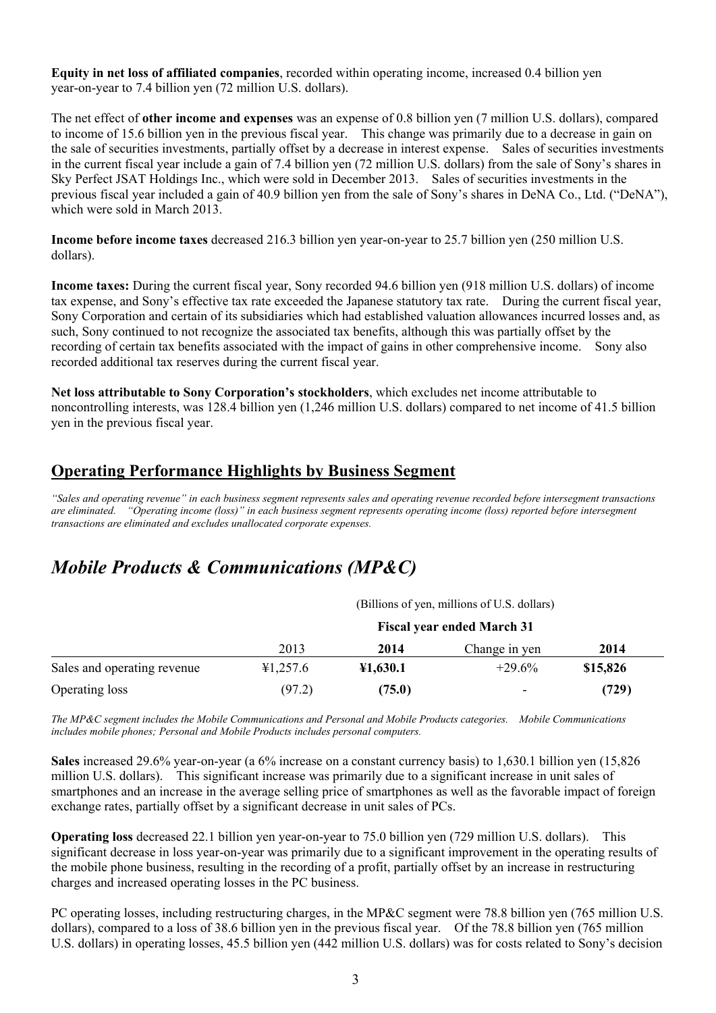**Equity in net loss of affiliated companies**, recorded within operating income, increased 0.4 billion yen year-on-year to 7.4 billion yen (72 million U.S. dollars).

The net effect of **other income and expenses** was an expense of 0.8 billion yen (7 million U.S. dollars), compared to income of 15.6 billion yen in the previous fiscal year. This change was primarily due to a decrease in gain on the sale of securities investments, partially offset by a decrease in interest expense. Sales of securities investments in the current fiscal year include a gain of 7.4 billion yen (72 million U.S. dollars) from the sale of Sony's shares in Sky Perfect JSAT Holdings Inc., which were sold in December 2013. Sales of securities investments in the previous fiscal year included a gain of 40.9 billion yen from the sale of Sony's shares in DeNA Co., Ltd. ("DeNA"), which were sold in March 2013.

**Income before income taxes** decreased 216.3 billion yen year-on-year to 25.7 billion yen (250 million U.S. dollars).

**Income taxes:** During the current fiscal year, Sony recorded 94.6 billion yen (918 million U.S. dollars) of income tax expense, and Sony's effective tax rate exceeded the Japanese statutory tax rate. During the current fiscal year, Sony Corporation and certain of its subsidiaries which had established valuation allowances incurred losses and, as such, Sony continued to not recognize the associated tax benefits, although this was partially offset by the recording of certain tax benefits associated with the impact of gains in other comprehensive income. Sony also recorded additional tax reserves during the current fiscal year.

**Net loss attributable to Sony Corporation's stockholders**, which excludes net income attributable to noncontrolling interests, was 128.4 billion yen (1,246 million U.S. dollars) compared to net income of 41.5 billion yen in the previous fiscal year.

## **Operating Performance Highlights by Business Segment**

*"Sales and operating revenue" in each business segment represents sales and operating revenue recorded before intersegment transactions are eliminated. "Operating income (loss)" in each business segment represents operating income (loss) reported before intersegment transactions are eliminated and excludes unallocated corporate expenses.* 

# *Mobile Products & Communications (MP&C)*

(Billions of yen, millions of U.S. dollars)

|                             | <b>Fiscal year ended March 31</b> |          |               |          |
|-----------------------------|-----------------------------------|----------|---------------|----------|
|                             | 2013                              | 2014     | Change in yen | 2014     |
| Sales and operating revenue | 41,257.6                          | 41,630.1 | $+29.6%$      | \$15,826 |
| Operating loss              | (97.2)                            | (75.0)   | -             | (729)    |

*The MP&C segment includes the Mobile Communications and Personal and Mobile Products categories. Mobile Communications includes mobile phones; Personal and Mobile Products includes personal computers.* 

**Sales** increased 29.6% year-on-year (a 6% increase on a constant currency basis) to 1,630.1 billion yen (15,826 million U.S. dollars). This significant increase was primarily due to a significant increase in unit sales of smartphones and an increase in the average selling price of smartphones as well as the favorable impact of foreign exchange rates, partially offset by a significant decrease in unit sales of PCs.

**Operating loss** decreased 22.1 billion yen year-on-year to 75.0 billion yen (729 million U.S. dollars). This significant decrease in loss year-on-year was primarily due to a significant improvement in the operating results of the mobile phone business, resulting in the recording of a profit, partially offset by an increase in restructuring charges and increased operating losses in the PC business.

PC operating losses, including restructuring charges, in the MP&C segment were 78.8 billion yen (765 million U.S. dollars), compared to a loss of 38.6 billion yen in the previous fiscal year. Of the 78.8 billion yen (765 million U.S. dollars) in operating losses, 45.5 billion yen (442 million U.S. dollars) was for costs related to Sony's decision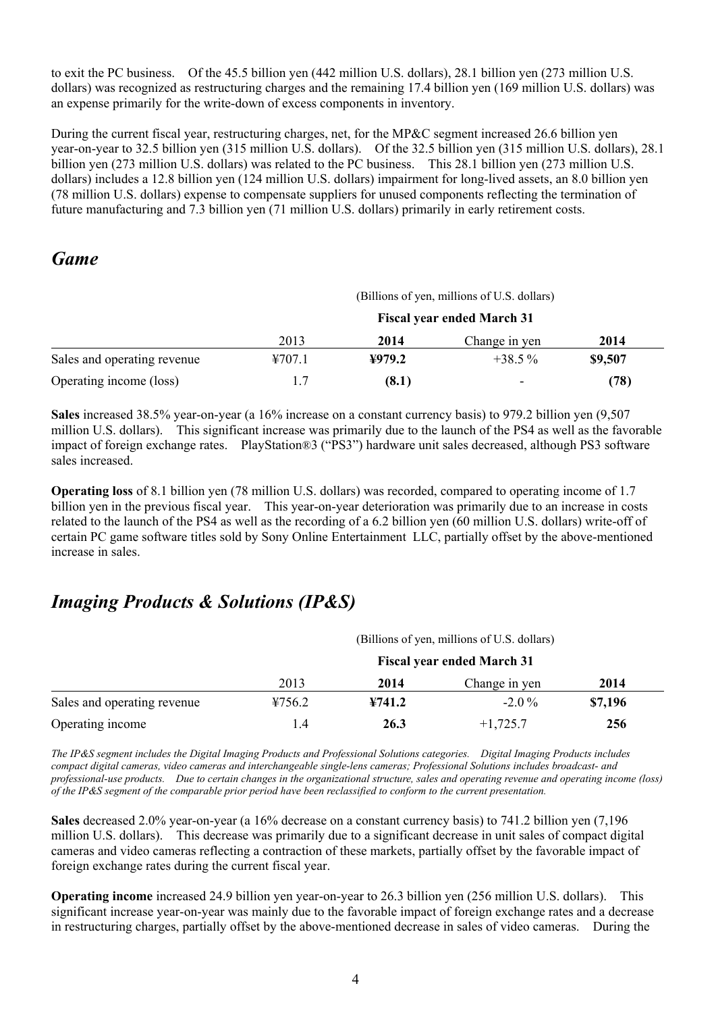to exit the PC business. Of the 45.5 billion yen (442 million U.S. dollars), 28.1 billion yen (273 million U.S. dollars) was recognized as restructuring charges and the remaining 17.4 billion yen (169 million U.S. dollars) was an expense primarily for the write-down of excess components in inventory.

During the current fiscal year, restructuring charges, net, for the MP&C segment increased 26.6 billion yen year-on-year to 32.5 billion yen (315 million U.S. dollars). Of the 32.5 billion yen (315 million U.S. dollars), 28.1 billion yen (273 million U.S. dollars) was related to the PC business. This 28.1 billion yen (273 million U.S. dollars) includes a 12.8 billion yen (124 million U.S. dollars) impairment for long-lived assets, an 8.0 billion yen (78 million U.S. dollars) expense to compensate suppliers for unused components reflecting the termination of future manufacturing and 7.3 billion yen (71 million U.S. dollars) primarily in early retirement costs.

# *Game*

|                             |        |        | (Billions of yen, millions of U.S. dollars) |         |
|-----------------------------|--------|--------|---------------------------------------------|---------|
|                             |        |        | <b>Fiscal year ended March 31</b>           |         |
|                             | 2013   | 2014   | Change in yen                               | 2014    |
| Sales and operating revenue | ¥707.1 | ¥979.2 | $+38.5\%$                                   | \$9,507 |
| Operating income (loss)     | 1.7    | (8.1)  | $\overline{\phantom{0}}$                    | 78)     |

**Sales** increased 38.5% year-on-year (a 16% increase on a constant currency basis) to 979.2 billion yen (9,507 million U.S. dollars). This significant increase was primarily due to the launch of the PS4 as well as the favorable impact of foreign exchange rates. PlayStation®3 ("PS3") hardware unit sales decreased, although PS3 software sales increased.

**Operating loss** of 8.1 billion yen (78 million U.S. dollars) was recorded, compared to operating income of 1.7 billion yen in the previous fiscal year. This year-on-year deterioration was primarily due to an increase in costs related to the launch of the PS4 as well as the recording of a 6.2 billion yen (60 million U.S. dollars) write-off of certain PC game software titles sold by Sony Online Entertainment LLC, partially offset by the above-mentioned increase in sales.

# *Imaging Products & Solutions (IP&S)*

|                             |                                   |        | (Billions of yen, millions of U.S. dollars) |         |  |
|-----------------------------|-----------------------------------|--------|---------------------------------------------|---------|--|
|                             | <b>Fiscal year ended March 31</b> |        |                                             |         |  |
|                             | 2013                              | 2014   | Change in yen                               | 2014    |  |
| Sales and operating revenue | ¥756.2                            | 4741.2 | $-2.0\%$                                    | \$7,196 |  |
| Operating income            | 1.4                               | 26.3   | $+1,725.7$                                  | 256     |  |

*The IP&S segment includes the Digital Imaging Products and Professional Solutions categories. Digital Imaging Products includes compact digital cameras, video cameras and interchangeable single-lens cameras; Professional Solutions includes broadcast- and professional-use products. Due to certain changes in the organizational structure, sales and operating revenue and operating income (loss) of the IP&S segment of the comparable prior period have been reclassified to conform to the current presentation.* 

**Sales** decreased 2.0% year-on-year (a 16% decrease on a constant currency basis) to 741.2 billion yen (7,196 million U.S. dollars). This decrease was primarily due to a significant decrease in unit sales of compact digital cameras and video cameras reflecting a contraction of these markets, partially offset by the favorable impact of foreign exchange rates during the current fiscal year.

**Operating income** increased 24.9 billion yen year-on-year to 26.3 billion yen (256 million U.S. dollars). This significant increase year-on-year was mainly due to the favorable impact of foreign exchange rates and a decrease in restructuring charges, partially offset by the above-mentioned decrease in sales of video cameras. During the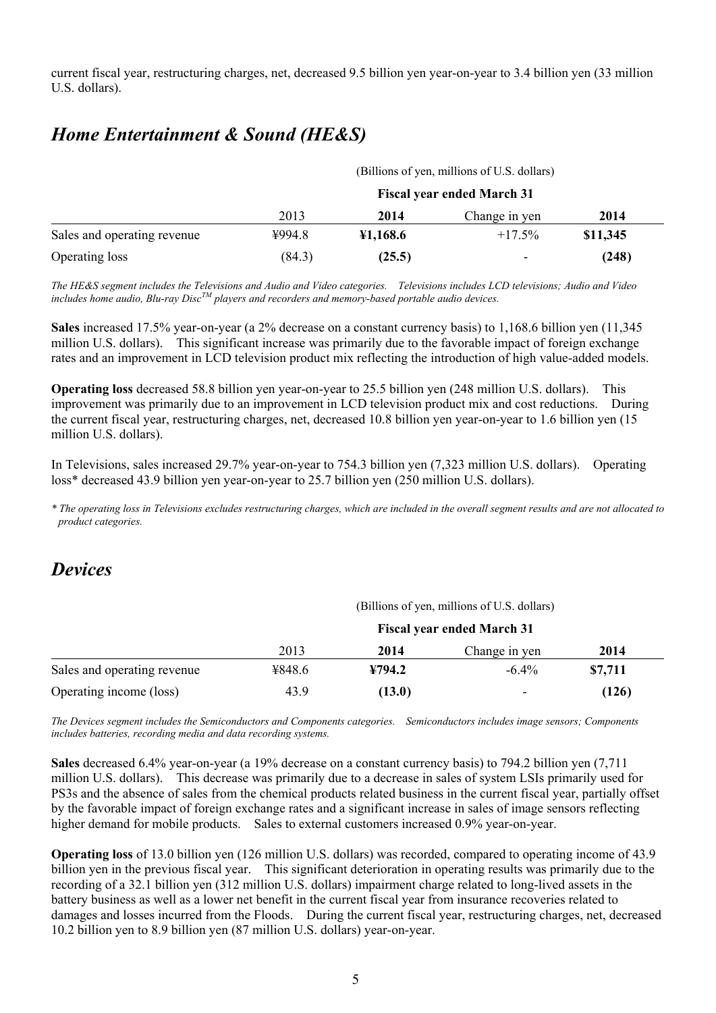current fiscal year, restructuring charges, net, decreased 9.5 billion yen year-on-year to 3.4 billion yen (33 million U.S. dollars).

# *Home Entertainment & Sound (HE&S)*

|                             | (BITHOUS OF YOU, MITHOUS OF U.S. GOTTALLY)<br><b>Fiscal year ended March 31</b> |          |                          |          |  |  |
|-----------------------------|---------------------------------------------------------------------------------|----------|--------------------------|----------|--|--|
|                             |                                                                                 |          |                          |          |  |  |
|                             | 2013                                                                            | 2014     | Change in yen            | 2014     |  |  |
| Sales and operating revenue | ¥994.8                                                                          | 41,168.6 | $+17.5\%$                | \$11,345 |  |  |
| Operating loss              | (84.3)                                                                          | (25.5)   | $\overline{\phantom{0}}$ | (248)    |  |  |

*The HE&S segment includes the Televisions and Audio and Video categories. Televisions includes LCD televisions; Audio and Video includes home audio, Blu-ray DiscTM players and recorders and memory-based portable audio devices.* 

**Sales** increased 17.5% year-on-year (a 2% decrease on a constant currency basis) to 1,168.6 billion yen (11,345 million U.S. dollars). This significant increase was primarily due to the favorable impact of foreign exchange rates and an improvement in LCD television product mix reflecting the introduction of high value-added models.

**Operating loss** decreased 58.8 billion yen year-on-year to 25.5 billion yen (248 million U.S. dollars). This improvement was primarily due to an improvement in LCD television product mix and cost reductions. During the current fiscal year, restructuring charges, net, decreased 10.8 billion yen year-on-year to 1.6 billion yen (15 million U.S. dollars).

In Televisions, sales increased 29.7% year-on-year to 754.3 billion yen (7,323 million U.S. dollars). Operating loss\* decreased 43.9 billion yen year-on-year to 25.7 billion yen (250 million U.S. dollars).

*\* The operating loss in Televisions excludes restructuring charges, which are included in the overall segment results and are not allocated to product categories.*

# *Devices*

(Billions of yen, millions of U.S. dollars)

 $(D111)$   $D_1$  of  $D_2$  and millions of U.S. dollars)

|                             | <b>Fiscal year ended March 31</b> |        |                          |         |
|-----------------------------|-----------------------------------|--------|--------------------------|---------|
|                             | 2013                              | 2014   | Change in yen            | 2014    |
| Sales and operating revenue | ¥848.6                            | 4794.2 | $-6.4\%$                 | \$7,711 |
| Operating income (loss)     | 43.9                              | (13.0) | $\overline{\phantom{0}}$ | (126)   |

*The Devices segment includes the Semiconductors and Components categories. Semiconductors includes image sensors; Components includes batteries, recording media and data recording systems.* 

**Sales** decreased 6.4% year-on-year (a 19% decrease on a constant currency basis) to 794.2 billion yen (7,711 million U.S. dollars). This decrease was primarily due to a decrease in sales of system LSIs primarily used for PS3s and the absence of sales from the chemical products related business in the current fiscal year, partially offset by the favorable impact of foreign exchange rates and a significant increase in sales of image sensors reflecting higher demand for mobile products. Sales to external customers increased 0.9% year-on-year.

**Operating loss** of 13.0 billion yen (126 million U.S. dollars) was recorded, compared to operating income of 43.9 billion yen in the previous fiscal year. This significant deterioration in operating results was primarily due to the recording of a 32.1 billion yen (312 million U.S. dollars) impairment charge related to long-lived assets in the battery business as well as a lower net benefit in the current fiscal year from insurance recoveries related to damages and losses incurred from the Floods. During the current fiscal year, restructuring charges, net, decreased 10.2 billion yen to 8.9 billion yen (87 million U.S. dollars) year-on-year.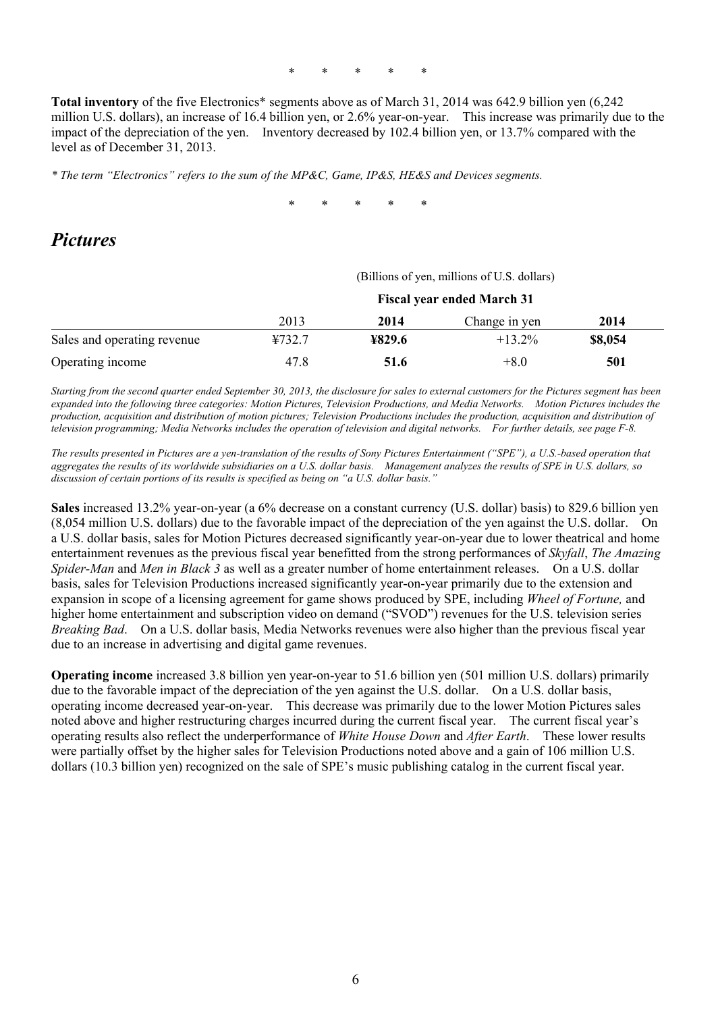\* \* \* \* \*

**Total inventory** of the five Electronics\* segments above as of March 31, 2014 was 642.9 billion yen (6,242 million U.S. dollars), an increase of 16.4 billion yen, or 2.6% year-on-year. This increase was primarily due to the impact of the depreciation of the yen. Inventory decreased by 102.4 billion yen, or 13.7% compared with the level as of December 31, 2013.

*\* The term "Electronics" refers to the sum of the MP&C, Game, IP&S, HE&S and Devices segments.*

\* \* \* \* \*

# *Pictures*

(Billions of yen, millions of U.S. dollars)

|                             | <b>Fiscal year ended March 31</b> |        |               |         |
|-----------------------------|-----------------------------------|--------|---------------|---------|
|                             | 2013                              | 2014   | Change in yen | 2014    |
| Sales and operating revenue | ¥732.7                            | ¥829.6 | $+13.2\%$     | \$8,054 |
| Operating income            | 47 8                              | 51.6   | $+8.0$        | 501     |

*Starting from the second quarter ended September 30, 2013, the disclosure for sales to external customers for the Pictures segment has been expanded into the following three categories: Motion Pictures, Television Productions, and Media Networks. Motion Pictures includes the production, acquisition and distribution of motion pictures: Television Productions includes the production, acquisition and distribution of television programming; Media Networks includes the operation of television and digital networks. For further details, see page F-8.* 

*The results presented in Pictures are a yen-translation of the results of Sony Pictures Entertainment ("SPE"), a U.S.-based operation that aggregates the results of its worldwide subsidiaries on a U.S. dollar basis. Management analyzes the results of SPE in U.S. dollars, so discussion of certain portions of its results is specified as being on "a U.S. dollar basis."* 

**Sales** increased 13.2% year-on-year (a 6% decrease on a constant currency (U.S. dollar) basis) to 829.6 billion yen (8,054 million U.S. dollars) due to the favorable impact of the depreciation of the yen against the U.S. dollar. On a U.S. dollar basis, sales for Motion Pictures decreased significantly year-on-year due to lower theatrical and home entertainment revenues as the previous fiscal year benefitted from the strong performances of *Skyfall*, *The Amazing Spider-Man* and *Men in Black 3* as well as a greater number of home entertainment releases. On a U.S. dollar basis, sales for Television Productions increased significantly year-on-year primarily due to the extension and expansion in scope of a licensing agreement for game shows produced by SPE, including *Wheel of Fortune,* and higher home entertainment and subscription video on demand ("SVOD") revenues for the U.S. television series *Breaking Bad*. On a U.S. dollar basis, Media Networks revenues were also higher than the previous fiscal year due to an increase in advertising and digital game revenues.

**Operating income** increased 3.8 billion yen year-on-year to 51.6 billion yen (501 million U.S. dollars) primarily due to the favorable impact of the depreciation of the yen against the U.S. dollar. On a U.S. dollar basis, operating income decreased year-on-year. This decrease was primarily due to the lower Motion Pictures sales noted above and higher restructuring charges incurred during the current fiscal year. The current fiscal year's operating results also reflect the underperformance of *White House Down* and *After Earth*. These lower results were partially offset by the higher sales for Television Productions noted above and a gain of 106 million U.S. dollars (10.3 billion yen) recognized on the sale of SPE's music publishing catalog in the current fiscal year.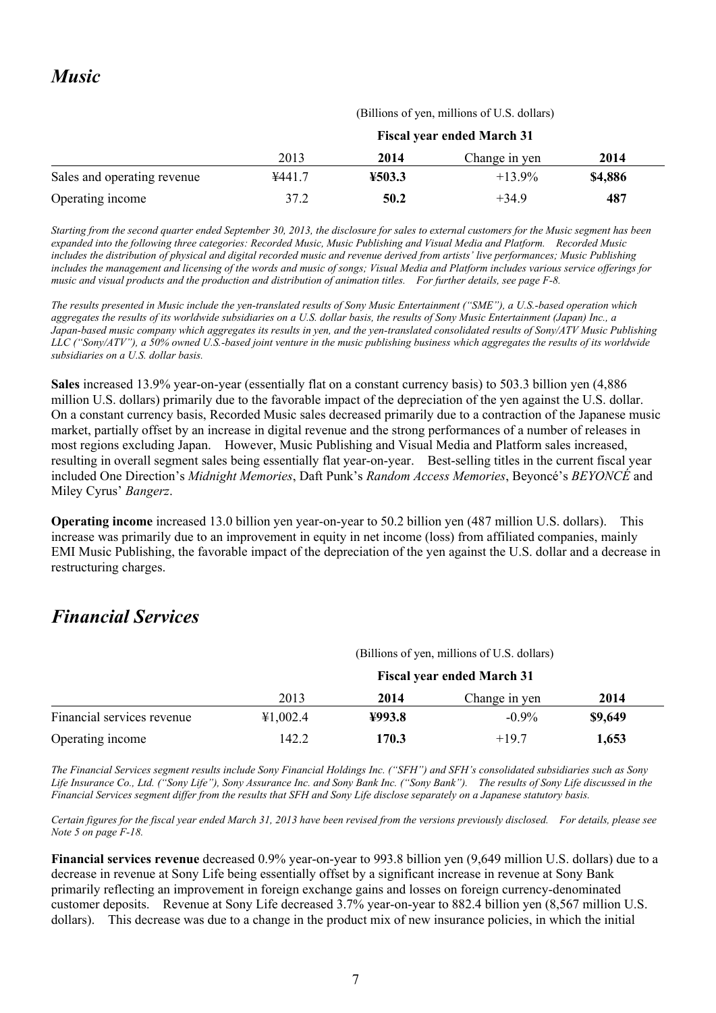# *Music*

(Billions of yen, millions of U.S. dollars)

|                             | <b>Fiscal year ended March 31</b> |        |               |         |
|-----------------------------|-----------------------------------|--------|---------------|---------|
|                             | 2013                              | 2014   | Change in yen | 2014    |
| Sales and operating revenue | ¥441.7                            | 4503.3 | $+13.9\%$     | \$4,886 |
| Operating income            | 37.2                              | 50.2   | $+349$        | 487     |

*Starting from the second quarter ended September 30, 2013, the disclosure for sales to external customers for the Music segment has been expanded into the following three categories: Recorded Music, Music Publishing and Visual Media and Platform. Recorded Music includes the distribution of physical and digital recorded music and revenue derived from artists' live performances; Music Publishing includes the management and licensing of the words and music of songs; Visual Media and Platform includes various service offerings for music and visual products and the production and distribution of animation titles. For further details, see page F-8.* 

*The results presented in Music include the yen-translated results of Sony Music Entertainment ("SME"), a U.S.-based operation which aggregates the results of its worldwide subsidiaries on a U.S. dollar basis, the results of Sony Music Entertainment (Japan) Inc., a Japan-based music company which aggregates its results in yen, and the yen-translated consolidated results of Sony/ATV Music Publishing LLC ("Sony/ATV"), a 50% owned U.S.-based joint venture in the music publishing business which aggregates the results of its worldwide subsidiaries on a U.S. dollar basis.* 

**Sales** increased 13.9% year-on-year (essentially flat on a constant currency basis) to 503.3 billion yen (4,886 million U.S. dollars) primarily due to the favorable impact of the depreciation of the yen against the U.S. dollar. On a constant currency basis, Recorded Music sales decreased primarily due to a contraction of the Japanese music market, partially offset by an increase in digital revenue and the strong performances of a number of releases in most regions excluding Japan. However, Music Publishing and Visual Media and Platform sales increased, resulting in overall segment sales being essentially flat year-on-year. Best-selling titles in the current fiscal year included One Direction's *Midnight Memories*, Daft Punk's *Random Access Memories*, Beyoncé's *BEYONCÉ* and Miley Cyrus' *Bangerz*.

**Operating income** increased 13.0 billion yen year-on-year to 50.2 billion yen (487 million U.S. dollars). This increase was primarily due to an improvement in equity in net income (loss) from affiliated companies, mainly EMI Music Publishing, the favorable impact of the depreciation of the yen against the U.S. dollar and a decrease in restructuring charges.

# *Financial Services*

|                            |          |        | (Billions of yen, millions of U.S. dollars) |         |  |
|----------------------------|----------|--------|---------------------------------------------|---------|--|
|                            |          |        | <b>Fiscal year ended March 31</b>           |         |  |
|                            | 2013     | 2014   | Change in yen                               | 2014    |  |
| Financial services revenue | 41,002.4 | ¥993.8 | $-0.9\%$                                    | \$9,649 |  |
| Operating income           | 142.2    | 170.3  | $+197$                                      | 1,653   |  |

*The Financial Services segment results include Sony Financial Holdings Inc. ("SFH") and SFH's consolidated subsidiaries such as Sony Life Insurance Co., Ltd. ("Sony Life"), Sony Assurance Inc. and Sony Bank Inc. ("Sony Bank"). The results of Sony Life discussed in the Financial Services segment differ from the results that SFH and Sony Life disclose separately on a Japanese statutory basis.* 

*Certain figures for the fiscal year ended March 31, 2013 have been revised from the versions previously disclosed. For details, please see Note 5 on page F-18.* 

**Financial services revenue** decreased 0.9% year-on-year to 993.8 billion yen (9,649 million U.S. dollars) due to a decrease in revenue at Sony Life being essentially offset by a significant increase in revenue at Sony Bank primarily reflecting an improvement in foreign exchange gains and losses on foreign currency-denominated customer deposits. Revenue at Sony Life decreased 3.7% year-on-year to 882.4 billion yen (8,567 million U.S. dollars). This decrease was due to a change in the product mix of new insurance policies, in which the initial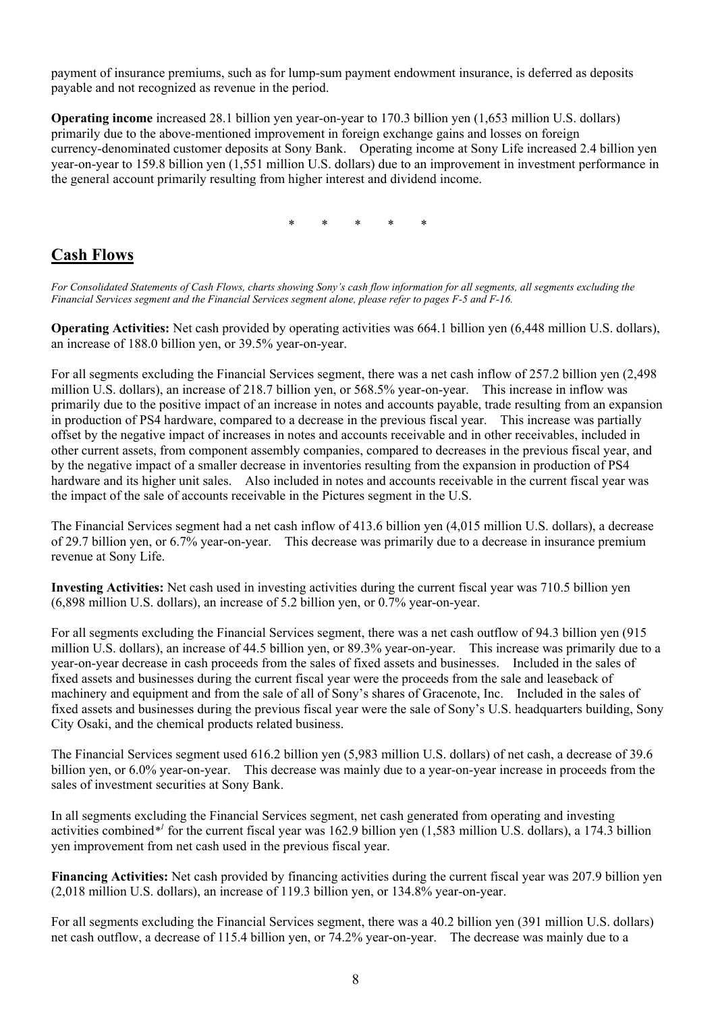payment of insurance premiums, such as for lump-sum payment endowment insurance, is deferred as deposits payable and not recognized as revenue in the period.

**Operating income** increased 28.1 billion yen year-on-year to 170.3 billion yen (1,653 million U.S. dollars) primarily due to the above-mentioned improvement in foreign exchange gains and losses on foreign currency-denominated customer deposits at Sony Bank. Operating income at Sony Life increased 2.4 billion yen year-on-year to 159.8 billion yen (1,551 million U.S. dollars) due to an improvement in investment performance in the general account primarily resulting from higher interest and dividend income.

\* \* \* \* \*

## **Cash Flows**

*For Consolidated Statements of Cash Flows, charts showing Sony's cash flow information for all segments, all segments excluding the Financial Services segment and the Financial Services segment alone, please refer to pages F-5 and F-16.* 

**Operating Activities:** Net cash provided by operating activities was 664.1 billion yen (6,448 million U.S. dollars), an increase of 188.0 billion yen, or 39.5% year-on-year.

For all segments excluding the Financial Services segment, there was a net cash inflow of 257.2 billion yen (2,498 million U.S. dollars), an increase of 218.7 billion yen, or 568.5% year-on-year. This increase in inflow was primarily due to the positive impact of an increase in notes and accounts payable, trade resulting from an expansion in production of PS4 hardware, compared to a decrease in the previous fiscal year. This increase was partially offset by the negative impact of increases in notes and accounts receivable and in other receivables, included in other current assets, from component assembly companies, compared to decreases in the previous fiscal year, and by the negative impact of a smaller decrease in inventories resulting from the expansion in production of PS4 hardware and its higher unit sales. Also included in notes and accounts receivable in the current fiscal year was the impact of the sale of accounts receivable in the Pictures segment in the U.S.

The Financial Services segment had a net cash inflow of 413.6 billion yen (4,015 million U.S. dollars), a decrease of 29.7 billion yen, or 6.7% year-on-year. This decrease was primarily due to a decrease in insurance premium revenue at Sony Life.

**Investing Activities:** Net cash used in investing activities during the current fiscal year was 710.5 billion yen (6,898 million U.S. dollars), an increase of 5.2 billion yen, or 0.7% year-on-year.

For all segments excluding the Financial Services segment, there was a net cash outflow of 94.3 billion yen (915 million U.S. dollars), an increase of 44.5 billion yen, or 89.3% year-on-year. This increase was primarily due to a year-on-year decrease in cash proceeds from the sales of fixed assets and businesses. Included in the sales of fixed assets and businesses during the current fiscal year were the proceeds from the sale and leaseback of machinery and equipment and from the sale of all of Sony's shares of Gracenote, Inc. Included in the sales of fixed assets and businesses during the previous fiscal year were the sale of Sony's U.S. headquarters building, Sony City Osaki, and the chemical products related business.

The Financial Services segment used 616.2 billion yen (5,983 million U.S. dollars) of net cash, a decrease of 39.6 billion yen, or 6.0% year-on-year. This decrease was mainly due to a year-on-year increase in proceeds from the sales of investment securities at Sony Bank.

In all segments excluding the Financial Services segment, net cash generated from operating and investing activities combined<sup>\**l*</sup> for the current fiscal year was 162.9 billion yen (1,583 million U.S. dollars), a 174.3 billion yen improvement from net cash used in the previous fiscal year.

**Financing Activities:** Net cash provided by financing activities during the current fiscal year was 207.9 billion yen (2,018 million U.S. dollars), an increase of 119.3 billion yen, or 134.8% year-on-year.

For all segments excluding the Financial Services segment, there was a 40.2 billion yen (391 million U.S. dollars) net cash outflow, a decrease of 115.4 billion yen, or 74.2% year-on-year. The decrease was mainly due to a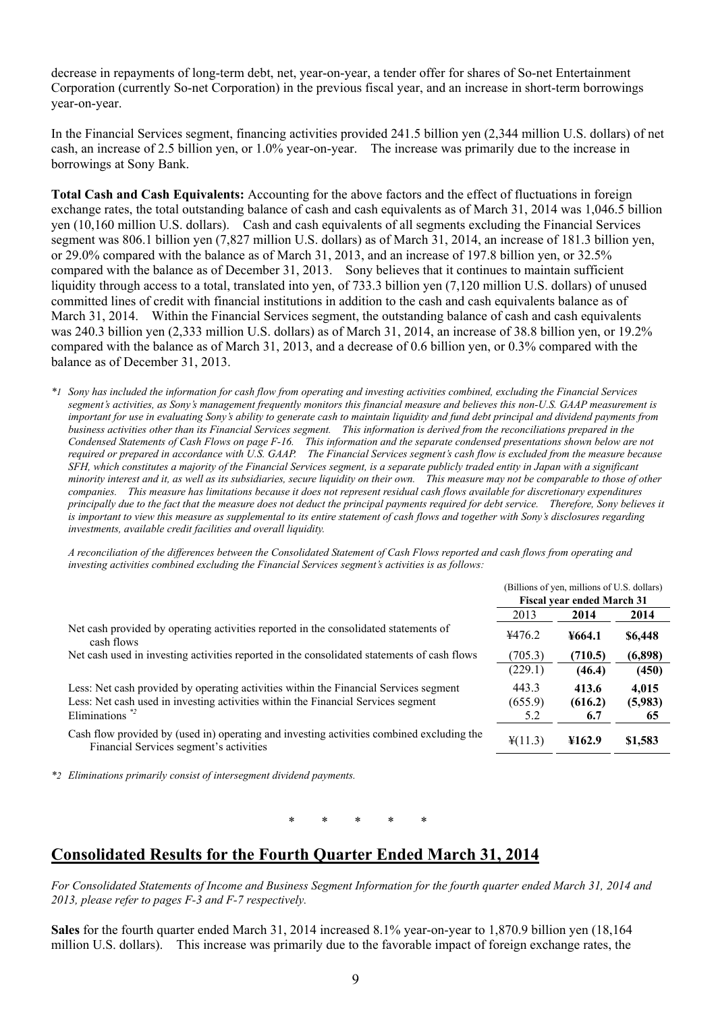decrease in repayments of long-term debt, net, year-on-year, a tender offer for shares of So-net Entertainment Corporation (currently So-net Corporation) in the previous fiscal year, and an increase in short-term borrowings year-on-year.

In the Financial Services segment, financing activities provided 241.5 billion yen (2,344 million U.S. dollars) of net cash, an increase of 2.5 billion yen, or 1.0% year-on-year. The increase was primarily due to the increase in borrowings at Sony Bank.

**Total Cash and Cash Equivalents:** Accounting for the above factors and the effect of fluctuations in foreign exchange rates, the total outstanding balance of cash and cash equivalents as of March 31, 2014 was 1,046.5 billion yen (10,160 million U.S. dollars). Cash and cash equivalents of all segments excluding the Financial Services segment was 806.1 billion yen (7,827 million U.S. dollars) as of March 31, 2014, an increase of 181.3 billion yen, or 29.0% compared with the balance as of March 31, 2013, and an increase of 197.8 billion yen, or 32.5% compared with the balance as of December 31, 2013. Sony believes that it continues to maintain sufficient liquidity through access to a total, translated into yen, of 733.3 billion yen (7,120 million U.S. dollars) of unused committed lines of credit with financial institutions in addition to the cash and cash equivalents balance as of March 31, 2014. Within the Financial Services segment, the outstanding balance of cash and cash equivalents was 240.3 billion yen (2,333 million U.S. dollars) as of March 31, 2014, an increase of 38.8 billion yen, or 19.2% compared with the balance as of March 31, 2013, and a decrease of 0.6 billion yen, or 0.3% compared with the balance as of December 31, 2013.

*\*1 Sony has included the information for cash flow from operating and investing activities combined, excluding the Financial Services segment's activities, as Sony's management frequently monitors this financial measure and believes this non-U.S. GAAP measurement is important for use in evaluating Sony's ability to generate cash to maintain liquidity and fund debt principal and dividend payments from business activities other than its Financial Services segment. This information is derived from the reconciliations prepared in the Condensed Statements of Cash Flows on page F-16. This information and the separate condensed presentations shown below are not required or prepared in accordance with U.S. GAAP. The Financial Services segment's cash flow is excluded from the measure because SFH, which constitutes a majority of the Financial Services segment, is a separate publicly traded entity in Japan with a significant minority interest and it, as well as its subsidiaries, secure liquidity on their own. This measure may not be comparable to those of other companies. This measure has limitations because it does not represent residual cash flows available for discretionary expenditures principally due to the fact that the measure does not deduct the principal payments required for debt service. Therefore, Sony believes it is important to view this measure as supplemental to its entire statement of cash flows and together with Sony's disclosures regarding investments, available credit facilities and overall liquidity.* 

*A reconciliation of the differences between the Consolidated Statement of Cash Flows reported and cash flows from operating and investing activities combined excluding the Financial Services segment's activities is as follows:* 

|                                                                                                                                                                                                          |                         | (Billions of yen, millions of U.S. dollars)<br><b>Fiscal year ended March 31</b> |                        |
|----------------------------------------------------------------------------------------------------------------------------------------------------------------------------------------------------------|-------------------------|----------------------------------------------------------------------------------|------------------------|
|                                                                                                                                                                                                          | 2013                    | 2014                                                                             | 2014                   |
| Net cash provided by operating activities reported in the consolidated statements of<br>cash flows                                                                                                       | ¥476.2                  | ¥664.1                                                                           | \$6,448                |
| Net cash used in investing activities reported in the consolidated statements of cash flows                                                                                                              | (705.3)                 | (710.5)                                                                          | (6,898)                |
|                                                                                                                                                                                                          | (229.1)                 | (46.4)                                                                           | (450)                  |
| Less: Net cash provided by operating activities within the Financial Services segment<br>Less: Net cash used in investing activities within the Financial Services segment<br>Eliminations $\frac{1}{2}$ | 443.3<br>(655.9)<br>5.2 | 413.6<br>(616.2)<br>6.7                                                          | 4,015<br>(5,983)<br>65 |
| Cash flow provided by (used in) operating and investing activities combined excluding the<br>Financial Services segment's activities                                                                     | $\frac{1}{2}(11.3)$     | 4162.9                                                                           | \$1,583                |

*\*2 Eliminations primarily consist of intersegment dividend payments.* 

\* \* \* \* \*

## **Consolidated Results for the Fourth Quarter Ended March 31, 2014**

*For Consolidated Statements of Income and Business Segment Information for the fourth quarter ended March 31, 2014 and 2013, please refer to pages F-3 and F-7 respectively.* 

**Sales** for the fourth quarter ended March 31, 2014 increased 8.1% year-on-year to 1,870.9 billion yen (18,164 million U.S. dollars). This increase was primarily due to the favorable impact of foreign exchange rates, the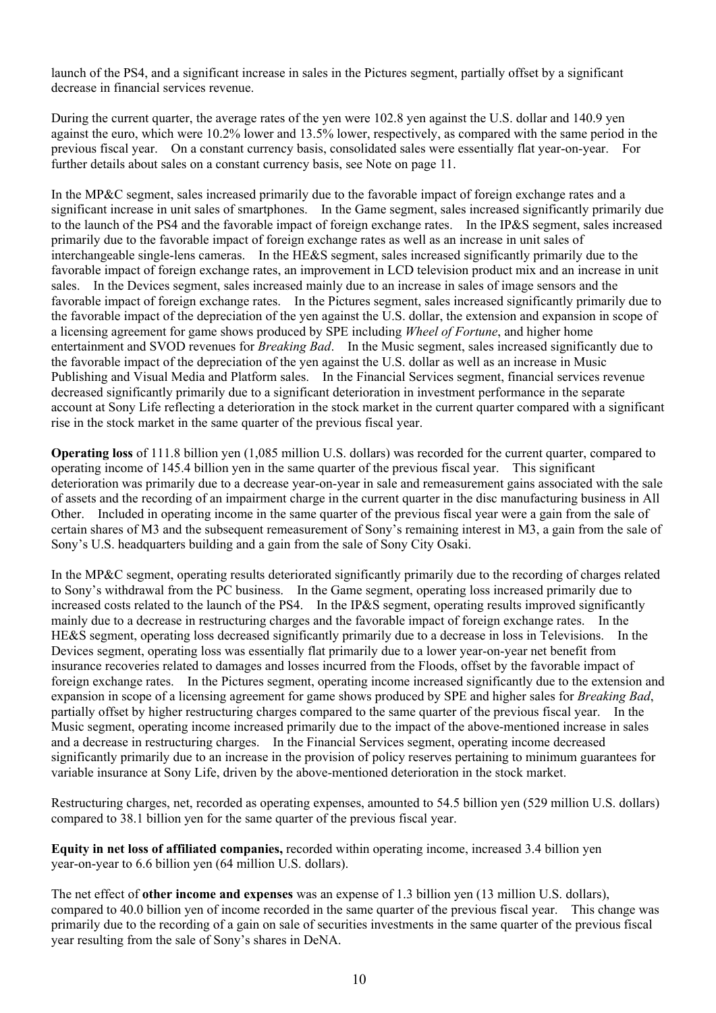launch of the PS4, and a significant increase in sales in the Pictures segment, partially offset by a significant decrease in financial services revenue.

During the current quarter, the average rates of the yen were 102.8 yen against the U.S. dollar and 140.9 yen against the euro, which were 10.2% lower and 13.5% lower, respectively, as compared with the same period in the previous fiscal year. On a constant currency basis, consolidated sales were essentially flat year-on-year. For further details about sales on a constant currency basis, see Note on page 11.

In the MP&C segment, sales increased primarily due to the favorable impact of foreign exchange rates and a significant increase in unit sales of smartphones. In the Game segment, sales increased significantly primarily due to the launch of the PS4 and the favorable impact of foreign exchange rates. In the IP&S segment, sales increased primarily due to the favorable impact of foreign exchange rates as well as an increase in unit sales of interchangeable single-lens cameras. In the HE&S segment, sales increased significantly primarily due to the favorable impact of foreign exchange rates, an improvement in LCD television product mix and an increase in unit sales. In the Devices segment, sales increased mainly due to an increase in sales of image sensors and the favorable impact of foreign exchange rates. In the Pictures segment, sales increased significantly primarily due to the favorable impact of the depreciation of the yen against the U.S. dollar, the extension and expansion in scope of a licensing agreement for game shows produced by SPE including *Wheel of Fortune*, and higher home entertainment and SVOD revenues for *Breaking Bad*. In the Music segment, sales increased significantly due to the favorable impact of the depreciation of the yen against the U.S. dollar as well as an increase in Music Publishing and Visual Media and Platform sales. In the Financial Services segment, financial services revenue decreased significantly primarily due to a significant deterioration in investment performance in the separate account at Sony Life reflecting a deterioration in the stock market in the current quarter compared with a significant rise in the stock market in the same quarter of the previous fiscal year.

**Operating loss** of 111.8 billion yen (1,085 million U.S. dollars) was recorded for the current quarter, compared to operating income of 145.4 billion yen in the same quarter of the previous fiscal year. This significant deterioration was primarily due to a decrease year-on-year in sale and remeasurement gains associated with the sale of assets and the recording of an impairment charge in the current quarter in the disc manufacturing business in All Other. Included in operating income in the same quarter of the previous fiscal year were a gain from the sale of certain shares of M3 and the subsequent remeasurement of Sony's remaining interest in M3, a gain from the sale of Sony's U.S. headquarters building and a gain from the sale of Sony City Osaki.

In the MP&C segment, operating results deteriorated significantly primarily due to the recording of charges related to Sony's withdrawal from the PC business. In the Game segment, operating loss increased primarily due to increased costs related to the launch of the PS4. In the IP&S segment, operating results improved significantly mainly due to a decrease in restructuring charges and the favorable impact of foreign exchange rates. In the HE&S segment, operating loss decreased significantly primarily due to a decrease in loss in Televisions. In the Devices segment, operating loss was essentially flat primarily due to a lower year-on-year net benefit from insurance recoveries related to damages and losses incurred from the Floods, offset by the favorable impact of foreign exchange rates. In the Pictures segment, operating income increased significantly due to the extension and expansion in scope of a licensing agreement for game shows produced by SPE and higher sales for *Breaking Bad*, partially offset by higher restructuring charges compared to the same quarter of the previous fiscal year. In the Music segment, operating income increased primarily due to the impact of the above-mentioned increase in sales and a decrease in restructuring charges. In the Financial Services segment, operating income decreased significantly primarily due to an increase in the provision of policy reserves pertaining to minimum guarantees for variable insurance at Sony Life, driven by the above-mentioned deterioration in the stock market.

Restructuring charges, net, recorded as operating expenses, amounted to 54.5 billion yen (529 million U.S. dollars) compared to 38.1 billion yen for the same quarter of the previous fiscal year.

**Equity in net loss of affiliated companies,** recorded within operating income, increased 3.4 billion yen year-on-year to 6.6 billion yen (64 million U.S. dollars).

The net effect of **other income and expenses** was an expense of 1.3 billion yen (13 million U.S. dollars), compared to 40.0 billion yen of income recorded in the same quarter of the previous fiscal year. This change was primarily due to the recording of a gain on sale of securities investments in the same quarter of the previous fiscal year resulting from the sale of Sony's shares in DeNA.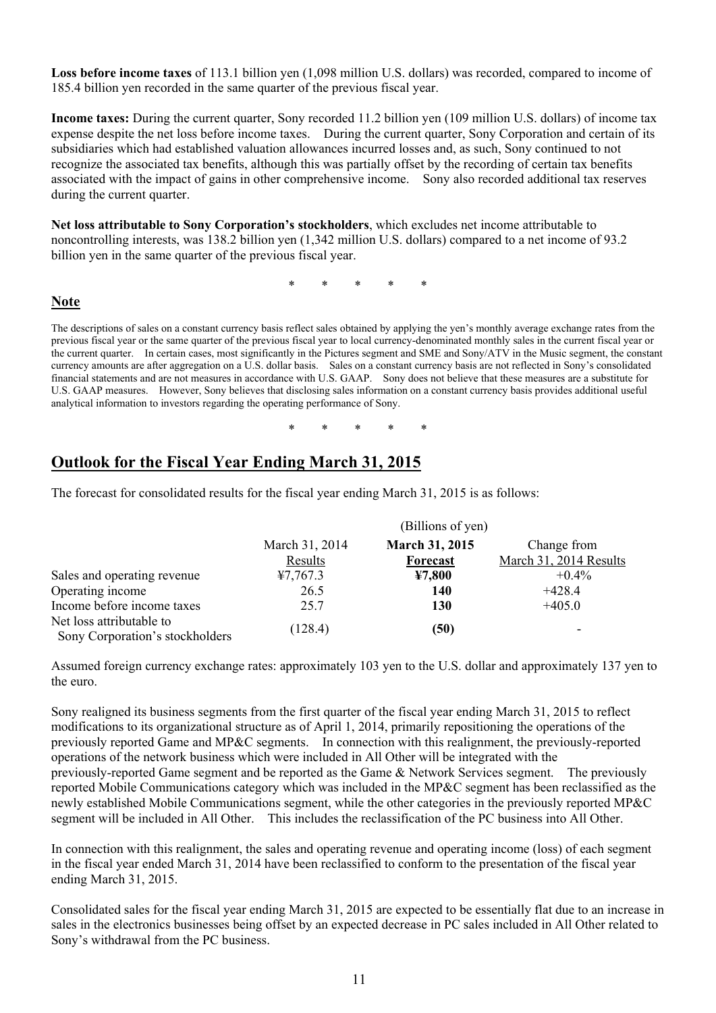**Loss before income taxes** of 113.1 billion yen (1,098 million U.S. dollars) was recorded, compared to income of 185.4 billion yen recorded in the same quarter of the previous fiscal year.

**Income taxes:** During the current quarter, Sony recorded 11.2 billion yen (109 million U.S. dollars) of income tax expense despite the net loss before income taxes. During the current quarter, Sony Corporation and certain of its subsidiaries which had established valuation allowances incurred losses and, as such, Sony continued to not recognize the associated tax benefits, although this was partially offset by the recording of certain tax benefits associated with the impact of gains in other comprehensive income. Sony also recorded additional tax reserves during the current quarter.

**Net loss attributable to Sony Corporation's stockholders**, which excludes net income attributable to noncontrolling interests, was 138.2 billion yen (1,342 million U.S. dollars) compared to a net income of 93.2 billion yen in the same quarter of the previous fiscal year.

\* \* \* \* \*

## **Note**

The descriptions of sales on a constant currency basis reflect sales obtained by applying the yen's monthly average exchange rates from the previous fiscal year or the same quarter of the previous fiscal year to local currency-denominated monthly sales in the current fiscal year or the current quarter. In certain cases, most significantly in the Pictures segment and SME and Sony/ATV in the Music segment, the constant currency amounts are after aggregation on a U.S. dollar basis. Sales on a constant currency basis are not reflected in Sony's consolidated financial statements and are not measures in accordance with U.S. GAAP. Sony does not believe that these measures are a substitute for U.S. GAAP measures. However, Sony believes that disclosing sales information on a constant currency basis provides additional useful analytical information to investors regarding the operating performance of Sony.

\* \* \* \* \*

## **Outlook for the Fiscal Year Ending March 31, 2015**

The forecast for consolidated results for the fiscal year ending March 31, 2015 is as follows:

|                                 | (Billions of yen) |                       |                        |  |  |  |  |  |  |
|---------------------------------|-------------------|-----------------------|------------------------|--|--|--|--|--|--|
|                                 | March 31, 2014    | <b>March 31, 2015</b> | Change from            |  |  |  |  |  |  |
|                                 | Results           | Forecast              | March 31, 2014 Results |  |  |  |  |  |  |
| Sales and operating revenue     | 47,767.3          | ¥7,800                | $+0.4\%$               |  |  |  |  |  |  |
| Operating income                | 26.5              | 140                   | $+428.4$               |  |  |  |  |  |  |
| Income before income taxes      | 25.7              | <b>130</b>            | $+405.0$               |  |  |  |  |  |  |
| Net loss attributable to        |                   |                       |                        |  |  |  |  |  |  |
| Sony Corporation's stockholders | (128.4)           | (50)                  | ۰                      |  |  |  |  |  |  |

Assumed foreign currency exchange rates: approximately 103 yen to the U.S. dollar and approximately 137 yen to the euro.

Sony realigned its business segments from the first quarter of the fiscal year ending March 31, 2015 to reflect modifications to its organizational structure as of April 1, 2014, primarily repositioning the operations of the previously reported Game and MP&C segments. In connection with this realignment, the previously-reported operations of the network business which were included in All Other will be integrated with the previously-reported Game segment and be reported as the Game & Network Services segment. The previously reported Mobile Communications category which was included in the MP&C segment has been reclassified as the newly established Mobile Communications segment, while the other categories in the previously reported MP&C segment will be included in All Other. This includes the reclassification of the PC business into All Other.

In connection with this realignment, the sales and operating revenue and operating income (loss) of each segment in the fiscal year ended March 31, 2014 have been reclassified to conform to the presentation of the fiscal year ending March 31, 2015.

Consolidated sales for the fiscal year ending March 31, 2015 are expected to be essentially flat due to an increase in sales in the electronics businesses being offset by an expected decrease in PC sales included in All Other related to Sony's withdrawal from the PC business.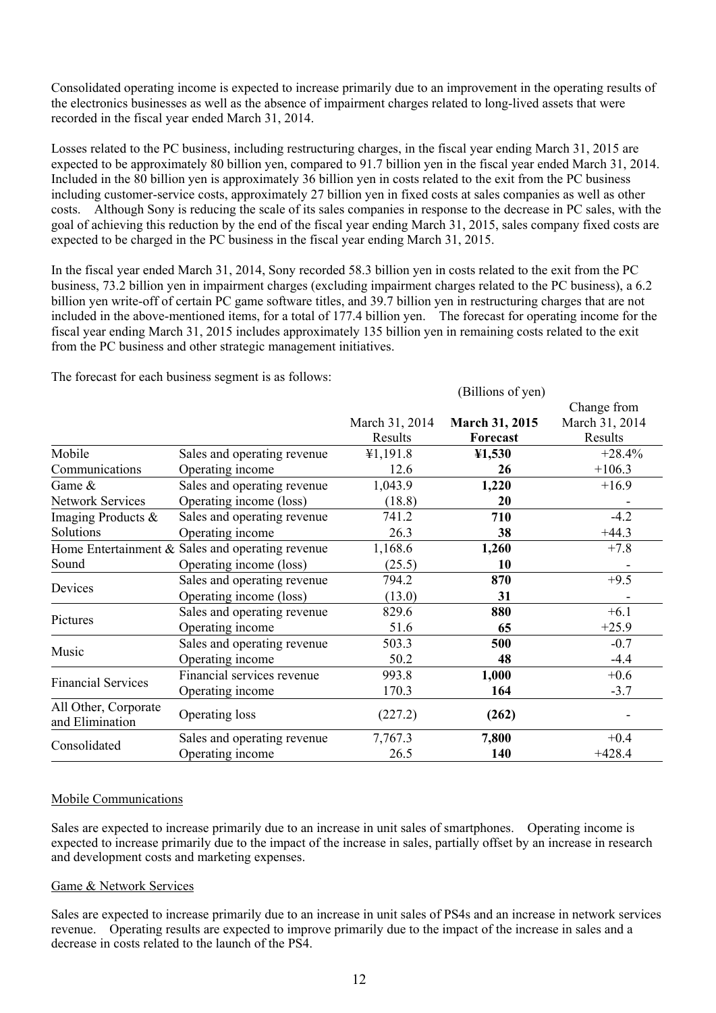Consolidated operating income is expected to increase primarily due to an improvement in the operating results of the electronics businesses as well as the absence of impairment charges related to long-lived assets that were recorded in the fiscal year ended March 31, 2014.

Losses related to the PC business, including restructuring charges, in the fiscal year ending March 31, 2015 are expected to be approximately 80 billion yen, compared to 91.7 billion yen in the fiscal year ended March 31, 2014. Included in the 80 billion yen is approximately 36 billion yen in costs related to the exit from the PC business including customer-service costs, approximately 27 billion yen in fixed costs at sales companies as well as other costs. Although Sony is reducing the scale of its sales companies in response to the decrease in PC sales, with the goal of achieving this reduction by the end of the fiscal year ending March 31, 2015, sales company fixed costs are expected to be charged in the PC business in the fiscal year ending March 31, 2015.

In the fiscal year ended March 31, 2014, Sony recorded 58.3 billion yen in costs related to the exit from the PC business, 73.2 billion yen in impairment charges (excluding impairment charges related to the PC business), a 6.2 billion yen write-off of certain PC game software titles, and 39.7 billion yen in restructuring charges that are not included in the above-mentioned items, for a total of 177.4 billion yen. The forecast for operating income for the fiscal year ending March 31, 2015 includes approximately 135 billion yen in remaining costs related to the exit from the PC business and other strategic management initiatives.

(Billions of yen)

The forecast for each business segment is as follows:

|                                         |                                                    |                |                       | Change from    |
|-----------------------------------------|----------------------------------------------------|----------------|-----------------------|----------------|
|                                         |                                                    | March 31, 2014 | <b>March 31, 2015</b> | March 31, 2014 |
|                                         |                                                    | Results        | Forecast              | Results        |
| Mobile                                  | Sales and operating revenue                        | 41,191.8       | 41,530                | $+28.4%$       |
| Communications                          | Operating income                                   | 12.6           | 26                    | $+106.3$       |
| Game &                                  | Sales and operating revenue                        | 1,043.9        | 1,220                 | $+16.9$        |
| <b>Network Services</b>                 | Operating income (loss)                            | (18.8)         | 20                    |                |
| Imaging Products &                      | Sales and operating revenue                        | 741.2          | 710                   | $-4.2$         |
| Solutions                               | Operating income                                   | 26.3           | 38                    | $+44.3$        |
|                                         | Home Entertainment $&$ Sales and operating revenue | 1,168.6        | 1,260                 | $+7.8$         |
| Sound                                   | Operating income (loss)                            | (25.5)         | 10                    |                |
| Devices                                 | Sales and operating revenue                        | 794.2          | 870                   | $+9.5$         |
|                                         | Operating income (loss)                            | (13.0)         | 31                    |                |
|                                         | Sales and operating revenue                        | 829.6          | 880                   | $+6.1$         |
| Pictures                                | Operating income                                   | 51.6           | 65                    | $+25.9$        |
| Music                                   | Sales and operating revenue                        | 503.3          | 500                   | $-0.7$         |
|                                         | Operating income                                   | 50.2           | 48                    | $-4.4$         |
| <b>Financial Services</b>               | Financial services revenue                         | 993.8          | 1,000                 | $+0.6$         |
|                                         | Operating income                                   | 170.3          | 164                   | $-3.7$         |
| All Other, Corporate<br>and Elimination | Operating loss                                     | (227.2)        | (262)                 |                |
| Consolidated                            | Sales and operating revenue                        | 7,767.3        | 7,800                 | $+0.4$         |
|                                         | Operating income                                   | 26.5           | 140                   | $+428.4$       |

## Mobile Communications

Sales are expected to increase primarily due to an increase in unit sales of smartphones. Operating income is expected to increase primarily due to the impact of the increase in sales, partially offset by an increase in research and development costs and marketing expenses.

## Game & Network Services

Sales are expected to increase primarily due to an increase in unit sales of PS4s and an increase in network services revenue. Operating results are expected to improve primarily due to the impact of the increase in sales and a decrease in costs related to the launch of the PS4.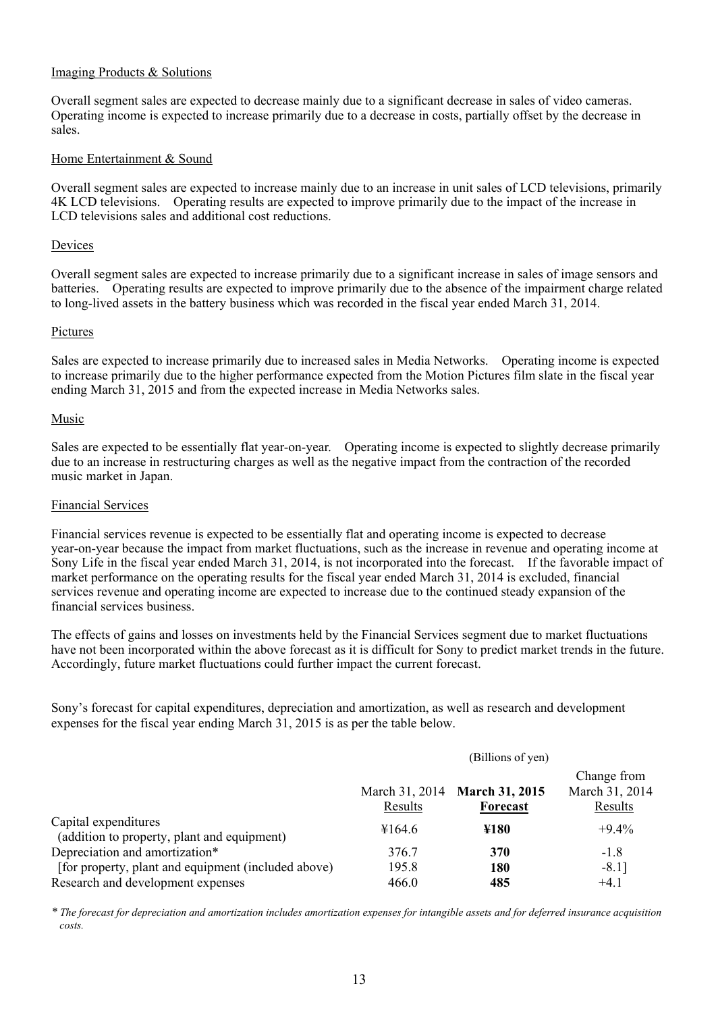## Imaging Products & Solutions

Overall segment sales are expected to decrease mainly due to a significant decrease in sales of video cameras. Operating income is expected to increase primarily due to a decrease in costs, partially offset by the decrease in sales.

## Home Entertainment & Sound

Overall segment sales are expected to increase mainly due to an increase in unit sales of LCD televisions, primarily 4K LCD televisions. Operating results are expected to improve primarily due to the impact of the increase in LCD televisions sales and additional cost reductions.

## Devices

Overall segment sales are expected to increase primarily due to a significant increase in sales of image sensors and batteries. Operating results are expected to improve primarily due to the absence of the impairment charge related to long-lived assets in the battery business which was recorded in the fiscal year ended March 31, 2014.

## **Pictures**

Sales are expected to increase primarily due to increased sales in Media Networks. Operating income is expected to increase primarily due to the higher performance expected from the Motion Pictures film slate in the fiscal year ending March 31, 2015 and from the expected increase in Media Networks sales.

## Music

Sales are expected to be essentially flat year-on-year. Operating income is expected to slightly decrease primarily due to an increase in restructuring charges as well as the negative impact from the contraction of the recorded music market in Japan.

## Financial Services

Financial services revenue is expected to be essentially flat and operating income is expected to decrease year-on-year because the impact from market fluctuations, such as the increase in revenue and operating income at Sony Life in the fiscal year ended March 31, 2014, is not incorporated into the forecast. If the favorable impact of market performance on the operating results for the fiscal year ended March 31, 2014 is excluded, financial services revenue and operating income are expected to increase due to the continued steady expansion of the financial services business.

The effects of gains and losses on investments held by the Financial Services segment due to market fluctuations have not been incorporated within the above forecast as it is difficult for Sony to predict market trends in the future. Accordingly, future market fluctuations could further impact the current forecast.

Sony's forecast for capital expenditures, depreciation and amortization, as well as research and development expenses for the fiscal year ending March 31, 2015 is as per the table below.

|                                                                     |                           | (Billions of yen)                        |                                          |
|---------------------------------------------------------------------|---------------------------|------------------------------------------|------------------------------------------|
|                                                                     | March 31, 2014<br>Results | <b>March 31, 2015</b><br><b>Forecast</b> | Change from<br>March 31, 2014<br>Results |
| Capital expenditures<br>(addition to property, plant and equipment) | ¥164.6                    | ¥180                                     | $+9.4%$                                  |
| Depreciation and amortization*                                      | 376.7                     | <b>370</b>                               | $-1.8$                                   |
| [for property, plant and equipment (included above)                 | 195.8                     | 180                                      | $-8.1$ ]                                 |
| Research and development expenses                                   | 466.0                     | 485                                      | $+4.1$                                   |

*\* The forecast for depreciation and amortization includes amortization expenses for intangible assets and for deferred insurance acquisition costs.*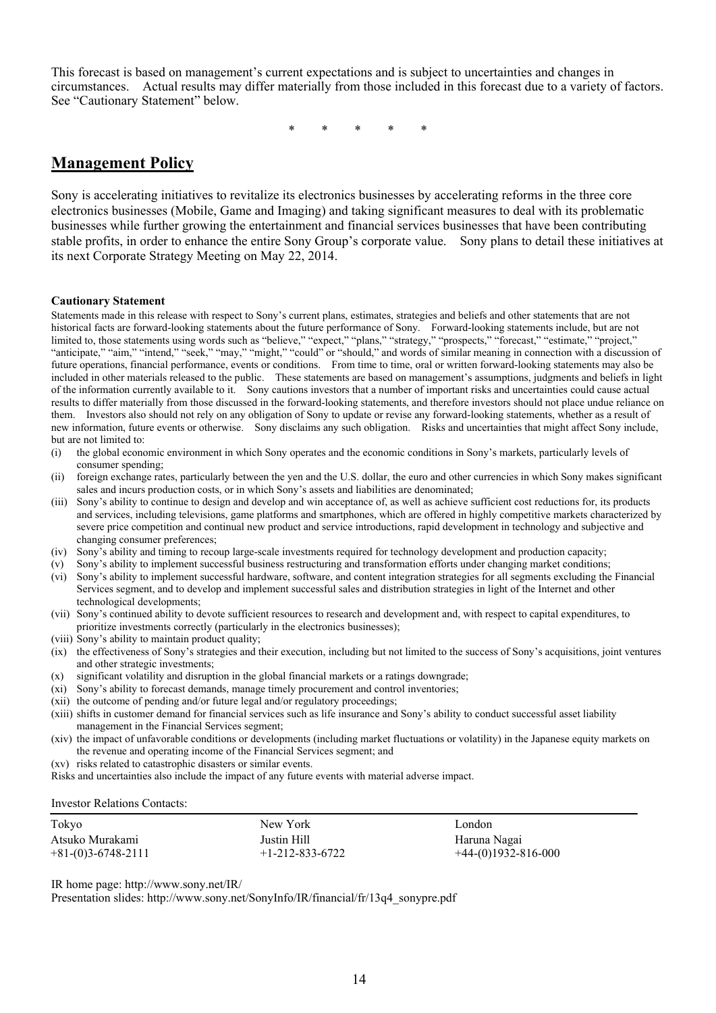This forecast is based on management's current expectations and is subject to uncertainties and changes in circumstances. Actual results may differ materially from those included in this forecast due to a variety of factors. See "Cautionary Statement" below.

\* \* \* \* \*

## **Management Policy**

Sony is accelerating initiatives to revitalize its electronics businesses by accelerating reforms in the three core electronics businesses (Mobile, Game and Imaging) and taking significant measures to deal with its problematic businesses while further growing the entertainment and financial services businesses that have been contributing stable profits, in order to enhance the entire Sony Group's corporate value. Sony plans to detail these initiatives at its next Corporate Strategy Meeting on May 22, 2014.

### **Cautionary Statement**

 Statements made in this release with respect to Sony's current plans, estimates, strategies and beliefs and other statements that are not historical facts are forward-looking statements about the future performance of Sony. Forward-looking statements include, but are not limited to, those statements using words such as "believe," "expect," "plans," "strategy," "prospects," "forecast," "estimate," "project," "anticipate," "aim," "intend," "seek," "may," "might," "could" or "should," and words of similar meaning in connection with a discussion of future operations, financial performance, events or conditions. From time to time, oral or written forward-looking statements may also be included in other materials released to the public. These statements are based on management's assumptions, judgments and beliefs in light of the information currently available to it. Sony cautions investors that a number of important risks and uncertainties could cause actual results to differ materially from those discussed in the forward-looking statements, and therefore investors should not place undue reliance on them. Investors also should not rely on any obligation of Sony to update or revise any forward-looking statements, whether as a result of new information, future events or otherwise. Sony disclaims any such obligation. Risks and uncertainties that might affect Sony include, but are not limited to:

- (i) the global economic environment in which Sony operates and the economic conditions in Sony's markets, particularly levels of consumer spending;
- (ii) foreign exchange rates, particularly between the yen and the U.S. dollar, the euro and other currencies in which Sony makes significant sales and incurs production costs, or in which Sony's assets and liabilities are denominated;
- (iii) Sony's ability to continue to design and develop and win acceptance of, as well as achieve sufficient cost reductions for, its products and services, including televisions, game platforms and smartphones, which are offered in highly competitive markets characterized by severe price competition and continual new product and service introductions, rapid development in technology and subjective and changing consumer preferences;
- (iv) Sony's ability and timing to recoup large-scale investments required for technology development and production capacity;
- (v) Sony's ability to implement successful business restructuring and transformation efforts under changing market conditions;
- (vi) Sony's ability to implement successful hardware, software, and content integration strategies for all segments excluding the Financial Services segment, and to develop and implement successful sales and distribution strategies in light of the Internet and other technological developments;
- (vii) Sony's continued ability to devote sufficient resources to research and development and, with respect to capital expenditures, to prioritize investments correctly (particularly in the electronics businesses);
- (viii) Sony's ability to maintain product quality;
- (ix) the effectiveness of Sony's strategies and their execution, including but not limited to the success of Sony's acquisitions, joint ventures and other strategic investments;
- (x) significant volatility and disruption in the global financial markets or a ratings downgrade;
- (xi) Sony's ability to forecast demands, manage timely procurement and control inventories;
- (xii) the outcome of pending and/or future legal and/or regulatory proceedings;
- (xiii) shifts in customer demand for financial services such as life insurance and Sony's ability to conduct successful asset liability management in the Financial Services segment;
- (xiv) the impact of unfavorable conditions or developments (including market fluctuations or volatility) in the Japanese equity markets on the revenue and operating income of the Financial Services segment; and
- (xv) risks related to catastrophic disasters or similar events.
- Risks and uncertainties also include the impact of any future events with material adverse impact.

Investor Relations Contacts:

| Tokyo                | New York                | London                |
|----------------------|-------------------------|-----------------------|
| Atsuko Murakami      | Justin Hill             | Haruna Nagai          |
| $+81-(0)3-6748-2111$ | $+1 - 212 - 833 - 6722$ | $+44-(0)1932-816-000$ |

IR home page: http://www.sony.net/IR/

Presentation slides: http://www.sony.net/SonyInfo/IR/financial/fr/13q4\_sonypre.pdf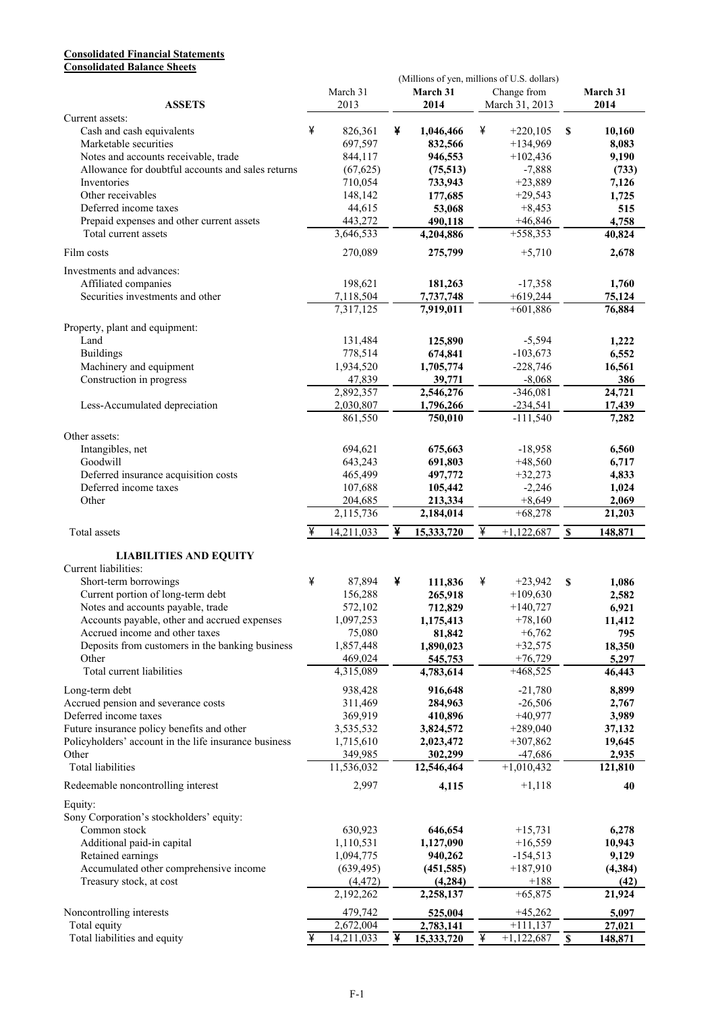#### **Consolidated Financial Statements Consolidated Balance Sheets**

| <u>Consonuateu Dalance Sheets</u>                     |   |                  |   |                  |   |                                                                              |             |                         |
|-------------------------------------------------------|---|------------------|---|------------------|---|------------------------------------------------------------------------------|-------------|-------------------------|
| <b>ASSETS</b>                                         |   | March 31<br>2013 |   | March 31<br>2014 |   | (Millions of yen, millions of U.S. dollars)<br>Change from<br>March 31, 2013 |             | <b>March 31</b><br>2014 |
| Current assets:                                       |   |                  |   |                  |   |                                                                              |             |                         |
| Cash and cash equivalents                             | ¥ | 826,361          | ¥ | 1,046,466        | ¥ | $+220,105$                                                                   | S           | 10,160                  |
| Marketable securities                                 |   | 697,597          |   | 832,566          |   | $+134,969$                                                                   |             | 8,083                   |
| Notes and accounts receivable, trade                  |   | 844,117          |   | 946,553          |   | $+102,436$                                                                   |             | 9,190                   |
| Allowance for doubtful accounts and sales returns     |   | (67, 625)        |   | (75, 513)        |   | $-7,888$                                                                     |             | (733)                   |
| Inventories                                           |   | 710,054          |   | 733,943          |   | $+23,889$                                                                    |             | 7,126                   |
| Other receivables                                     |   | 148,142          |   | 177,685          |   | $+29,543$                                                                    |             | 1,725                   |
| Deferred income taxes                                 |   | 44,615           |   | 53,068           |   | $+8,453$                                                                     |             | 515                     |
| Prepaid expenses and other current assets             |   | 443,272          |   | 490,118          |   | $+46,846$                                                                    |             | 4,758                   |
| Total current assets                                  |   | 3,646,533        |   | 4,204,886        |   | $+558,353$                                                                   |             | 40,824                  |
| Film costs                                            |   | 270,089          |   | 275,799          |   | $+5,710$                                                                     |             | 2,678                   |
| Investments and advances:                             |   |                  |   |                  |   |                                                                              |             |                         |
| Affiliated companies                                  |   | 198,621          |   | 181,263          |   | $-17,358$                                                                    |             | 1,760                   |
| Securities investments and other                      |   | 7,118,504        |   | 7,737,748        |   | $+619,244$                                                                   |             | 75,124                  |
|                                                       |   | 7,317,125        |   | 7,919,011        |   | $+601,886$                                                                   |             | 76,884                  |
|                                                       |   |                  |   |                  |   |                                                                              |             |                         |
| Property, plant and equipment:                        |   |                  |   |                  |   |                                                                              |             |                         |
| Land                                                  |   | 131,484          |   | 125,890          |   | $-5,594$                                                                     |             | 1,222                   |
| <b>Buildings</b>                                      |   | 778,514          |   | 674,841          |   | $-103,673$                                                                   |             | 6,552                   |
| Machinery and equipment                               |   | 1,934,520        |   | 1,705,774        |   | $-228,746$                                                                   |             | 16,561                  |
| Construction in progress                              |   | 47,839           |   | 39,771           |   | $-8,068$                                                                     |             | 386                     |
|                                                       |   | 2,892,357        |   | 2,546,276        |   | $-346,081$                                                                   |             | 24,721                  |
| Less-Accumulated depreciation                         |   | 2,030,807        |   | 1,796,266        |   | $-234,541$                                                                   |             | 17,439                  |
|                                                       |   | 861,550          |   | 750,010          |   | $-111,540$                                                                   |             | 7,282                   |
| Other assets:                                         |   |                  |   |                  |   |                                                                              |             |                         |
| Intangibles, net                                      |   | 694,621          |   | 675,663          |   | $-18,958$                                                                    |             | 6,560                   |
| Goodwill                                              |   | 643,243          |   | 691,803          |   | $+48,560$                                                                    |             | 6,717                   |
| Deferred insurance acquisition costs                  |   | 465,499          |   | 497,772          |   | $+32,273$                                                                    |             | 4,833                   |
| Deferred income taxes                                 |   | 107,688          |   | 105,442          |   | $-2,246$                                                                     |             | 1,024                   |
| Other                                                 |   | 204,685          |   | 213,334          |   | $+8,649$                                                                     |             | 2,069                   |
|                                                       |   | 2,115,736        |   | 2,184,014        |   | $\overline{+}68,278$                                                         |             | 21,203                  |
| Total assets                                          |   | 14,211,033       | ¥ | 15,333,720       | ¥ | $+1,122,687$                                                                 | \$          | 148,871                 |
| <b>LIABILITIES AND EQUITY</b>                         |   |                  |   |                  |   |                                                                              |             |                         |
| Current liabilities:                                  |   |                  |   |                  |   |                                                                              |             |                         |
| Short-term borrowings                                 | ¥ | 87,894           | ¥ | 111,836          | ¥ | $+23,942$                                                                    | S           | 1,086                   |
| Current portion of long-term debt                     |   | 156,288          |   | 265,918          |   | $+109,630$                                                                   |             |                         |
|                                                       |   |                  |   |                  |   |                                                                              |             | 2,582                   |
| Notes and accounts payable, trade                     |   | 572,102          |   | 712,829          |   | $+140,727$                                                                   |             | 6,921                   |
| Accounts payable, other and accrued expenses          |   | 1,097,253        |   | 1,175,413        |   | $+78,160$                                                                    |             | 11,412                  |
| Accrued income and other taxes                        |   | 75,080           |   | 81,842           |   | $+6,762$                                                                     |             | 795                     |
| Deposits from customers in the banking business       |   | 1,857,448        |   | 1,890,023        |   | $+32,575$                                                                    |             | 18,350                  |
| Other                                                 |   | 469,024          |   | 545,753          |   | $+76,729$                                                                    |             | 5,297                   |
| Total current liabilities                             |   | 4,315,089        |   | 4,783,614        |   | $+468,525$                                                                   |             | 46,443                  |
| Long-term debt                                        |   | 938,428          |   | 916,648          |   | $-21,780$                                                                    |             | 8,899                   |
| Accrued pension and severance costs                   |   | 311,469          |   | 284,963          |   | $-26,506$                                                                    |             | 2,767                   |
| Deferred income taxes                                 |   | 369,919          |   | 410,896          |   | $+40,977$                                                                    |             | 3,989                   |
| Future insurance policy benefits and other            |   | 3,535,532        |   | 3,824,572        |   | $+289,040$                                                                   |             | 37,132                  |
| Policyholders' account in the life insurance business |   | 1,715,610        |   | 2,023,472        |   | $+307,862$                                                                   |             | 19,645                  |
| Other                                                 |   | 349,985          |   | 302,299          |   | $-47,686$                                                                    |             | 2,935                   |
| Total liabilities                                     |   | 11,536,032       |   | 12,546,464       |   | $+1,010,432$                                                                 |             | 121,810                 |
|                                                       |   |                  |   |                  |   |                                                                              |             |                         |
| Redeemable noncontrolling interest                    |   | 2,997            |   | 4,115            |   | $+1,118$                                                                     |             | 40                      |
| Equity:                                               |   |                  |   |                  |   |                                                                              |             |                         |
| Sony Corporation's stockholders' equity:              |   |                  |   |                  |   |                                                                              |             |                         |
| Common stock                                          |   | 630,923          |   | 646,654          |   | $+15,731$                                                                    |             | 6,278                   |
| Additional paid-in capital                            |   | 1,110,531        |   | 1,127,090        |   | $+16,559$                                                                    |             | 10,943                  |
| Retained earnings                                     |   | 1,094,775        |   | 940,262          |   | $-154,513$                                                                   |             | 9,129                   |
| Accumulated other comprehensive income                |   | (639, 495)       |   | (451, 585)       |   | $+187,910$                                                                   |             | (4, 384)                |
| Treasury stock, at cost                               |   | (4, 472)         |   | (4,284)          |   | $+188$                                                                       |             | (42)                    |
|                                                       |   | 2,192,262        |   | 2,258,137        |   | $+65,875$                                                                    |             | 21,924                  |
|                                                       |   |                  |   |                  |   |                                                                              |             |                         |
| Noncontrolling interests                              |   | 479,742          |   | 525,004          |   | $+45,262$                                                                    |             | 5,097                   |
| Total equity                                          |   | 2,672,004        |   | 2,783,141        |   | $+111,137$                                                                   |             | 27,021                  |
| Total liabilities and equity                          | ¥ | 14,211,033       | ¥ | 15,333,720       | ¥ | $+1,122,687$                                                                 | $\mathbf S$ | 148,871                 |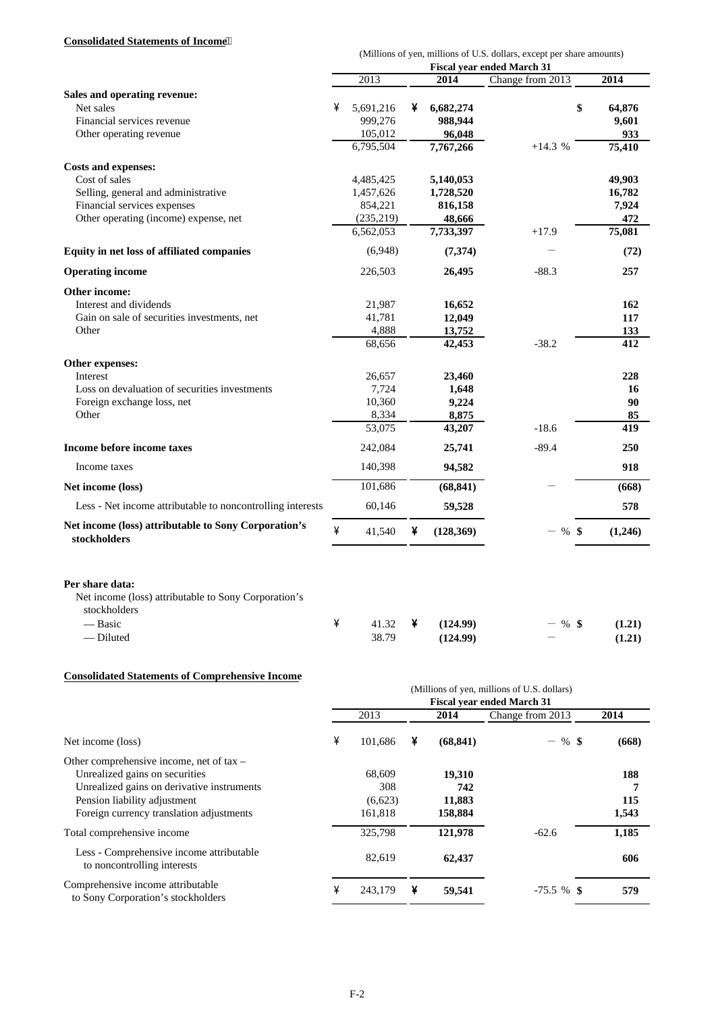### **Consolidated Statements of Income**

|                                                                                                    |   |            |   |            | (Millions of yen, millions of U.S. dollars, except per share amounts)<br><b>Fiscal year ended March 31</b> |         |
|----------------------------------------------------------------------------------------------------|---|------------|---|------------|------------------------------------------------------------------------------------------------------------|---------|
|                                                                                                    |   | 2013       |   | 2014       | Change from 2013                                                                                           | 2014    |
| Sales and operating revenue:                                                                       |   |            |   |            |                                                                                                            |         |
| Net sales                                                                                          | ¥ | 5,691,216  | ¥ | 6,682,274  | \$                                                                                                         | 64,876  |
| Financial services revenue                                                                         |   | 999,276    |   | 988,944    |                                                                                                            | 9,601   |
| Other operating revenue                                                                            |   | 105,012    |   | 96,048     |                                                                                                            | 933     |
|                                                                                                    |   | 6,795,504  |   | 7,767,266  | $+14.3%$                                                                                                   | 75,410  |
| <b>Costs and expenses:</b>                                                                         |   |            |   |            |                                                                                                            |         |
| Cost of sales                                                                                      |   | 4,485,425  |   | 5,140,053  |                                                                                                            | 49,903  |
| Selling, general and administrative                                                                |   | 1,457,626  |   | 1,728,520  |                                                                                                            | 16,782  |
| Financial services expenses                                                                        |   | 854,221    |   | 816,158    |                                                                                                            | 7,924   |
| Other operating (income) expense, net                                                              |   | (235, 219) |   | 48,666     |                                                                                                            | 472     |
|                                                                                                    |   | 6,562,053  |   | 7,733,397  | $+17.9$                                                                                                    | 75,081  |
| Equity in net loss of affiliated companies                                                         |   | (6,948)    |   | (7, 374)   |                                                                                                            | (72)    |
| <b>Operating income</b>                                                                            |   | 226,503    |   | 26,495     | $-88.3$                                                                                                    | 257     |
|                                                                                                    |   |            |   |            |                                                                                                            |         |
| Other income:                                                                                      |   |            |   |            |                                                                                                            |         |
| Interest and dividends                                                                             |   | 21,987     |   | 16,652     |                                                                                                            | 162     |
| Gain on sale of securities investments, net                                                        |   | 41,781     |   | 12,049     |                                                                                                            | 117     |
| Other                                                                                              |   | 4,888      |   | 13,752     |                                                                                                            | 133     |
|                                                                                                    |   | 68,656     |   | 42,453     | $-38.2$                                                                                                    | 412     |
| Other expenses:                                                                                    |   |            |   |            |                                                                                                            |         |
| Interest                                                                                           |   | 26,657     |   | 23,460     |                                                                                                            | 228     |
| Loss on devaluation of securities investments                                                      |   | 7,724      |   | 1,648      |                                                                                                            | 16      |
| Foreign exchange loss, net                                                                         |   | 10,360     |   | 9,224      |                                                                                                            | 90      |
| Other                                                                                              |   | 8,334      |   | 8,875      |                                                                                                            | 85      |
|                                                                                                    |   | 53,075     |   | 43,207     | $-18.6$                                                                                                    | 419     |
| Income before income taxes                                                                         |   | 242,084    |   | 25,741     | $-89.4$                                                                                                    | 250     |
| Income taxes                                                                                       |   | 140,398    |   | 94,582     |                                                                                                            | 918     |
| Net income (loss)                                                                                  |   | 101,686    |   | (68, 841)  |                                                                                                            | (668)   |
| Less - Net income attributable to noncontrolling interests                                         |   | 60,146     |   | 59,528     |                                                                                                            | 578     |
| Net income (loss) attributable to Sony Corporation's<br>stockholders                               | ¥ | 41,540     | ¥ | (128, 369) | -%\$                                                                                                       | (1,246) |
| Per share data:<br>Net income (loss) attributable to Sony Corporation's<br>stockholders<br>— Basic | ¥ | 41.32      | ¥ | (124.99)   | -%\$                                                                                                       | (1.21)  |

## **Consolidated Statements of Comprehensive Income**

|                                                                                                                                                                                                        | (Millions of yen, millions of U.S. dollars)<br><b>Fiscal year ended March 31</b> |                                     |   |                                    |                  |                     |  |  |  |  |  |  |  |  |
|--------------------------------------------------------------------------------------------------------------------------------------------------------------------------------------------------------|----------------------------------------------------------------------------------|-------------------------------------|---|------------------------------------|------------------|---------------------|--|--|--|--|--|--|--|--|
|                                                                                                                                                                                                        |                                                                                  | 2013                                |   | 2014                               | Change from 2013 | 2014                |  |  |  |  |  |  |  |  |
| Net income (loss)                                                                                                                                                                                      | ¥                                                                                | 101,686                             | ¥ | (68, 841)                          | $-$ % \$         | (668)               |  |  |  |  |  |  |  |  |
| Other comprehensive income, net of $tax -$<br>Unrealized gains on securities<br>Unrealized gains on derivative instruments<br>Pension liability adjustment<br>Foreign currency translation adjustments |                                                                                  | 68,609<br>308<br>(6,623)<br>161,818 |   | 19,310<br>742<br>11,883<br>158,884 |                  | 188<br>115<br>1,543 |  |  |  |  |  |  |  |  |
| Total comprehensive income                                                                                                                                                                             |                                                                                  | 325,798                             |   | 121,978                            | $-62.6$          | 1,185               |  |  |  |  |  |  |  |  |
| Less - Comprehensive income attributable<br>to noncontrolling interests                                                                                                                                |                                                                                  | 82.619                              |   | 62,437                             |                  | 606                 |  |  |  |  |  |  |  |  |
| Comprehensive income attributable<br>to Sony Corporation's stockholders                                                                                                                                | ¥                                                                                | 243,179                             | ¥ | 59,541                             | $-75.5 \%$ \$    | 579                 |  |  |  |  |  |  |  |  |

— Diluted 38.79 **(124.99)** - **(1.21)**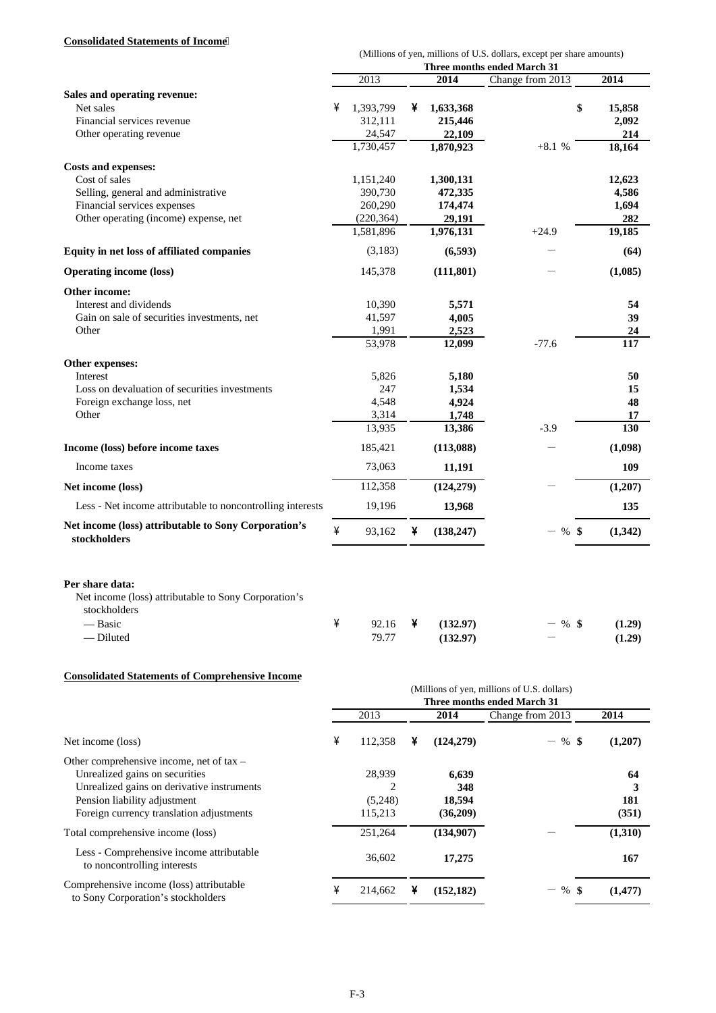## **Consolidated Statements of Income**

|                                                                                                    |   |            |   |            | (Millions of yen, millions of U.S. dollars, except per share amounts) |          |
|----------------------------------------------------------------------------------------------------|---|------------|---|------------|-----------------------------------------------------------------------|----------|
|                                                                                                    |   | 2013       |   | 2014       | Three months ended March 31<br>Change from 2013                       | 2014     |
| Sales and operating revenue:                                                                       |   |            |   |            |                                                                       |          |
| Net sales                                                                                          | ¥ | 1,393,799  | ¥ | 1,633,368  | \$                                                                    | 15,858   |
| Financial services revenue                                                                         |   | 312,111    |   | 215,446    |                                                                       | 2,092    |
| Other operating revenue                                                                            |   | 24,547     |   | 22,109     |                                                                       | 214      |
|                                                                                                    |   | 1,730,457  |   | 1,870,923  | $+8.1%$                                                               | 18,164   |
| <b>Costs and expenses:</b>                                                                         |   |            |   |            |                                                                       |          |
| Cost of sales                                                                                      |   | 1,151,240  |   | 1,300,131  |                                                                       | 12,623   |
| Selling, general and administrative                                                                |   | 390,730    |   | 472,335    |                                                                       | 4,586    |
| Financial services expenses                                                                        |   | 260,290    |   | 174,474    |                                                                       | 1,694    |
| Other operating (income) expense, net                                                              |   | (220, 364) |   | 29,191     |                                                                       | 282      |
|                                                                                                    |   | 1,581,896  |   | 1,976,131  | $+24.9$                                                               | 19,185   |
| Equity in net loss of affiliated companies                                                         |   | (3,183)    |   | (6,593)    |                                                                       | (64)     |
| <b>Operating income (loss)</b>                                                                     |   | 145,378    |   | (111, 801) |                                                                       | (1,085)  |
| Other income:                                                                                      |   |            |   |            |                                                                       |          |
| Interest and dividends                                                                             |   | 10,390     |   | 5,571      |                                                                       | 54       |
| Gain on sale of securities investments, net                                                        |   | 41,597     |   | 4,005      |                                                                       | 39       |
| Other                                                                                              |   | 1,991      |   | 2,523      |                                                                       | 24       |
|                                                                                                    |   | 53,978     |   | 12,099     | $-77.6$                                                               | 117      |
| Other expenses:                                                                                    |   |            |   |            |                                                                       |          |
| Interest                                                                                           |   | 5,826      |   | 5,180      |                                                                       | 50       |
| Loss on devaluation of securities investments                                                      |   | 247        |   | 1,534      |                                                                       | 15       |
| Foreign exchange loss, net                                                                         |   | 4,548      |   | 4,924      |                                                                       | 48       |
| Other                                                                                              |   | 3,314      |   | 1,748      |                                                                       | 17       |
|                                                                                                    |   | 13,935     |   | 13,386     | $-3.9$                                                                | 130      |
| Income (loss) before income taxes                                                                  |   | 185,421    |   | (113,088)  |                                                                       | (1,098)  |
| Income taxes                                                                                       |   | 73,063     |   | 11,191     |                                                                       | 109      |
| Net income (loss)                                                                                  |   | 112,358    |   | (124, 279) |                                                                       | (1,207)  |
| Less - Net income attributable to noncontrolling interests                                         |   | 19,196     |   | 13,968     |                                                                       | 135      |
| Net income (loss) attributable to Sony Corporation's<br>stockholders                               | ¥ | 93,162     | ¥ | (138, 247) | $\%$<br>- \$                                                          | (1, 342) |
| Per share data:<br>Net income (loss) attributable to Sony Corporation's<br>stockholders<br>— Basic | ¥ | 92.16      | ¥ | (132.97)   | - \$<br>$\%$                                                          | (1.29)   |
| — Diluted                                                                                          |   | 79.77      |   | (132.97)   |                                                                       | (1.29)   |

## **Consolidated Statements of Comprehensive Income**

|                                                                                                                                                                                                      |   |                              |   |                                    | (Millions of yen, millions of U.S. dollars)<br>Three months ended March 31 |                         |
|------------------------------------------------------------------------------------------------------------------------------------------------------------------------------------------------------|---|------------------------------|---|------------------------------------|----------------------------------------------------------------------------|-------------------------|
|                                                                                                                                                                                                      |   | 2013                         |   | 2014                               | Change from 2013                                                           | 2014                    |
| Net income (loss)                                                                                                                                                                                    | ¥ | 112.358                      | ¥ | (124, 279)                         | $-$ % \$                                                                   | (1,207)                 |
| Other comprehensive income, net of tax -<br>Unrealized gains on securities<br>Unrealized gains on derivative instruments<br>Pension liability adjustment<br>Foreign currency translation adjustments |   | 28,939<br>(5,248)<br>115,213 |   | 6,639<br>348<br>18,594<br>(36,209) |                                                                            | 64<br>3<br>181<br>(351) |
| Total comprehensive income (loss)                                                                                                                                                                    |   | 251,264                      |   | (134,907)                          |                                                                            | (1,310)                 |
| Less - Comprehensive income attributable<br>to noncontrolling interests                                                                                                                              |   | 36,602                       |   | 17,275                             |                                                                            | 167                     |
| Comprehensive income (loss) attributable<br>to Sony Corporation's stockholders                                                                                                                       | ¥ | 214,662                      | ¥ | (152, 182)                         | % \$<br>$\qquad \qquad -$                                                  | (1, 477)                |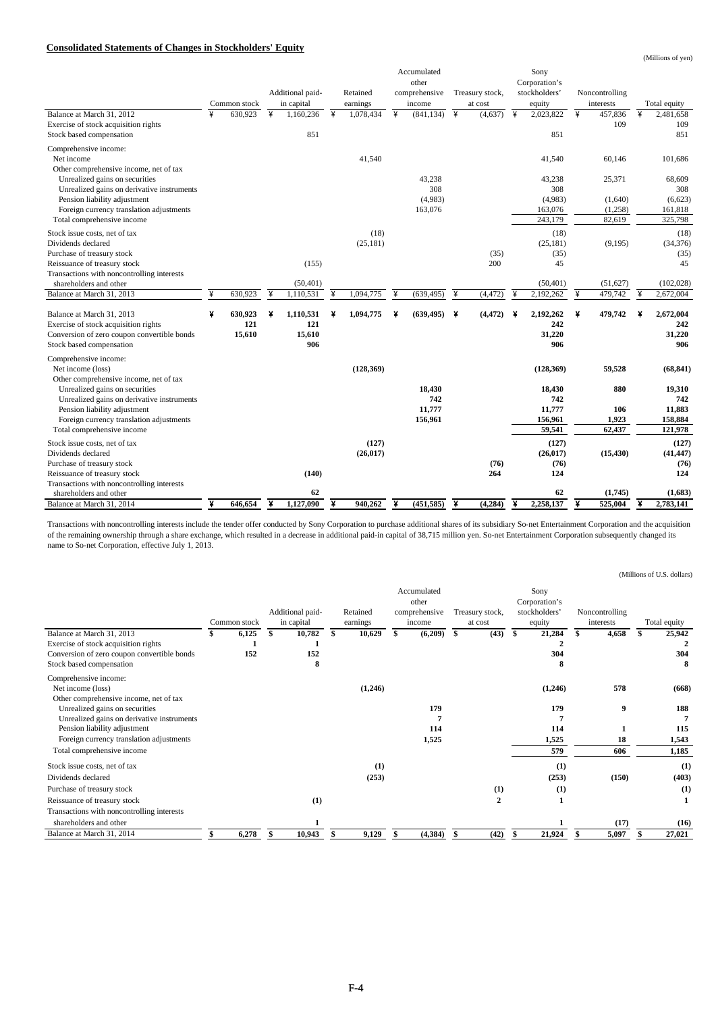#### **Consolidated Statements of Changes in Stockholders' Equity**

(Millions of yen)

|                                                                                                                                                                                                                                                                                |   | Common stock             |   | Additional paid-<br>in capital    |   | Retained<br>earnings           |   | Accumulated<br>other<br>comprehensive<br>income |   | Treasury stock,<br>at cost |   | Sony<br>Corporation's<br>stockholders'<br>equity           |   | Noncontrolling<br>interests                      |   | Total equity                                               |
|--------------------------------------------------------------------------------------------------------------------------------------------------------------------------------------------------------------------------------------------------------------------------------|---|--------------------------|---|-----------------------------------|---|--------------------------------|---|-------------------------------------------------|---|----------------------------|---|------------------------------------------------------------|---|--------------------------------------------------|---|------------------------------------------------------------|
| Balance at March 31, 2012<br>Exercise of stock acquisition rights<br>Stock based compensation                                                                                                                                                                                  | ¥ | 630.923                  | ¥ | 1,160,236<br>851                  | ¥ | 1,078,434                      | ¥ | (841, 134)                                      | ¥ | (4,637)                    | ¥ | 2,023,822<br>851                                           | ¥ | 457,836<br>109                                   | ¥ | 2,481,658<br>109<br>851                                    |
| Comprehensive income:<br>Net income<br>Other comprehensive income, net of tax<br>Unrealized gains on securities<br>Unrealized gains on derivative instruments<br>Pension liability adjustment<br>Foreign currency translation adjustments<br>Total comprehensive income        |   |                          |   |                                   |   | 41,540                         |   | 43,238<br>308<br>(4,983)<br>163,076             |   |                            |   | 41,540<br>43,238<br>308<br>(4,983)<br>163,076<br>243,179   |   | 60,146<br>25,371<br>(1,640)<br>(1,258)<br>82,619 |   | 101,686<br>68,609<br>308<br>(6,623)<br>161,818<br>325,798  |
| Stock issue costs, net of tax<br>Dividends declared<br>Purchase of treasury stock<br>Reissuance of treasury stock<br>Transactions with noncontrolling interests<br>shareholders and other<br>Balance at March 31, 2013                                                         | ¥ | 630,923                  | ¥ | (155)<br>(50, 401)<br>1,110,531   | ¥ | (18)<br>(25, 181)<br>1,094,775 | ¥ | (639, 495)                                      | ¥ | (35)<br>200<br>(4, 472)    | ¥ | (18)<br>(25, 181)<br>(35)<br>45<br>(50, 401)<br>2,192,262  | ¥ | (9,195)<br>(51, 627)<br>479,742                  | ¥ | (18)<br>(34, 376)<br>(35)<br>45<br>(102, 028)<br>2,672,004 |
| Balance at March 31, 2013<br>Exercise of stock acquisition rights<br>Conversion of zero coupon convertible bonds<br>Stock based compensation                                                                                                                                   | ¥ | 630.923<br>121<br>15,610 | ¥ | 1,110,531<br>121<br>15,610<br>906 |   | 1,094,775                      | ¥ | (639, 495)                                      | ¥ | (4, 472)                   |   | 2.192.262<br>242<br>31.220<br>906                          | ¥ | 479,742                                          | ¥ | 2,672,004<br>242<br>31,220<br>906                          |
| Comprehensive income:<br>Net income (loss)<br>Other comprehensive income, net of tax<br>Unrealized gains on securities<br>Unrealized gains on derivative instruments<br>Pension liability adjustment<br>Foreign currency translation adjustments<br>Total comprehensive income |   |                          |   |                                   |   | (128, 369)                     |   | 18,430<br>742<br>11,777<br>156,961              |   |                            |   | (128, 369)<br>18,430<br>742<br>11,777<br>156,961<br>59,541 |   | 59.528<br>880<br>106<br>1,923<br>62,437          |   | (68, 841)<br>19,310<br>742<br>11,883<br>158,884<br>121,978 |
| Stock issue costs, net of tax<br>Dividends declared<br>Purchase of treasury stock<br>Reissuance of treasury stock<br>Transactions with noncontrolling interests                                                                                                                |   |                          |   | (140)                             |   | (127)<br>(26, 017)             |   |                                                 |   | (76)<br>264                |   | (127)<br>(26, 017)<br>(76)<br>124                          |   | (15, 430)                                        |   | (127)<br>(41, 447)<br>(76)<br>124                          |
| shareholders and other<br>Balance at March 31, 2014                                                                                                                                                                                                                            | ¥ | 646.654                  | ¥ | 62<br>1,127,090                   | ¥ | 940,262                        | ¥ | (451, 585)                                      | ¥ | (4,284)                    | ¥ | 62<br>2,258,137                                            | ¥ | (1,745)<br>525,004                               | ¥ | (1,683)<br>2,783,141                                       |

Transactions with noncontrolling interests include the tender offer conducted by Sony Corporation to purchase additional shares of its subsidiary So-net Entertainment Corporation and the acquisition of the remaining ownership through a share exchange, which resulted in a decrease in additional paid-in capital of 38,715 million yen. So-net Entertainment Corporation subsequently changed its of the remaining ownership th name to So-net Corporation, effective July 1, 2013.

|                                                                         |              |                                |                      |                                                 |    |                            |                                                  |                             |       | (Millions of U.S. dollars) |
|-------------------------------------------------------------------------|--------------|--------------------------------|----------------------|-------------------------------------------------|----|----------------------------|--------------------------------------------------|-----------------------------|-------|----------------------------|
|                                                                         | Common stock | Additional paid-<br>in capital | Retained<br>earnings | Accumulated<br>other<br>comprehensive<br>income |    | Treasury stock,<br>at cost | Sony<br>Corporation's<br>stockholders'<br>equity | Noncontrolling<br>interests |       | Total equity               |
| Balance at March 31, 2013                                               | 6,125        | \$<br>10,782                   | \$<br>10,629         | \$<br>(6,209)                                   | \$ | (43)                       | \$<br>21,284                                     | \$                          | 4,658 | \$<br>25,942               |
| Exercise of stock acquisition rights                                    |              |                                |                      |                                                 |    |                            |                                                  |                             |       |                            |
| Conversion of zero coupon convertible bonds<br>Stock based compensation | 152          | 152<br>8                       |                      |                                                 |    |                            | 304<br>8                                         |                             |       | 304<br>8                   |
|                                                                         |              |                                |                      |                                                 |    |                            |                                                  |                             |       |                            |
| Comprehensive income:<br>Net income (loss)                              |              |                                | (1,246)              |                                                 |    |                            | (1,246)                                          |                             | 578   | (668)                      |
| Other comprehensive income, net of tax                                  |              |                                |                      |                                                 |    |                            |                                                  |                             |       |                            |
| Unrealized gains on securities                                          |              |                                |                      | 179                                             |    |                            | 179                                              |                             | 9     | 188                        |
| Unrealized gains on derivative instruments                              |              |                                |                      |                                                 |    |                            |                                                  |                             |       |                            |
| Pension liability adjustment                                            |              |                                |                      | 114                                             |    |                            | 114                                              |                             |       | 115                        |
| Foreign currency translation adjustments                                |              |                                |                      | 1,525                                           |    |                            | 1,525                                            |                             | 18    | 1,543                      |
| Total comprehensive income                                              |              |                                |                      |                                                 |    |                            | 579                                              |                             | 606   | 1,185                      |
| Stock issue costs, net of tax                                           |              |                                | (1)                  |                                                 |    |                            | (1)                                              |                             |       | (1)                        |
| Dividends declared                                                      |              |                                | (253)                |                                                 |    |                            | (253)                                            |                             | (150) | (403)                      |
| Purchase of treasury stock                                              |              |                                |                      |                                                 |    | (1)                        | (1)                                              |                             |       | (1)                        |
| Reissuance of treasury stock                                            |              | (1)                            |                      |                                                 |    | $\overline{2}$             |                                                  |                             |       |                            |
| Transactions with noncontrolling interests                              |              |                                |                      |                                                 |    |                            |                                                  |                             |       |                            |
| shareholders and other                                                  |              |                                |                      |                                                 |    |                            |                                                  |                             | (17)  | (16)                       |
| Balance at March 31, 2014                                               | 6,278        | 10,943                         | 9,129                | (4, 384)                                        | ж  | (42)                       | 21,924                                           |                             | 5,097 | 27,021                     |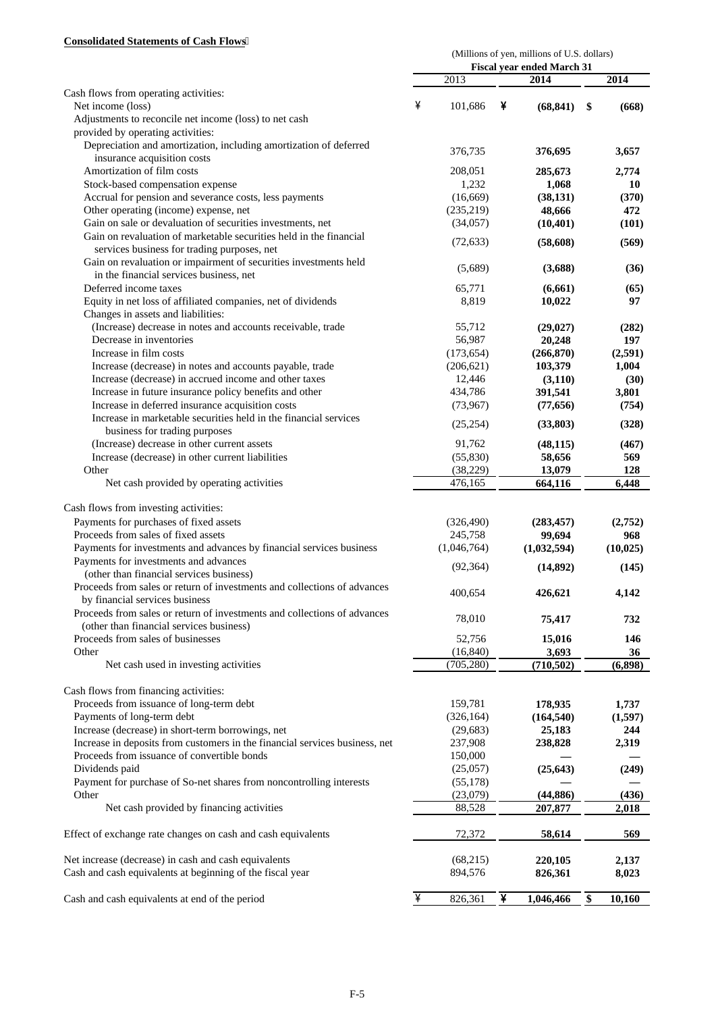## **Consolidated Statements of Cash Flows**

|                                                                             |   | (Millions of yen, millions of U.S. dollars) |   |                                   |    |           |
|-----------------------------------------------------------------------------|---|---------------------------------------------|---|-----------------------------------|----|-----------|
|                                                                             |   |                                             |   | <b>Fiscal year ended March 31</b> |    |           |
|                                                                             |   | $\overline{2013}$                           |   | 2014                              |    | 2014      |
| Cash flows from operating activities:                                       |   |                                             |   |                                   |    |           |
| Net income (loss)                                                           | ¥ | 101,686                                     | ¥ | (68, 841)                         | \$ | (668)     |
| Adjustments to reconcile net income (loss) to net cash                      |   |                                             |   |                                   |    |           |
| provided by operating activities:                                           |   |                                             |   |                                   |    |           |
| Depreciation and amortization, including amortization of deferred           |   | 376,735                                     |   | 376,695                           |    | 3,657     |
| insurance acquisition costs                                                 |   |                                             |   |                                   |    |           |
| Amortization of film costs                                                  |   | 208,051                                     |   | 285,673                           |    | 2,774     |
| Stock-based compensation expense                                            |   | 1,232                                       |   | 1,068                             |    | 10        |
| Accrual for pension and severance costs, less payments                      |   | (16,669)                                    |   | (38, 131)                         |    | (370)     |
| Other operating (income) expense, net                                       |   | (235,219)                                   |   | 48,666                            |    | 472       |
| Gain on sale or devaluation of securities investments, net                  |   | (34,057)                                    |   | (10, 401)                         |    | (101)     |
| Gain on revaluation of marketable securities held in the financial          |   |                                             |   |                                   |    |           |
| services business for trading purposes, net                                 |   | (72, 633)                                   |   | (58,608)                          |    | (569)     |
| Gain on revaluation or impairment of securities investments held            |   |                                             |   |                                   |    |           |
| in the financial services business, net                                     |   | (5,689)                                     |   | (3,688)                           |    | (36)      |
|                                                                             |   |                                             |   |                                   |    |           |
| Deferred income taxes                                                       |   | 65,771                                      |   | (6,661)                           |    | (65)      |
| Equity in net loss of affiliated companies, net of dividends                |   | 8,819                                       |   | 10,022                            |    | 97        |
| Changes in assets and liabilities:                                          |   |                                             |   |                                   |    |           |
| (Increase) decrease in notes and accounts receivable, trade                 |   | 55,712                                      |   | (29, 027)                         |    | (282)     |
| Decrease in inventories                                                     |   | 56,987                                      |   | 20,248                            |    | 197       |
| Increase in film costs                                                      |   | (173, 654)                                  |   | (266, 870)                        |    | (2,591)   |
| Increase (decrease) in notes and accounts payable, trade                    |   | (206, 621)                                  |   | 103,379                           |    | 1,004     |
| Increase (decrease) in accrued income and other taxes                       |   | 12,446                                      |   | (3, 110)                          |    | (30)      |
| Increase in future insurance policy benefits and other                      |   | 434,786                                     |   | 391,541                           |    | 3,801     |
| Increase in deferred insurance acquisition costs                            |   | (73,967)                                    |   | (77, 656)                         |    | (754)     |
| Increase in marketable securities held in the financial services            |   |                                             |   |                                   |    |           |
| business for trading purposes                                               |   | (25, 254)                                   |   | (33,803)                          |    | (328)     |
| (Increase) decrease in other current assets                                 |   | 91,762                                      |   | (48, 115)                         |    | (467)     |
| Increase (decrease) in other current liabilities                            |   | (55, 830)                                   |   | 58,656                            |    | 569       |
|                                                                             |   |                                             |   |                                   |    |           |
| Other                                                                       |   | (38,229)                                    |   | 13,079                            |    | 128       |
| Net cash provided by operating activities                                   |   | 476,165                                     |   | 664,116                           |    | 6,448     |
|                                                                             |   |                                             |   |                                   |    |           |
| Cash flows from investing activities:                                       |   |                                             |   |                                   |    |           |
| Payments for purchases of fixed assets                                      |   | (326, 490)                                  |   | (283, 457)                        |    | (2,752)   |
| Proceeds from sales of fixed assets                                         |   | 245,758                                     |   | 99,694                            |    | 968       |
| Payments for investments and advances by financial services business        |   | (1,046,764)                                 |   | (1,032,594)                       |    | (10, 025) |
| Payments for investments and advances                                       |   | (92, 364)                                   |   | (14, 892)                         |    | (145)     |
| (other than financial services business)                                    |   |                                             |   |                                   |    |           |
| Proceeds from sales or return of investments and collections of advances    |   |                                             |   |                                   |    |           |
| by financial services business                                              |   | 400,654                                     |   | 426,621                           |    | 4,142     |
| Proceeds from sales or return of investments and collections of advances    |   |                                             |   |                                   |    |           |
| (other than financial services business)                                    |   | 78,010                                      |   | 75,417                            |    | 732       |
| Proceeds from sales of businesses                                           |   | 52,756                                      |   | 15,016                            |    | 146       |
| Other                                                                       |   | (16, 840)                                   |   | 3,693                             |    | 36        |
| Net cash used in investing activities                                       |   | (705, 280)                                  |   |                                   |    | (6,898)   |
|                                                                             |   |                                             |   | (710, 502)                        |    |           |
|                                                                             |   |                                             |   |                                   |    |           |
| Cash flows from financing activities:                                       |   |                                             |   |                                   |    |           |
| Proceeds from issuance of long-term debt                                    |   | 159,781                                     |   | 178,935                           |    | 1,737     |
| Payments of long-term debt                                                  |   | (326, 164)                                  |   | (164, 540)                        |    | (1,597)   |
| Increase (decrease) in short-term borrowings, net                           |   | (29, 683)                                   |   | 25,183                            |    | 244       |
| Increase in deposits from customers in the financial services business, net |   | 237,908                                     |   | 238,828                           |    | 2,319     |
| Proceeds from issuance of convertible bonds                                 |   | 150,000                                     |   |                                   |    |           |
| Dividends paid                                                              |   | (25,057)                                    |   | (25, 643)                         |    | (249)     |
| Payment for purchase of So-net shares from noncontrolling interests         |   | (55, 178)                                   |   |                                   |    |           |
| Other                                                                       |   | (23,079)                                    |   | (44, 886)                         |    | (436)     |
| Net cash provided by financing activities                                   |   | 88,528                                      |   | 207,877                           |    | 2,018     |
|                                                                             |   |                                             |   |                                   |    |           |
| Effect of exchange rate changes on cash and cash equivalents                |   | 72,372                                      |   | 58,614                            |    | 569       |
|                                                                             |   |                                             |   |                                   |    |           |
| Net increase (decrease) in cash and cash equivalents                        |   | (68,215)                                    |   | 220,105                           |    | 2,137     |
| Cash and cash equivalents at beginning of the fiscal year                   |   | 894,576                                     |   | 826,361                           |    | 8,023     |
|                                                                             | ¥ |                                             | ¥ |                                   |    |           |
| Cash and cash equivalents at end of the period                              |   | 826,361                                     |   | 1,046,466                         | \$ | 10,160    |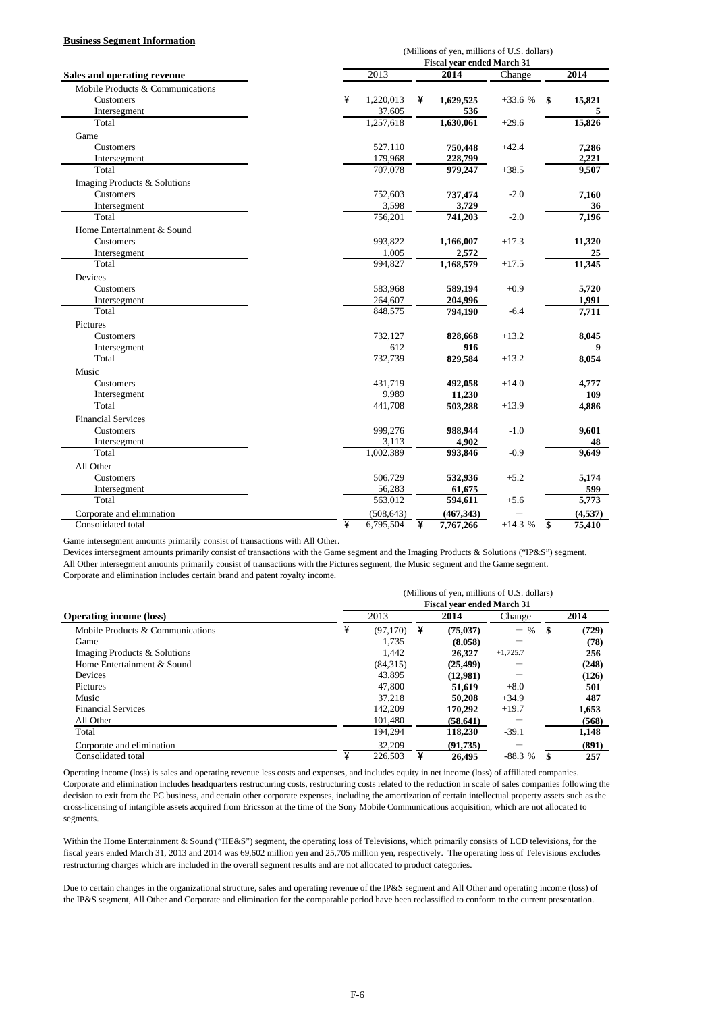#### **Business Segment Information**

| ваянсяя эсепісін інгендісім      | (Millions of yen, millions of U.S. dollars) |            |   |                                   |          |    |         |  |  |  |
|----------------------------------|---------------------------------------------|------------|---|-----------------------------------|----------|----|---------|--|--|--|
|                                  |                                             |            |   | <b>Fiscal year ended March 31</b> |          |    |         |  |  |  |
| Sales and operating revenue      |                                             | 2013       |   | 2014                              | Change   |    | 2014    |  |  |  |
| Mobile Products & Communications |                                             |            |   |                                   |          |    |         |  |  |  |
| Customers                        | ¥                                           | 1,220,013  | ¥ | 1,629,525                         | $+33.6%$ | \$ | 15,821  |  |  |  |
| Intersegment                     |                                             | 37,605     |   | 536                               |          |    | 5       |  |  |  |
| Total                            |                                             | 1,257,618  |   | 1,630,061                         | $+29.6$  |    | 15,826  |  |  |  |
| Game                             |                                             |            |   |                                   |          |    |         |  |  |  |
| Customers                        |                                             | 527,110    |   | 750,448                           | $+42.4$  |    | 7,286   |  |  |  |
| Intersegment                     |                                             | 179.968    |   | 228,799                           |          |    | 2,221   |  |  |  |
| Total                            |                                             | 707,078    |   | 979,247                           | $+38.5$  |    | 9,507   |  |  |  |
| Imaging Products & Solutions     |                                             |            |   |                                   |          |    |         |  |  |  |
| Customers                        |                                             | 752,603    |   | 737,474                           | $-2.0$   |    | 7,160   |  |  |  |
| Intersegment                     |                                             | 3,598      |   | 3,729                             |          |    | 36      |  |  |  |
| Total                            |                                             | 756,201    |   | 741,203                           | $-2.0$   |    | 7,196   |  |  |  |
| Home Entertainment & Sound       |                                             |            |   |                                   |          |    |         |  |  |  |
| Customers                        |                                             | 993,822    |   | 1,166,007                         | $+17.3$  |    | 11,320  |  |  |  |
| Intersegment                     |                                             | 1,005      |   | 2,572                             |          |    | 25      |  |  |  |
| Total                            |                                             | 994,827    |   | 1,168,579                         | $+17.5$  |    | 11,345  |  |  |  |
| Devices                          |                                             |            |   |                                   |          |    |         |  |  |  |
| Customers                        |                                             | 583,968    |   | 589,194                           | $+0.9$   |    | 5,720   |  |  |  |
| Intersegment                     |                                             | 264,607    |   | 204,996                           |          |    | 1,991   |  |  |  |
| Total                            |                                             | 848,575    |   | 794,190                           | $-6.4$   |    | 7,711   |  |  |  |
| Pictures                         |                                             |            |   |                                   |          |    |         |  |  |  |
| Customers                        |                                             | 732,127    |   | 828,668                           | $+13.2$  |    | 8,045   |  |  |  |
| Intersegment                     |                                             | 612        |   | 916                               |          |    | 9       |  |  |  |
| Total                            |                                             | 732,739    |   | 829,584                           | $+13.2$  |    | 8,054   |  |  |  |
| Music                            |                                             |            |   |                                   |          |    |         |  |  |  |
| Customers                        |                                             | 431,719    |   | 492,058                           | $+14.0$  |    | 4,777   |  |  |  |
| Intersegment                     |                                             | 9,989      |   | 11,230                            |          |    | 109     |  |  |  |
| Total                            |                                             | 441,708    |   | 503,288                           | $+13.9$  |    | 4,886   |  |  |  |
| <b>Financial Services</b>        |                                             |            |   |                                   |          |    |         |  |  |  |
| Customers                        |                                             | 999,276    |   | 988,944                           | $-1.0$   |    | 9,601   |  |  |  |
| Intersegment                     |                                             | 3,113      |   | 4,902                             |          |    | 48      |  |  |  |
| Total                            |                                             | 1,002,389  |   | 993,846                           | $-0.9$   |    | 9,649   |  |  |  |
| All Other                        |                                             |            |   |                                   |          |    |         |  |  |  |
| Customers                        |                                             | 506,729    |   | 532,936                           | $+5.2$   |    | 5,174   |  |  |  |
| Intersegment                     |                                             | 56,283     |   | 61,675                            |          |    | 599     |  |  |  |
| Total                            |                                             | 563,012    |   | 594,611                           | $+5.6$   |    | 5,773   |  |  |  |
|                                  |                                             |            |   |                                   |          |    |         |  |  |  |
| Corporate and elimination        |                                             | (508, 643) |   | (467, 343)                        |          |    | (4,537) |  |  |  |
| Consolidated total               | ¥                                           | 6,795,504  | ¥ | 7,767,266                         | $+14.3%$ | \$ | 75,410  |  |  |  |

Game intersegment amounts primarily consist of transactions with All Other.

Devices intersegment amounts primarily consist of transactions with the Game segment and the Imaging Products & Solutions ("IP&S") segment. All Other intersegment amounts primarily consist of transactions with the Pictures segment, the Music segment and the Game segment. Corporate and elimination includes certain brand and patent royalty income.

|                                  |   | (Millions of yen, millions of U.S. dollars) |   |           |                                  |    |       |  |  |  |  |
|----------------------------------|---|---------------------------------------------|---|-----------|----------------------------------|----|-------|--|--|--|--|
|                                  |   | <b>Fiscal year ended March 31</b>           |   |           |                                  |    |       |  |  |  |  |
| <b>Operating income (loss)</b>   |   | 2013                                        |   | 2014      | Change                           |    | 2014  |  |  |  |  |
| Mobile Products & Communications | ¥ | (97,170)                                    | ¥ | (75, 037) | $\%$<br>$\overline{\phantom{m}}$ | -S | (729) |  |  |  |  |
| Game                             |   | 1.735                                       |   | (8,058)   |                                  |    | (78)  |  |  |  |  |
| Imaging Products & Solutions     |   | 1,442                                       |   | 26,327    | $+1,725.7$                       |    | 256   |  |  |  |  |
| Home Entertainment & Sound       |   | (84,315)                                    |   | (25, 499) |                                  |    | (248) |  |  |  |  |
| Devices                          |   | 43.895                                      |   | (12,981)  |                                  |    | (126) |  |  |  |  |
| <b>Pictures</b>                  |   | 47,800                                      |   | 51,619    | $+8.0$                           |    | 501   |  |  |  |  |
| Music                            |   | 37,218                                      |   | 50,208    | $+34.9$                          |    | 487   |  |  |  |  |
| <b>Financial Services</b>        |   | 142,209                                     |   | 170,292   | $+19.7$                          |    | 1,653 |  |  |  |  |
| All Other                        |   | 101.480                                     |   | (58, 641) |                                  |    | (568) |  |  |  |  |
| Total                            |   | 194.294                                     |   | 118,230   | $-39.1$                          |    | 1,148 |  |  |  |  |
| Corporate and elimination        |   | 32,209                                      |   | (91.735)  |                                  |    | (891) |  |  |  |  |
| Consolidated total               | ¥ | 226,503                                     |   | 26,495    | $-88.3%$                         |    | 257   |  |  |  |  |

Operating income (loss) is sales and operating revenue less costs and expenses, and includes equity in net income (loss) of affiliated companies. Corporate and elimination includes headquarters restructuring costs, restructuring costs related to the reduction in scale of sales companies following the decision to exit from the PC business, and certain other corporate expenses, including the amortization of certain intellectual property assets such as the cross-licensing of intangible assets acquired from Ericsson at the time of the Sony Mobile Communications acquisition, which are not allocated to segments.

Within the Home Entertainment & Sound ("HE&S") segment, the operating loss of Televisions, which primarily consists of LCD televisions, for the fiscal years ended March 31, 2013 and 2014 was 69,602 million yen and 25,705 million yen, respectively. The operating loss of Televisions excludes restructuring charges which are included in the overall segment results and are not allocated to product categories.

Due to certain changes in the organizational structure, sales and operating revenue of the IP&S segment and All Other and operating income (loss) of the IP&S segment, All Other and Corporate and elimination for the comparable period have been reclassified to conform to the current presentation.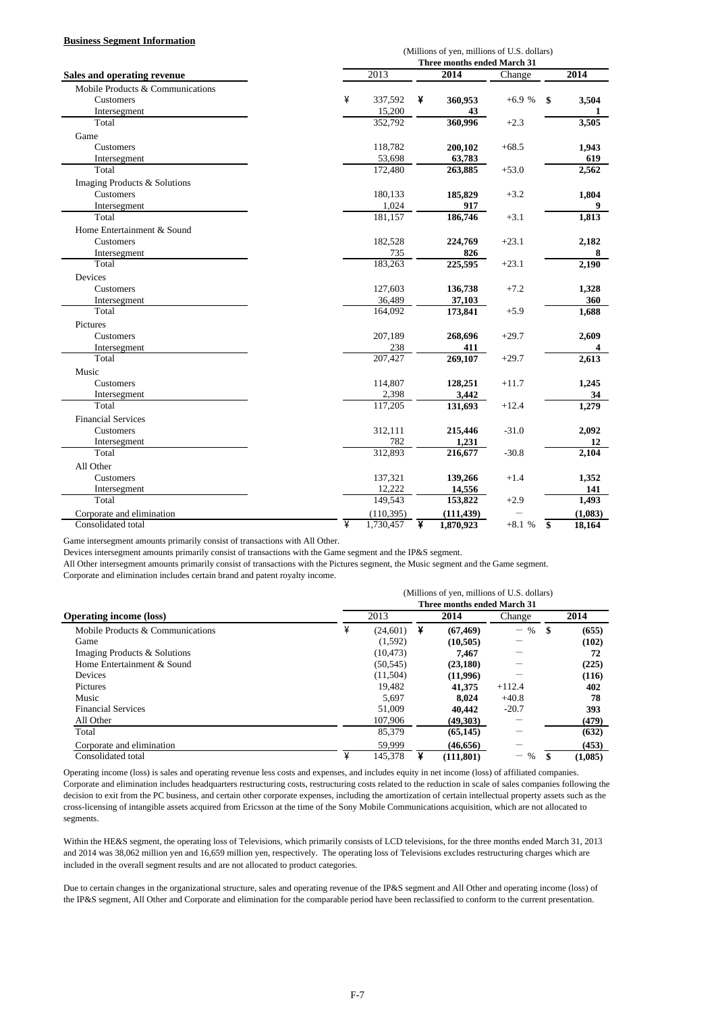#### **Business Segment Information**

|                                  | (Millions of yen, millions of U.S. dollars) |            |   |                             |         |    |         |  |  |  |
|----------------------------------|---------------------------------------------|------------|---|-----------------------------|---------|----|---------|--|--|--|
|                                  |                                             |            |   | Three months ended March 31 |         |    |         |  |  |  |
| Sales and operating revenue      |                                             | 2013       |   | 2014                        | Change  |    | 2014    |  |  |  |
| Mobile Products & Communications |                                             |            |   |                             |         |    |         |  |  |  |
| Customers                        | ¥                                           | 337,592    | ¥ | 360,953                     | $+6.9%$ | \$ | 3,504   |  |  |  |
| Intersegment                     |                                             | 15,200     |   | 43                          |         |    |         |  |  |  |
| Total                            |                                             | 352,792    |   | 360,996                     | $+2.3$  |    | 3,505   |  |  |  |
| Game                             |                                             |            |   |                             |         |    |         |  |  |  |
| Customers                        |                                             | 118,782    |   | 200,102                     | $+68.5$ |    | 1,943   |  |  |  |
| Intersegment                     |                                             | 53,698     |   | 63,783                      |         |    | 619     |  |  |  |
| Total                            |                                             | 172,480    |   | 263,885                     | $+53.0$ |    | 2,562   |  |  |  |
| Imaging Products & Solutions     |                                             |            |   |                             |         |    |         |  |  |  |
| Customers                        |                                             | 180,133    |   | 185,829                     | $+3.2$  |    | 1,804   |  |  |  |
| Intersegment                     |                                             | 1,024      |   | 917                         |         |    | 9       |  |  |  |
| Total                            |                                             | 181,157    |   | 186,746                     | $+3.1$  |    | 1,813   |  |  |  |
| Home Entertainment & Sound       |                                             |            |   |                             |         |    |         |  |  |  |
| Customers                        |                                             | 182,528    |   | 224,769                     | $+23.1$ |    | 2,182   |  |  |  |
| Intersegment                     |                                             | 735        |   | 826                         |         |    | 8       |  |  |  |
| Total                            |                                             | 183,263    |   | 225,595                     | $+23.1$ |    | 2,190   |  |  |  |
| Devices                          |                                             |            |   |                             |         |    |         |  |  |  |
| Customers                        |                                             | 127,603    |   | 136,738                     | $+7.2$  |    | 1,328   |  |  |  |
| Intersegment                     |                                             | 36,489     |   | 37,103                      |         |    | 360     |  |  |  |
| Total                            |                                             | 164,092    |   | 173,841                     | $+5.9$  |    | 1,688   |  |  |  |
| Pictures                         |                                             |            |   |                             |         |    |         |  |  |  |
| Customers                        |                                             | 207,189    |   | 268,696                     | $+29.7$ |    | 2,609   |  |  |  |
| Intersegment                     |                                             | 238        |   | 411                         |         |    | 4       |  |  |  |
| Total                            |                                             | 207,427    |   | 269,107                     | $+29.7$ |    | 2,613   |  |  |  |
| Music                            |                                             |            |   |                             |         |    |         |  |  |  |
| Customers                        |                                             | 114,807    |   | 128,251                     | $+11.7$ |    | 1,245   |  |  |  |
| Intersegment                     |                                             | 2,398      |   | 3,442                       |         |    | 34      |  |  |  |
| Total                            |                                             | 117,205    |   | 131,693                     | $+12.4$ |    | 1,279   |  |  |  |
| <b>Financial Services</b>        |                                             |            |   |                             |         |    |         |  |  |  |
| Customers                        |                                             | 312,111    |   | 215,446                     | $-31.0$ |    | 2,092   |  |  |  |
| Intersegment                     |                                             | 782        |   | 1,231                       |         |    | 12      |  |  |  |
| Total                            |                                             | 312,893    |   | 216,677                     | $-30.8$ |    | 2,104   |  |  |  |
| All Other                        |                                             |            |   |                             |         |    |         |  |  |  |
| Customers                        |                                             | 137,321    |   | 139,266                     | $+1.4$  |    | 1,352   |  |  |  |
| Intersegment                     |                                             | 12,222     |   | 14,556                      |         |    | 141     |  |  |  |
| Total                            |                                             | 149,543    |   | 153,822                     | $+2.9$  |    | 1,493   |  |  |  |
| Corporate and elimination        |                                             | (110, 395) |   | (111, 439)                  |         |    | (1,083) |  |  |  |
| Consolidated total               | ¥                                           | 1,730,457  | ¥ | 1,870,923                   | $+8.1%$ | \$ | 18,164  |  |  |  |

Game intersegment amounts primarily consist of transactions with All Other.

Devices intersegment amounts primarily consist of transactions with the Game segment and the IP&S segment.

All Other intersegment amounts primarily consist of transactions with the Pictures segment, the Music segment and the Game segment. Corporate and elimination includes certain brand and patent royalty income.

|                                  | (Millions of yen, millions of U.S. dollars) |           |   |           |                                  |   |         |  |  |  |  |
|----------------------------------|---------------------------------------------|-----------|---|-----------|----------------------------------|---|---------|--|--|--|--|
|                                  | Three months ended March 31                 |           |   |           |                                  |   |         |  |  |  |  |
| <b>Operating income (loss)</b>   |                                             | 2013      |   | 2014      | Change                           |   | 2014    |  |  |  |  |
| Mobile Products & Communications | ¥                                           | (24,601)  | ¥ | (67, 469) | $\%$<br>$\qquad \qquad -$        | S | (655)   |  |  |  |  |
| Game                             |                                             | (1,592)   |   | (10, 505) |                                  |   | (102)   |  |  |  |  |
| Imaging Products & Solutions     |                                             | (10, 473) |   | 7.467     |                                  |   | 72      |  |  |  |  |
| Home Entertainment & Sound       |                                             | (50, 545) |   | (23, 180) |                                  |   | (225)   |  |  |  |  |
| <b>Devices</b>                   |                                             | (11,504)  |   | (11,996)  |                                  |   | (116)   |  |  |  |  |
| <b>Pictures</b>                  |                                             | 19.482    |   | 41,375    | $+112.4$                         |   | 402     |  |  |  |  |
| Music                            |                                             | 5,697     |   | 8.024     | $+40.8$                          |   | 78      |  |  |  |  |
| <b>Financial Services</b>        |                                             | 51,009    |   | 40,442    | $-20.7$                          |   | 393     |  |  |  |  |
| All Other                        |                                             | 107.906   |   | (49.303)  |                                  |   | (479)   |  |  |  |  |
| Total                            |                                             | 85,379    |   | (65, 145) |                                  |   | (632)   |  |  |  |  |
| Corporate and elimination        |                                             | 59,999    |   | (46, 656) |                                  |   | (453)   |  |  |  |  |
| Consolidated total               | ¥                                           | 145,378   |   | (111.801) | $\%$<br>$\overline{\phantom{0}}$ |   | (1,085) |  |  |  |  |

Operating income (loss) is sales and operating revenue less costs and expenses, and includes equity in net income (loss) of affiliated companies. Corporate and elimination includes headquarters restructuring costs, restructuring costs related to the reduction in scale of sales companies following the decision to exit from the PC business, and certain other corporate expenses, including the amortization of certain intellectual property assets such as the cross-licensing of intangible assets acquired from Ericsson at the time of the Sony Mobile Communications acquisition, which are not allocated to segments.

Within the HE&S segment, the operating loss of Televisions, which primarily consists of LCD televisions, for the three months ended March 31, 2013 and 2014 was 38,062 million yen and 16,659 million yen, respectively. The operating loss of Televisions excludes restructuring charges which are included in the overall segment results and are not allocated to product categories.

Due to certain changes in the organizational structure, sales and operating revenue of the IP&S segment and All Other and operating income (loss) of the IP&S segment, All Other and Corporate and elimination for the comparable period have been reclassified to conform to the current presentation.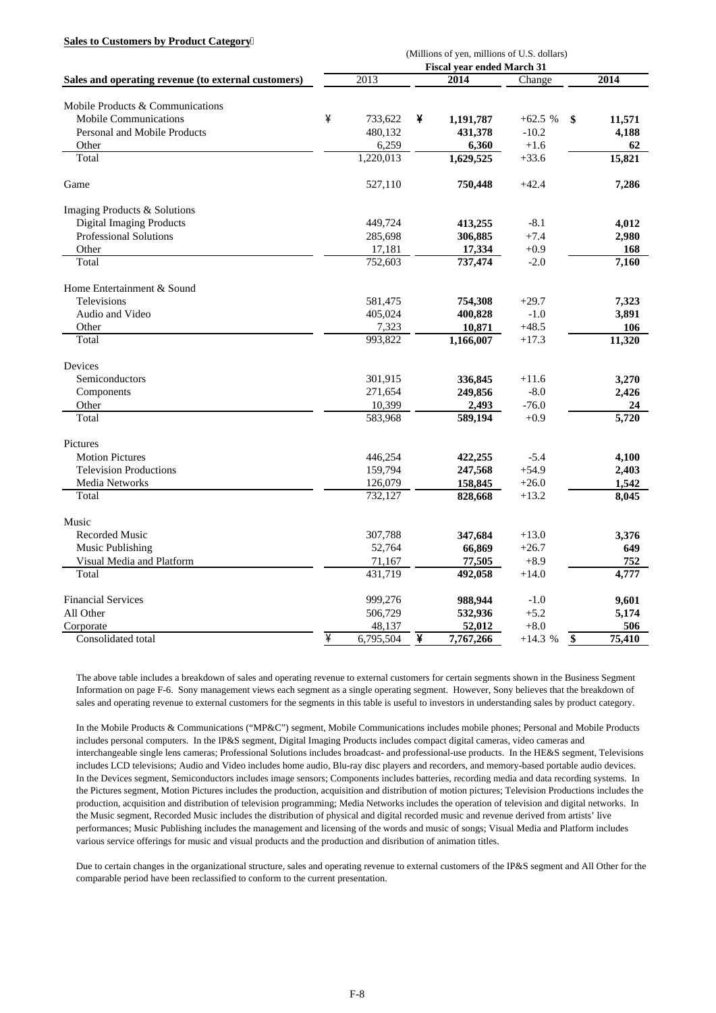#### **Sales to Customers by Product Category**

|                                                     | (Millions of yen, millions of U.S. dollars) |           |   |                                   |          |                 |        |  |  |  |  |  |  |
|-----------------------------------------------------|---------------------------------------------|-----------|---|-----------------------------------|----------|-----------------|--------|--|--|--|--|--|--|
|                                                     |                                             |           |   | <b>Fiscal year ended March 31</b> |          |                 |        |  |  |  |  |  |  |
| Sales and operating revenue (to external customers) |                                             | 2013      |   | 2014                              | Change   |                 | 2014   |  |  |  |  |  |  |
| Mobile Products & Communications                    |                                             |           |   |                                   |          |                 |        |  |  |  |  |  |  |
| <b>Mobile Communications</b>                        | ¥                                           | 733,622   | ¥ | 1,191,787                         | $+62.5%$ | \$              | 11,571 |  |  |  |  |  |  |
| Personal and Mobile Products                        |                                             | 480,132   |   | 431,378                           | $-10.2$  |                 | 4,188  |  |  |  |  |  |  |
| Other                                               |                                             | 6,259     |   | 6,360                             | $+1.6$   |                 | 62     |  |  |  |  |  |  |
| Total                                               |                                             | 1,220,013 |   | 1,629,525                         | $+33.6$  |                 | 15,821 |  |  |  |  |  |  |
| Game                                                |                                             | 527,110   |   | 750,448                           | $+42.4$  |                 | 7,286  |  |  |  |  |  |  |
| Imaging Products & Solutions                        |                                             |           |   |                                   |          |                 |        |  |  |  |  |  |  |
| <b>Digital Imaging Products</b>                     |                                             | 449,724   |   | 413,255                           | $-8.1$   |                 | 4,012  |  |  |  |  |  |  |
| <b>Professional Solutions</b>                       |                                             | 285,698   |   | 306,885                           | $+7.4$   |                 | 2,980  |  |  |  |  |  |  |
| Other                                               |                                             | 17,181    |   | 17,334                            | $+0.9$   |                 | 168    |  |  |  |  |  |  |
| Total                                               |                                             | 752,603   |   | 737,474                           | $-2.0$   |                 | 7,160  |  |  |  |  |  |  |
| Home Entertainment & Sound                          |                                             |           |   |                                   |          |                 |        |  |  |  |  |  |  |
| <b>Televisions</b>                                  |                                             | 581,475   |   | 754,308                           | $+29.7$  |                 | 7,323  |  |  |  |  |  |  |
| Audio and Video                                     |                                             | 405,024   |   | 400,828                           | $-1.0$   |                 | 3,891  |  |  |  |  |  |  |
| Other                                               |                                             | 7,323     |   | 10,871                            | $+48.5$  |                 | 106    |  |  |  |  |  |  |
| Total                                               |                                             | 993.822   |   | 1,166,007                         | $+17.3$  |                 | 11,320 |  |  |  |  |  |  |
| Devices                                             |                                             |           |   |                                   |          |                 |        |  |  |  |  |  |  |
| Semiconductors                                      |                                             | 301,915   |   | 336,845                           | $+11.6$  |                 | 3,270  |  |  |  |  |  |  |
| Components                                          |                                             | 271,654   |   | 249,856                           | $-8.0$   |                 | 2,426  |  |  |  |  |  |  |
| Other                                               |                                             | 10,399    |   | 2,493                             | $-76.0$  |                 | 24     |  |  |  |  |  |  |
| Total                                               |                                             | 583,968   |   | 589,194                           | $+0.9$   |                 | 5,720  |  |  |  |  |  |  |
| Pictures                                            |                                             |           |   |                                   |          |                 |        |  |  |  |  |  |  |
| <b>Motion Pictures</b>                              |                                             | 446,254   |   | 422,255                           | $-5.4$   |                 | 4,100  |  |  |  |  |  |  |
| <b>Television Productions</b>                       |                                             | 159,794   |   | 247,568                           | $+54.9$  |                 | 2,403  |  |  |  |  |  |  |
| Media Networks                                      |                                             | 126,079   |   | 158,845                           | $+26.0$  |                 | 1,542  |  |  |  |  |  |  |
| Total                                               |                                             | 732,127   |   | 828,668                           | $+13.2$  |                 | 8,045  |  |  |  |  |  |  |
| Music                                               |                                             |           |   |                                   |          |                 |        |  |  |  |  |  |  |
| <b>Recorded Music</b>                               |                                             | 307,788   |   | 347,684                           | $+13.0$  |                 | 3,376  |  |  |  |  |  |  |
| Music Publishing                                    |                                             | 52,764    |   | 66,869                            | $+26.7$  |                 | 649    |  |  |  |  |  |  |
| Visual Media and Platform                           |                                             | 71,167    |   | 77,505                            | $+8.9$   |                 | 752    |  |  |  |  |  |  |
| Total                                               |                                             | 431,719   |   | 492,058                           | $+14.0$  |                 | 4,777  |  |  |  |  |  |  |
| <b>Financial Services</b>                           |                                             | 999,276   |   | 988,944                           | $-1.0$   |                 | 9,601  |  |  |  |  |  |  |
| All Other                                           |                                             | 506,729   |   | 532,936                           | $+5.2$   |                 | 5,174  |  |  |  |  |  |  |
| Corporate                                           |                                             | 48,137    |   | 52,012                            | $+8.0$   |                 | 506    |  |  |  |  |  |  |
| Consolidated total                                  | ¥                                           | 6,795,504 | ¥ | 7,767,266                         | $+14.3%$ | $\overline{\$}$ | 75,410 |  |  |  |  |  |  |

The above table includes a breakdown of sales and operating revenue to external customers for certain segments shown in the Business Segment Information on page F-6. Sony management views each segment as a single operating segment. However, Sony believes that the breakdown of sales and operating revenue to external customers for the segments in this table is useful to investors in understanding sales by product category.

In the Mobile Products & Communications ("MP&C") segment, Mobile Communications includes mobile phones; Personal and Mobile Products includes personal computers. In the IP&S segment, Digital Imaging Products includes compact digital cameras, video cameras and interchangeable single lens cameras; Professional Solutions includes broadcast- and professional-use products. In the HE&S segment, Televisions includes LCD televisions; Audio and Video includes home audio, Blu-ray disc players and recorders, and memory-based portable audio devices. In the Devices segment, Semiconductors includes image sensors; Components includes batteries, recording media and data recording systems. In the Pictures segment, Motion Pictures includes the production, acquisition and distribution of motion pictures; Television Productions includes the production, acquisition and distribution of television programming; Media Networks includes the operation of television and digital networks. In the Music segment, Recorded Music includes the distribution of physical and digital recorded music and revenue derived from artists' live performances; Music Publishing includes the management and licensing of the words and music of songs; Visual Media and Platform includes various service offerings for music and visual products and the production and disribution of animation titles.

Due to certain changes in the organizational structure, sales and operating revenue to external customers of the IP&S segment and All Other for the comparable period have been reclassified to conform to the current presentation.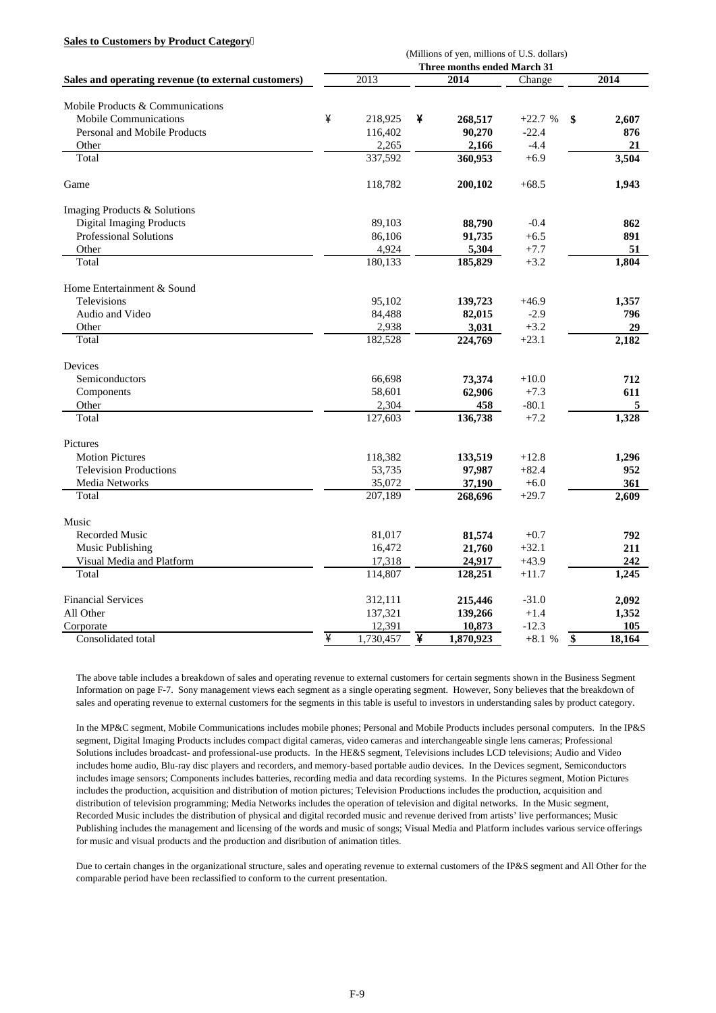#### **Sales to Customers by Product Category**

|                                                     | (Millions of yen, millions of U.S. dollars) |           |   |                                    |          |                 |                    |  |  |  |  |  |  |
|-----------------------------------------------------|---------------------------------------------|-----------|---|------------------------------------|----------|-----------------|--------------------|--|--|--|--|--|--|
|                                                     |                                             |           |   | <b>Three months ended March 31</b> |          |                 |                    |  |  |  |  |  |  |
| Sales and operating revenue (to external customers) |                                             | 2013      |   | 2014                               | Change   |                 | 2014               |  |  |  |  |  |  |
| Mobile Products & Communications                    |                                             |           |   |                                    |          |                 |                    |  |  |  |  |  |  |
| <b>Mobile Communications</b>                        | ¥                                           | 218,925   | ¥ | 268,517                            | $+22.7%$ | \$              | 2,607              |  |  |  |  |  |  |
| Personal and Mobile Products                        |                                             | 116,402   |   | 90,270                             | $-22.4$  |                 | 876                |  |  |  |  |  |  |
| Other                                               |                                             | 2,265     |   | 2,166                              | $-4.4$   |                 | 21                 |  |  |  |  |  |  |
| Total                                               |                                             | 337,592   |   | 360,953                            | $+6.9$   |                 | 3,504              |  |  |  |  |  |  |
| Game                                                |                                             | 118,782   |   | 200,102                            | $+68.5$  |                 | 1,943              |  |  |  |  |  |  |
| Imaging Products & Solutions                        |                                             |           |   |                                    |          |                 |                    |  |  |  |  |  |  |
| <b>Digital Imaging Products</b>                     |                                             | 89,103    |   | 88,790                             | $-0.4$   |                 | 862                |  |  |  |  |  |  |
| <b>Professional Solutions</b>                       |                                             | 86,106    |   | 91,735                             | $+6.5$   |                 | 891                |  |  |  |  |  |  |
| Other                                               |                                             | 4,924     |   | 5,304                              | $+7.7$   |                 | 51                 |  |  |  |  |  |  |
| Total                                               |                                             | 180, 133  |   | 185,829                            | $+3.2$   |                 | 1,804              |  |  |  |  |  |  |
| Home Entertainment & Sound                          |                                             |           |   |                                    |          |                 |                    |  |  |  |  |  |  |
| <b>Televisions</b>                                  |                                             | 95,102    |   | 139,723                            | $+46.9$  |                 | 1,357              |  |  |  |  |  |  |
| Audio and Video                                     |                                             | 84,488    |   | 82,015                             | $-2.9$   |                 | 796                |  |  |  |  |  |  |
| Other                                               |                                             | 2,938     |   | 3,031                              | $+3.2$   |                 | 29                 |  |  |  |  |  |  |
| Total                                               |                                             | 182,528   |   | 224,769                            | $+23.1$  |                 | $\overline{2,}182$ |  |  |  |  |  |  |
| Devices                                             |                                             |           |   |                                    |          |                 |                    |  |  |  |  |  |  |
| Semiconductors                                      |                                             | 66,698    |   | 73,374                             | $+10.0$  |                 | 712                |  |  |  |  |  |  |
| Components                                          |                                             | 58,601    |   | 62,906                             | $+7.3$   |                 | 611                |  |  |  |  |  |  |
| Other                                               |                                             | 2,304     |   | 458                                | $-80.1$  |                 | 5                  |  |  |  |  |  |  |
| Total                                               |                                             | 127,603   |   | 136,738                            | $+7.2$   |                 | 1,328              |  |  |  |  |  |  |
| Pictures                                            |                                             |           |   |                                    |          |                 |                    |  |  |  |  |  |  |
| <b>Motion Pictures</b>                              |                                             | 118,382   |   | 133,519                            | $+12.8$  |                 | 1,296              |  |  |  |  |  |  |
| <b>Television Productions</b>                       |                                             | 53,735    |   | 97,987                             | $+82.4$  |                 | 952                |  |  |  |  |  |  |
| Media Networks                                      |                                             | 35,072    |   | 37,190                             | $+6.0$   |                 | 361                |  |  |  |  |  |  |
| Total                                               |                                             | 207,189   |   | 268,696                            | $+29.7$  |                 | 2,609              |  |  |  |  |  |  |
| Music                                               |                                             |           |   |                                    |          |                 |                    |  |  |  |  |  |  |
| <b>Recorded Music</b>                               |                                             | 81,017    |   | 81,574                             | $+0.7$   |                 | 792                |  |  |  |  |  |  |
| Music Publishing                                    |                                             | 16,472    |   | 21,760                             | $+32.1$  |                 | 211                |  |  |  |  |  |  |
| Visual Media and Platform                           |                                             | 17,318    |   | 24,917                             | $+43.9$  |                 | 242                |  |  |  |  |  |  |
| Total                                               |                                             | 114,807   |   | 128,251                            | $+11.7$  |                 | 1,245              |  |  |  |  |  |  |
| <b>Financial Services</b>                           |                                             | 312,111   |   | 215,446                            | $-31.0$  |                 | 2,092              |  |  |  |  |  |  |
| All Other                                           |                                             | 137,321   |   | 139,266                            | $+1.4$   |                 | 1,352              |  |  |  |  |  |  |
| Corporate                                           |                                             | 12,391    |   | 10,873                             | $-12.3$  |                 | 105                |  |  |  |  |  |  |
| Consolidated total                                  | ¥                                           | 1,730,457 | ¥ | 1,870,923                          | $+8.1%$  | $\overline{\$}$ | 18,164             |  |  |  |  |  |  |

The above table includes a breakdown of sales and operating revenue to external customers for certain segments shown in the Business Segment Information on page F-7. Sony management views each segment as a single operating segment. However, Sony believes that the breakdown of sales and operating revenue to external customers for the segments in this table is useful to investors in understanding sales by product category.

In the MP&C segment, Mobile Communications includes mobile phones; Personal and Mobile Products includes personal computers. In the IP&S segment, Digital Imaging Products includes compact digital cameras, video cameras and interchangeable single lens cameras; Professional Solutions includes broadcast- and professional-use products. In the HE&S segment, Televisions includes LCD televisions; Audio and Video includes home audio, Blu-ray disc players and recorders, and memory-based portable audio devices. In the Devices segment, Semiconductors includes image sensors; Components includes batteries, recording media and data recording systems. In the Pictures segment, Motion Pictures includes the production, acquisition and distribution of motion pictures; Television Productions includes the production, acquisition and distribution of television programming; Media Networks includes the operation of television and digital networks. In the Music segment, Recorded Music includes the distribution of physical and digital recorded music and revenue derived from artists' live performances; Music Publishing includes the management and licensing of the words and music of songs; Visual Media and Platform includes various service offerings for music and visual products and the production and disribution of animation titles.

Due to certain changes in the organizational structure, sales and operating revenue to external customers of the IP&S segment and All Other for the comparable period have been reclassified to conform to the current presentation.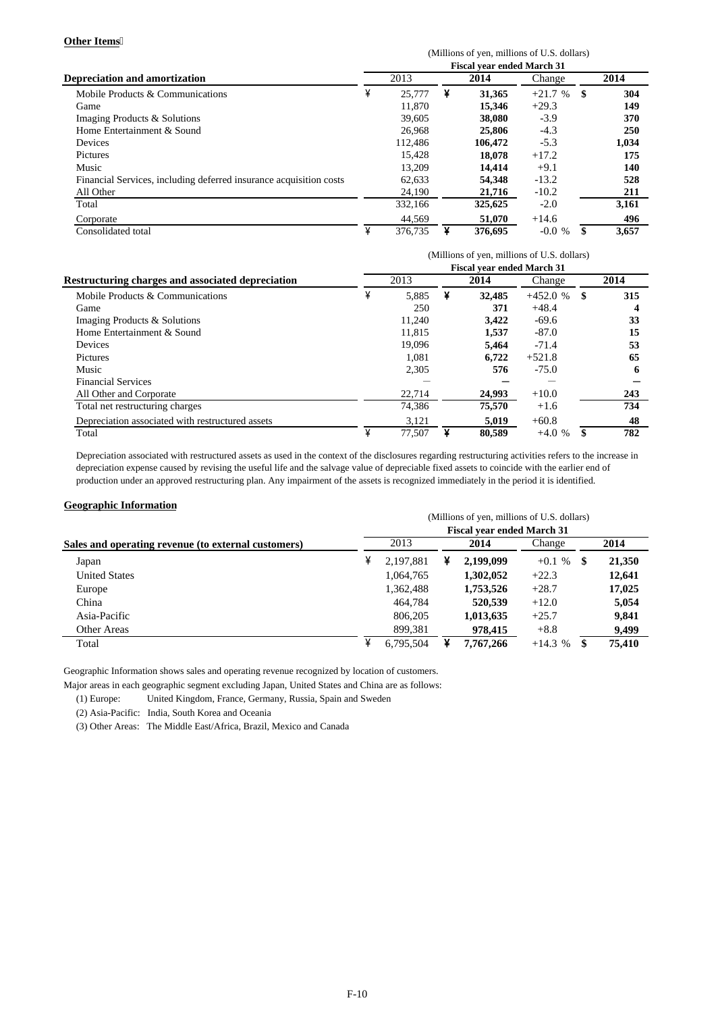## **Other Items**

|                                                                    | (Millions of yen, millions of U.S. dollars) |         |   |         |           |      |       |  |  |  |  |
|--------------------------------------------------------------------|---------------------------------------------|---------|---|---------|-----------|------|-------|--|--|--|--|
|                                                                    | <b>Fiscal year ended March 31</b>           |         |   |         |           |      |       |  |  |  |  |
| Depreciation and amortization                                      |                                             | 2013    |   | 2014    | Change    |      | 2014  |  |  |  |  |
| Mobile Products & Communications                                   | ¥                                           | 25,777  | ¥ | 31.365  | $+21.7%$  | - \$ | 304   |  |  |  |  |
| Game                                                               |                                             | 11.870  |   | 15.346  | $+29.3$   |      | 149   |  |  |  |  |
| Imaging Products & Solutions                                       |                                             | 39.605  |   | 38,080  | $-3.9$    |      | 370   |  |  |  |  |
| Home Entertainment & Sound                                         |                                             | 26,968  |   | 25,806  | $-4.3$    |      | 250   |  |  |  |  |
| Devices                                                            |                                             | 112,486 |   | 106.472 | $-5.3$    |      | 1,034 |  |  |  |  |
| Pictures                                                           |                                             | 15.428  |   | 18.078  | $+17.2$   |      | 175   |  |  |  |  |
| Music                                                              |                                             | 13.209  |   | 14,414  | $+9.1$    |      | 140   |  |  |  |  |
| Financial Services, including deferred insurance acquisition costs |                                             | 62,633  |   | 54,348  | $-13.2$   |      | 528   |  |  |  |  |
| All Other                                                          |                                             | 24,190  |   | 21,716  | $-10.2$   |      | 211   |  |  |  |  |
| Total                                                              |                                             | 332.166 |   | 325,625 | $-2.0$    |      | 3,161 |  |  |  |  |
| Corporate                                                          |                                             | 44.569  |   | 51.070  | $+14.6$   |      | 496   |  |  |  |  |
| Consolidated total                                                 | ¥                                           | 376,735 | ¥ | 376,695 | $-0.0 \%$ |      | 3,657 |  |  |  |  |

|                                                   | (Millions of yen, millions of U.S. dollars) |        |   |        |           |      |      |  |  |  |  |
|---------------------------------------------------|---------------------------------------------|--------|---|--------|-----------|------|------|--|--|--|--|
|                                                   | <b>Fiscal year ended March 31</b>           |        |   |        |           |      |      |  |  |  |  |
| Restructuring charges and associated depreciation |                                             | 2013   |   | 2014   | Change    |      | 2014 |  |  |  |  |
| Mobile Products & Communications                  | ¥                                           | 5.885  | ¥ | 32,485 | $+452.0%$ | - \$ | 315  |  |  |  |  |
| Game                                              |                                             | 250    |   | 371    | $+48.4$   |      | 4    |  |  |  |  |
| Imaging Products & Solutions                      |                                             | 11.240 |   | 3,422  | $-69.6$   |      | 33   |  |  |  |  |
| Home Entertainment & Sound                        |                                             | 11.815 |   | 1,537  | $-87.0$   |      | 15   |  |  |  |  |
| Devices                                           |                                             | 19.096 |   | 5.464  | $-71.4$   |      | 53   |  |  |  |  |
| <b>Pictures</b>                                   |                                             | 1,081  |   | 6.722  | $+521.8$  |      | 65   |  |  |  |  |
| Music                                             |                                             | 2,305  |   | 576    | $-75.0$   |      | 6    |  |  |  |  |
| <b>Financial Services</b>                         |                                             |        |   |        |           |      |      |  |  |  |  |
| All Other and Corporate                           |                                             | 22,714 |   | 24,993 | $+10.0$   |      | 243  |  |  |  |  |
| Total net restructuring charges                   |                                             | 74,386 |   | 75,570 | $+1.6$    |      | 734  |  |  |  |  |
| Depreciation associated with restructured assets  |                                             | 3,121  |   | 5,019  | $+60.8$   |      | 48   |  |  |  |  |
| Total                                             |                                             | 77.507 |   | 80.589 | $+4.0%$   |      | 782  |  |  |  |  |

Depreciation associated with restructured assets as used in the context of the disclosures regarding restructuring activities refers to the increase in depreciation expense caused by revising the useful life and the salvage value of depreciable fixed assets to coincide with the earlier end of production under an approved restructuring plan. Any impairment of the assets is recognized immediately in the period it is identified.

### **Geographic Information**

|                                                     | (Millions of yen, millions of U.S. dollars) |           |   |           |          |   |        |  |  |  |  |
|-----------------------------------------------------|---------------------------------------------|-----------|---|-----------|----------|---|--------|--|--|--|--|
|                                                     | <b>Fiscal year ended March 31</b>           |           |   |           |          |   |        |  |  |  |  |
| Sales and operating revenue (to external customers) |                                             | 2013      |   | 2014      | Change   |   | 2014   |  |  |  |  |
| Japan                                               | ¥                                           | 2,197,881 | ¥ | 2,199,099 | $+0.1%$  | S | 21,350 |  |  |  |  |
| <b>United States</b>                                |                                             | 1,064,765 |   | 1,302,052 | $+22.3$  |   | 12,641 |  |  |  |  |
| Europe                                              |                                             | 1,362,488 |   | 1,753,526 | $+28.7$  |   | 17,025 |  |  |  |  |
| China                                               |                                             | 464,784   |   | 520,539   | $+12.0$  |   | 5,054  |  |  |  |  |
| Asia-Pacific                                        |                                             | 806,205   |   | 1,013,635 | $+25.7$  |   | 9,841  |  |  |  |  |
| Other Areas                                         |                                             | 899.381   |   | 978,415   | $+8.8$   |   | 9,499  |  |  |  |  |
| Total                                               |                                             | 6.795.504 |   | 7.767.266 | $+14.3%$ | S | 75.410 |  |  |  |  |

Geographic Information shows sales and operating revenue recognized by location of customers.

Major areas in each geographic segment excluding Japan, United States and China are as follows:

(1) Europe: United Kingdom, France, Germany, Russia, Spain and Sweden

(2) Asia-Pacific: India, South Korea and Oceania

(3) Other Areas: The Middle East/Africa, Brazil, Mexico and Canada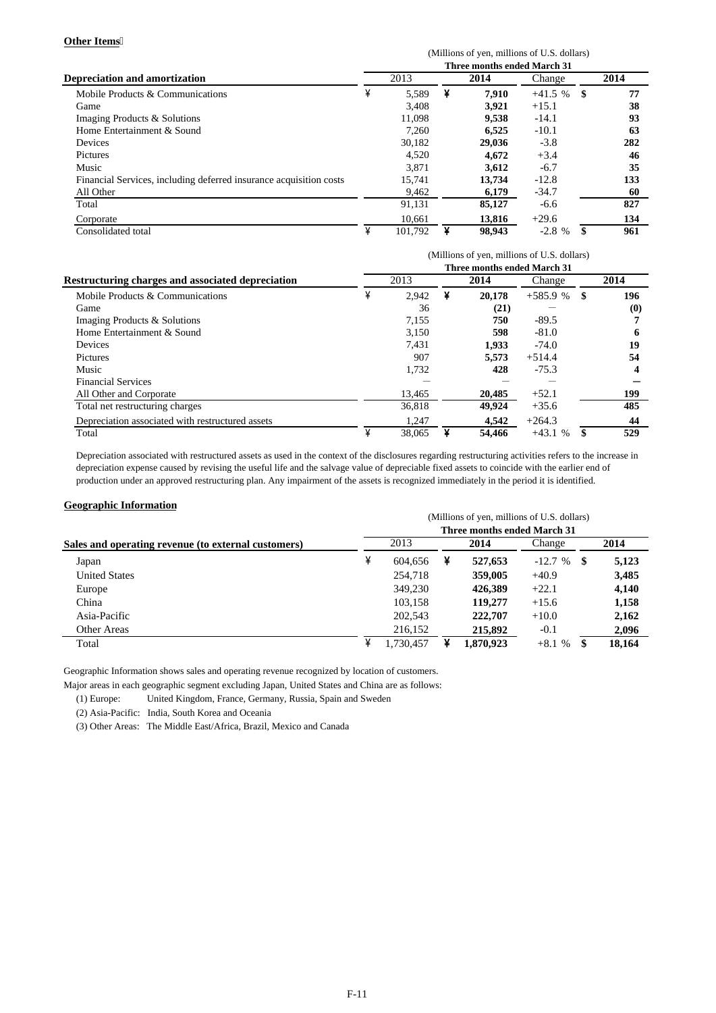## **Other Items**

|                                                                    | (Millions of yen, millions of U.S. dollars) |         |   |        |          |      |      |  |  |  |  |
|--------------------------------------------------------------------|---------------------------------------------|---------|---|--------|----------|------|------|--|--|--|--|
|                                                                    | Three months ended March 31                 |         |   |        |          |      |      |  |  |  |  |
| <b>Depreciation and amortization</b>                               |                                             | 2013    |   | 2014   | Change   |      | 2014 |  |  |  |  |
| Mobile Products & Communications                                   | ¥                                           | 5,589   | ¥ | 7.910  | $+41.5%$ | - \$ | 77   |  |  |  |  |
| Game                                                               |                                             | 3.408   |   | 3.921  | $+15.1$  |      | 38   |  |  |  |  |
| Imaging Products & Solutions                                       |                                             | 11.098  |   | 9,538  | $-14.1$  |      | 93   |  |  |  |  |
| Home Entertainment & Sound                                         |                                             | 7.260   |   | 6,525  | $-10.1$  |      | 63   |  |  |  |  |
| Devices                                                            |                                             | 30,182  |   | 29,036 | $-3.8$   |      | 282  |  |  |  |  |
| Pictures                                                           |                                             | 4.520   |   | 4.672  | $+3.4$   |      | 46   |  |  |  |  |
| Music                                                              |                                             | 3.871   |   | 3,612  | $-6.7$   |      | 35   |  |  |  |  |
| Financial Services, including deferred insurance acquisition costs |                                             | 15,741  |   | 13.734 | $-12.8$  |      | 133  |  |  |  |  |
| All Other                                                          |                                             | 9,462   |   | 6,179  | $-34.7$  |      | 60   |  |  |  |  |
| Total                                                              |                                             | 91,131  |   | 85,127 | $-6.6$   |      | 827  |  |  |  |  |
| Corporate                                                          |                                             | 10.661  |   | 13,816 | $+29.6$  |      | 134  |  |  |  |  |
| Consolidated total                                                 |                                             | 101.792 |   | 98.943 | $-2.8%$  |      | 961  |  |  |  |  |

|                                                   | (Millions of yen, millions of U.S. dollars)<br>Three months ended March 31 |        |   |        |                 |    |                               |  |  |  |  |
|---------------------------------------------------|----------------------------------------------------------------------------|--------|---|--------|-----------------|----|-------------------------------|--|--|--|--|
|                                                   |                                                                            |        |   |        |                 |    |                               |  |  |  |  |
| Restructuring charges and associated depreciation |                                                                            | 2013   |   | 2014   | Change          |    | 2014                          |  |  |  |  |
| Mobile Products & Communications                  | ¥                                                                          | 2.942  | ¥ | 20,178 | $+585.9%$       | -8 | 196                           |  |  |  |  |
| Game                                              |                                                                            | 36     |   | (21)   |                 |    | $\boldsymbol{\left(0\right)}$ |  |  |  |  |
| Imaging Products & Solutions                      |                                                                            | 7.155  |   | 750    | $-89.5$         |    |                               |  |  |  |  |
| Home Entertainment & Sound                        |                                                                            | 3,150  |   | 598    | $-81.0$         |    | 6                             |  |  |  |  |
| Devices                                           |                                                                            | 7.431  |   | 1.933  | $-74.0$         |    | 19                            |  |  |  |  |
| <b>Pictures</b>                                   |                                                                            | 907    |   | 5,573  | $+514.4$        |    | 54                            |  |  |  |  |
| Music                                             |                                                                            | 1,732  |   | 428    | $-75.3$         |    |                               |  |  |  |  |
| <b>Financial Services</b>                         |                                                                            |        |   |        |                 |    |                               |  |  |  |  |
| All Other and Corporate                           |                                                                            | 13,465 |   | 20,485 | $+52.1$         |    | 199                           |  |  |  |  |
| Total net restructuring charges                   |                                                                            | 36,818 |   | 49.924 | $+35.6$         |    | 485                           |  |  |  |  |
| Depreciation associated with restructured assets  |                                                                            | 1.247  |   | 4,542  | $+264.3$        |    | 44                            |  |  |  |  |
| Total                                             |                                                                            | 38,065 |   | 54,466 | $+43.1$<br>$\%$ | \$ | 529                           |  |  |  |  |

Depreciation associated with restructured assets as used in the context of the disclosures regarding restructuring activities refers to the increase in depreciation expense caused by revising the useful life and the salvage value of depreciable fixed assets to coincide with the earlier end of production under an approved restructuring plan. Any impairment of the assets is recognized immediately in the period it is identified.

### **Geographic Information**

|                                                                                                                         | (Millions of yen, millions of U.S. dollars) |           |   |                             |          |      |        |  |  |  |
|-------------------------------------------------------------------------------------------------------------------------|---------------------------------------------|-----------|---|-----------------------------|----------|------|--------|--|--|--|
|                                                                                                                         |                                             |           |   | Three months ended March 31 |          |      |        |  |  |  |
| Sales and operating revenue (to external customers)<br>Japan<br><b>United States</b><br>Europe<br>China<br>Asia-Pacific |                                             | 2013      |   | 2014                        | Change   |      | 2014   |  |  |  |
|                                                                                                                         | ¥                                           | 604.656   | ¥ | 527,653                     | $-12.7%$ | - \$ | 5,123  |  |  |  |
|                                                                                                                         |                                             | 254,718   |   | 359,005                     | $+40.9$  |      | 3,485  |  |  |  |
|                                                                                                                         |                                             | 349,230   |   | 426.389                     | $+22.1$  |      | 4,140  |  |  |  |
|                                                                                                                         |                                             | 103,158   |   | 119,277                     | $+15.6$  |      | 1,158  |  |  |  |
|                                                                                                                         |                                             | 202,543   |   | 222,707                     | $+10.0$  |      | 2,162  |  |  |  |
| Other Areas                                                                                                             |                                             | 216.152   |   | 215,892                     | $-0.1$   |      | 2,096  |  |  |  |
| Total                                                                                                                   |                                             | 1,730,457 |   | 1,870,923                   | $+8.1%$  | \$.  | 18.164 |  |  |  |

Geographic Information shows sales and operating revenue recognized by location of customers.

Major areas in each geographic segment excluding Japan, United States and China are as follows:

(1) Europe: United Kingdom, France, Germany, Russia, Spain and Sweden

(2) Asia-Pacific: India, South Korea and Oceania

(3) Other Areas: The Middle East/Africa, Brazil, Mexico and Canada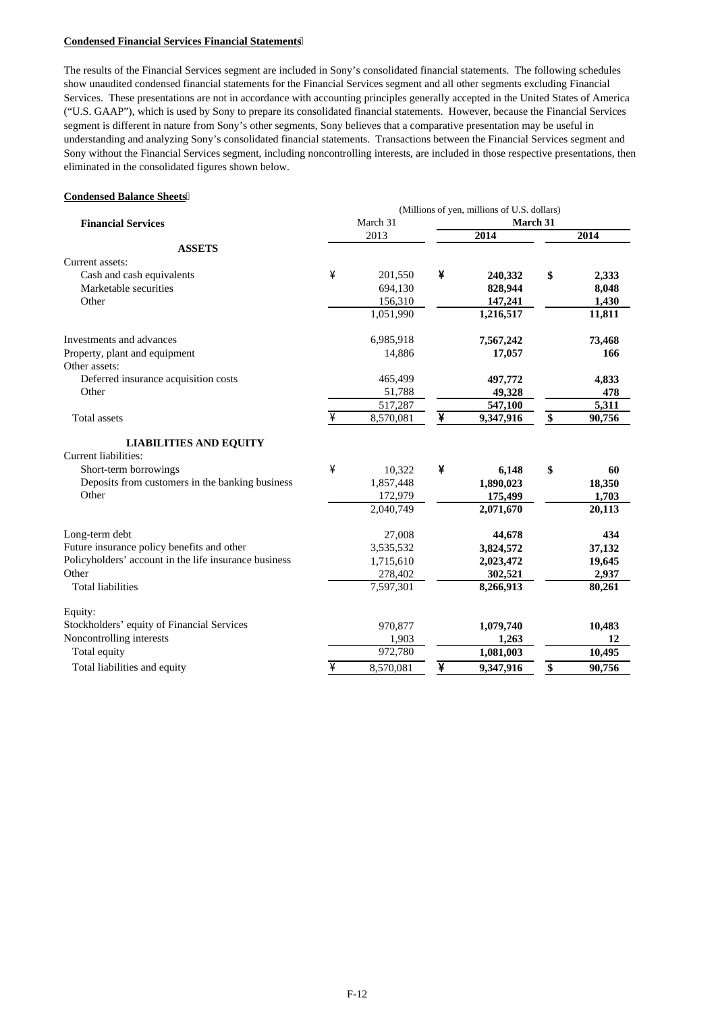#### **Condensed Financial Services Financial Statements**

The results of the Financial Services segment are included in Sony's consolidated financial statements. The following schedules show unaudited condensed financial statements for the Financial Services segment and all other segments excluding Financial Services. These presentations are not in accordance with accounting principles generally accepted in the United States of America ("U.S. GAAP"), which is used by Sony to prepare its consolidated financial statements. However, because the Financial Services segment is different in nature from Sony's other segments, Sony believes that a comparative presentation may be useful in understanding and analyzing Sony's consolidated financial statements. Transactions between the Financial Services segment and Sony without the Financial Services segment, including noncontrolling interests, are included in those respective presentations, then eliminated in the consolidated figures shown below.

### **Condensed Balance Sheets**

|                                                       | (Millions of yen, millions of U.S. dollars) |                        |   |           |               |        |
|-------------------------------------------------------|---------------------------------------------|------------------------|---|-----------|---------------|--------|
| <b>Financial Services</b>                             |                                             | March 31               |   | March 31  |               |        |
|                                                       |                                             | 2013                   |   | 2014      |               | 2014   |
| <b>ASSETS</b>                                         |                                             |                        |   |           |               |        |
| Current assets:                                       |                                             |                        |   |           |               |        |
| Cash and cash equivalents                             | ¥                                           | 201,550                | ¥ | 240,332   | \$            | 2,333  |
| Marketable securities                                 |                                             | 694,130                |   | 828,944   |               | 8,048  |
| Other                                                 |                                             | 156,310                |   | 147,241   |               | 1,430  |
|                                                       |                                             | 1,051,990              |   | 1,216,517 |               | 11,811 |
| Investments and advances                              |                                             | 6,985,918              |   | 7,567,242 |               | 73,468 |
| Property, plant and equipment                         |                                             | 14,886                 |   | 17,057    |               | 166    |
| Other assets:                                         |                                             |                        |   |           |               |        |
| Deferred insurance acquisition costs                  |                                             | 465,499                |   | 497,772   |               | 4,833  |
| Other                                                 |                                             | 51,788                 |   | 49,328    |               | 478    |
|                                                       |                                             | 517,287                |   | 547,100   |               | 5,311  |
| <b>Total</b> assets                                   | ¥                                           | 8,570,081              | ¥ | 9,347,916 | \$            | 90,756 |
| <b>LIABILITIES AND EQUITY</b>                         |                                             |                        |   |           |               |        |
| Current liabilities:                                  |                                             |                        |   |           |               |        |
| Short-term borrowings                                 | ¥                                           | 10,322                 | ¥ | 6,148     | \$            | 60     |
| Deposits from customers in the banking business       |                                             | 1,857,448              |   | 1,890,023 |               | 18,350 |
| Other                                                 |                                             | 172,979                |   | 175,499   |               | 1,703  |
|                                                       |                                             | 2,040,749              |   | 2,071,670 |               | 20,113 |
| Long-term debt                                        |                                             | 27,008                 |   | 44,678    |               | 434    |
| Future insurance policy benefits and other            |                                             | 3,535,532              |   | 3,824,572 |               | 37,132 |
| Policyholders' account in the life insurance business |                                             | 1,715,610              |   | 2,023,472 |               | 19,645 |
| Other                                                 |                                             | 278,402                |   | 302,521   |               | 2,937  |
| <b>Total liabilities</b>                              |                                             | $\overline{7,597,301}$ |   | 8,266,913 |               | 80,261 |
| Equity:                                               |                                             |                        |   |           |               |        |
| Stockholders' equity of Financial Services            |                                             | 970,877                |   | 1,079,740 |               | 10,483 |
| Noncontrolling interests                              |                                             | 1,903                  |   | 1,263     |               | 12     |
| Total equity                                          |                                             | 972,780                |   | 1,081,003 |               | 10,495 |
| Total liabilities and equity                          | ¥                                           | 8,570,081              | ¥ | 9,347,916 | $\frac{1}{2}$ | 90,756 |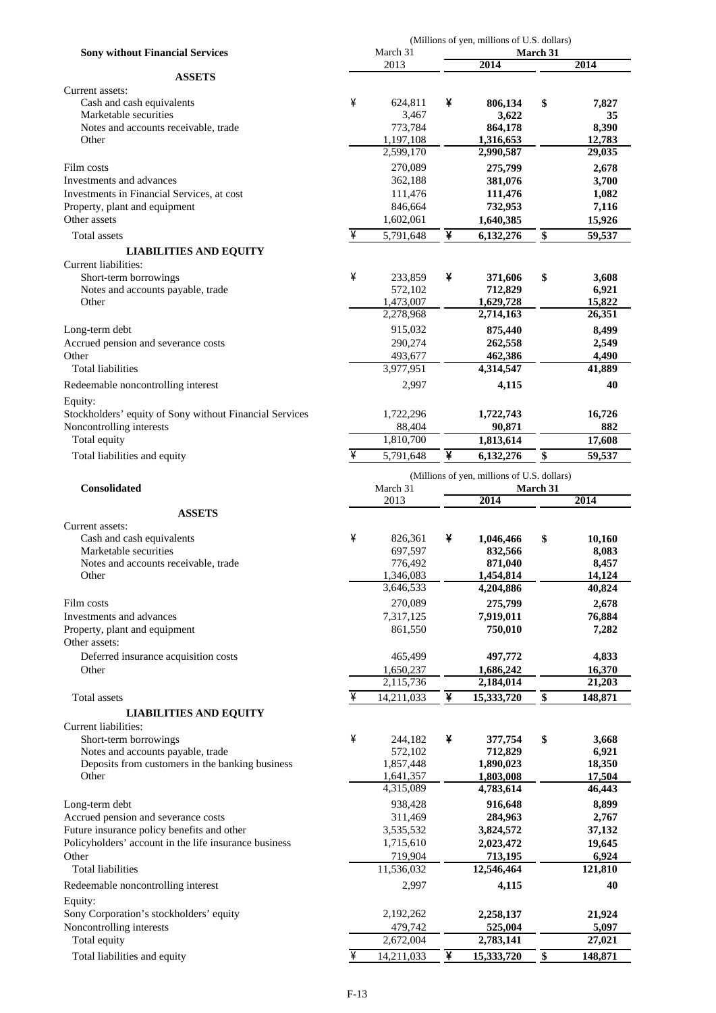|                                                               |   |                         |   | (Millions of yen, millions of U.S. dollars)<br>March 31 |                             |                   |  |  |  |
|---------------------------------------------------------------|---|-------------------------|---|---------------------------------------------------------|-----------------------------|-------------------|--|--|--|
| <b>Sony without Financial Services</b>                        |   | March 31<br>2013        |   | 2014                                                    |                             | 2014              |  |  |  |
| <b>ASSETS</b>                                                 |   |                         |   |                                                         |                             |                   |  |  |  |
| Current assets:                                               |   |                         |   |                                                         |                             |                   |  |  |  |
| Cash and cash equivalents                                     | ¥ | 624,811                 | ¥ | 806,134                                                 | \$                          | 7,827             |  |  |  |
| Marketable securities                                         |   | 3,467                   |   | 3,622                                                   |                             | 35                |  |  |  |
| Notes and accounts receivable, trade<br>Other                 |   | 773,784<br>1,197,108    |   | 864,178<br>1,316,653                                    |                             | 8,390<br>12,783   |  |  |  |
|                                                               |   | 2,599,170               |   | 2,990,587                                               |                             | 29,035            |  |  |  |
| Film costs                                                    |   | 270,089                 |   | 275,799                                                 |                             | 2,678             |  |  |  |
| Investments and advances                                      |   | 362,188                 |   | 381,076                                                 |                             | 3,700             |  |  |  |
| Investments in Financial Services, at cost                    |   | 111,476                 |   | 111,476                                                 |                             | 1,082             |  |  |  |
| Property, plant and equipment                                 |   | 846,664                 |   | 732,953                                                 |                             | 7,116             |  |  |  |
| Other assets                                                  |   | 1,602,061               |   | 1,640,385                                               |                             | 15,926            |  |  |  |
| Total assets                                                  | ¥ | 5,791,648               | ¥ | 6,132,276                                               | \$                          | 59,537            |  |  |  |
| <b>LIABILITIES AND EQUITY</b>                                 |   |                         |   |                                                         |                             |                   |  |  |  |
| Current liabilities:                                          |   |                         |   |                                                         |                             |                   |  |  |  |
| Short-term borrowings                                         | ¥ | 233,859                 | ¥ | 371,606                                                 | \$                          | 3,608             |  |  |  |
| Notes and accounts payable, trade                             |   | 572,102                 |   | 712,829                                                 |                             | 6,921             |  |  |  |
| Other                                                         |   | 1,473,007<br>2,278,968  |   | 1,629,728<br>2,714,163                                  |                             | 15,822<br>26,351  |  |  |  |
|                                                               |   |                         |   |                                                         |                             |                   |  |  |  |
| Long-term debt<br>Accrued pension and severance costs         |   | 915,032<br>290,274      |   | 875,440<br>262,558                                      |                             | 8,499<br>2,549    |  |  |  |
| Other                                                         |   | 493,677                 |   | 462,386                                                 |                             | 4,490             |  |  |  |
| <b>Total liabilities</b>                                      |   | 3,977,951               |   | 4,314,547                                               |                             | 41,889            |  |  |  |
| Redeemable noncontrolling interest                            |   | 2,997                   |   | 4,115                                                   |                             | 40                |  |  |  |
| Equity:                                                       |   |                         |   |                                                         |                             |                   |  |  |  |
| Stockholders' equity of Sony without Financial Services       |   | 1,722,296               |   | 1,722,743                                               |                             | 16,726            |  |  |  |
| Noncontrolling interests                                      |   | 88,404                  |   | 90,871                                                  |                             | 882               |  |  |  |
| Total equity                                                  |   | 1,810,700               |   | 1,813,614                                               |                             | 17,608            |  |  |  |
| Total liabilities and equity                                  | ¥ | 5,791,648               | ¥ | 6,132,276                                               | $\frac{\text{I}}{\text{I}}$ | 59,537            |  |  |  |
|                                                               |   |                         |   |                                                         |                             |                   |  |  |  |
| Consolidated                                                  |   | March 31                |   | (Millions of yen, millions of U.S. dollars)             | March 31                    |                   |  |  |  |
|                                                               |   | 2013                    |   | 2014                                                    |                             | 2014              |  |  |  |
| <b>ASSETS</b>                                                 |   |                         |   |                                                         |                             |                   |  |  |  |
| Current assets:                                               |   |                         |   |                                                         |                             |                   |  |  |  |
| Cash and cash equivalents                                     | ¥ | 826,361                 | ¥ | 1,046,466                                               | \$                          | 10,160            |  |  |  |
| Marketable securities<br>Notes and accounts receivable, trade |   | 697,597<br>776,492      |   | 832,566                                                 |                             | 8,083             |  |  |  |
| Other                                                         |   | 1,346,083               |   | 871,040<br>1,454,814                                    |                             | 8,457<br>14,124   |  |  |  |
|                                                               |   | 3,646,533               |   | 4,204,886                                               |                             | 40,824            |  |  |  |
| Film costs                                                    |   | 270,089                 |   | 275,799                                                 |                             | 2,678             |  |  |  |
| Investments and advances                                      |   | 7,317,125               |   | 7,919,011                                               |                             | 76,884            |  |  |  |
| Property, plant and equipment                                 |   | 861,550                 |   | 750,010                                                 |                             | 7,282             |  |  |  |
| Other assets:                                                 |   |                         |   |                                                         |                             |                   |  |  |  |
| Deferred insurance acquisition costs                          |   | 465,499                 |   | 497,772                                                 |                             | 4,833             |  |  |  |
| Other                                                         |   | 1,650,237               |   | 1,686,242                                               |                             | 16,370            |  |  |  |
|                                                               |   | 2,115,736               |   | 2,184,014                                               |                             | 21,203            |  |  |  |
| Total assets                                                  | ¥ | 14,211,033              | ¥ | 15,333,720                                              | \$                          | 148,871           |  |  |  |
| <b>LIABILITIES AND EQUITY</b>                                 |   |                         |   |                                                         |                             |                   |  |  |  |
| Current liabilities:                                          |   |                         |   |                                                         |                             |                   |  |  |  |
| Short-term borrowings<br>Notes and accounts payable, trade    | ¥ | 244,182<br>572,102      | ¥ | 377,754<br>712,829                                      | \$                          | 3,668             |  |  |  |
| Deposits from customers in the banking business               |   | 1,857,448               |   | 1,890,023                                               |                             | 6,921<br>18,350   |  |  |  |
| Other                                                         |   | 1,641,357               |   | 1,803,008                                               |                             | 17,504            |  |  |  |
|                                                               |   | 4,315,089               |   | 4,783,614                                               |                             | 46,443            |  |  |  |
| Long-term debt                                                |   | 938,428                 |   | 916,648                                                 |                             | 8,899             |  |  |  |
| Accrued pension and severance costs                           |   | 311,469                 |   | 284,963                                                 |                             | 2,767             |  |  |  |
| Future insurance policy benefits and other                    |   | 3,535,532               |   | 3,824,572                                               |                             | 37,132            |  |  |  |
| Policyholders' account in the life insurance business         |   | 1,715,610               |   | 2,023,472                                               |                             | 19,645            |  |  |  |
| Other                                                         |   | 719,904                 |   | 713,195                                                 |                             | 6,924             |  |  |  |
| <b>Total liabilities</b>                                      |   | 11,536,032              |   | 12,546,464                                              |                             | 121,810           |  |  |  |
| Redeemable noncontrolling interest                            |   | 2,997                   |   | 4,115                                                   |                             | 40                |  |  |  |
| Equity:                                                       |   |                         |   |                                                         |                             |                   |  |  |  |
| Sony Corporation's stockholders' equity                       |   | 2,192,262               |   | 2,258,137                                               |                             | 21,924            |  |  |  |
| Noncontrolling interests                                      |   | 479,742                 |   | 525,004                                                 |                             | 5,097             |  |  |  |
| Total equity                                                  |   | 2,672,004<br>14,211,033 | ¥ | 2,783,141<br>15,333,720                                 | \$                          | 27,021<br>148,871 |  |  |  |
| Total liabilities and equity                                  | ¥ |                         |   |                                                         |                             |                   |  |  |  |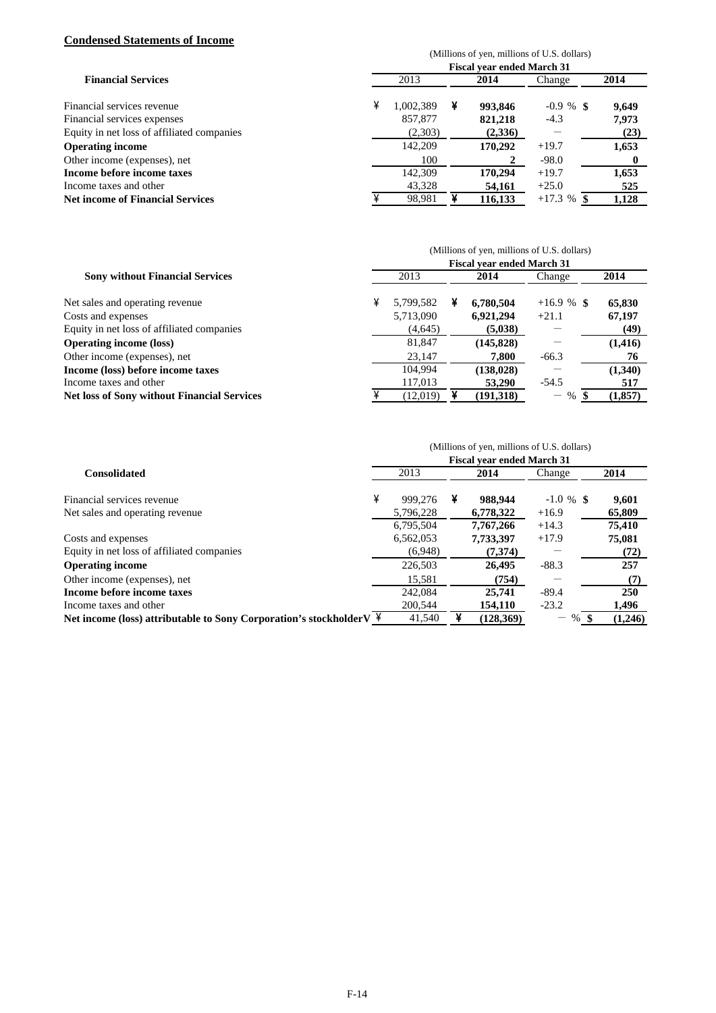## **Condensed Statements of Income**

|                                            | (Millions of yen, millions of U.S. dollars) |              |   |         |               |       |  |  |  |
|--------------------------------------------|---------------------------------------------|--------------|---|---------|---------------|-------|--|--|--|
|                                            | <b>Fiscal year ended March 31</b>           |              |   |         |               |       |  |  |  |
| <b>Financial Services</b>                  |                                             | 2013<br>2014 |   |         | Change        | 2014  |  |  |  |
| Financial services revenue                 | ¥                                           | 1.002.389    | ¥ | 993.846 | $-0.9\%$ \$   | 9,649 |  |  |  |
| Financial services expenses                |                                             | 857,877      |   | 821,218 | $-4.3$        | 7,973 |  |  |  |
| Equity in net loss of affiliated companies |                                             | (2,303)      |   | (2,336) |               | (23)  |  |  |  |
| <b>Operating income</b>                    |                                             | 142.209      |   | 170,292 | $+19.7$       | 1,653 |  |  |  |
| Other income (expenses), net               |                                             | 100          |   |         | $-98.0$       |       |  |  |  |
| Income before income taxes                 |                                             | 142,309      |   | 170,294 | $+19.7$       | 1,653 |  |  |  |
| Income taxes and other                     |                                             | 43,328       |   | 54,161  | $+25.0$       | 525   |  |  |  |
| <b>Net income of Financial Services</b>    |                                             | 98.981       |   | 116.133 | $+17.3 \%$ \$ | 1,128 |  |  |  |

|                                                    | (Millions of yen, millions of U.S. dollars) |                                   |   |            |               |          |  |  |  |
|----------------------------------------------------|---------------------------------------------|-----------------------------------|---|------------|---------------|----------|--|--|--|
|                                                    |                                             | <b>Fiscal year ended March 31</b> |   |            |               |          |  |  |  |
| <b>Sony without Financial Services</b>             |                                             | 2013                              |   | 2014       | Change        | 2014     |  |  |  |
| Net sales and operating revenue                    | ¥                                           | 5.799.582                         | ¥ | 6,780,504  | $+16.9 \%$ \$ | 65,830   |  |  |  |
| Costs and expenses                                 |                                             | 5,713,090                         |   | 6,921,294  | $+21.1$       | 67,197   |  |  |  |
| Equity in net loss of affiliated companies         |                                             | (4,645)                           |   | (5,038)    |               | (49)     |  |  |  |
| <b>Operating income (loss)</b>                     |                                             | 81,847                            |   | (145, 828) |               | (1, 416) |  |  |  |
| Other income (expenses), net                       |                                             | 23.147                            |   | 7.800      | $-66.3$       | 76       |  |  |  |
| Income (loss) before income taxes                  |                                             | 104.994                           |   | (138, 028) |               | (1,340)  |  |  |  |
| Income taxes and other                             |                                             | 117,013                           |   | 53,290     | $-54.5$       | 517      |  |  |  |
| <b>Net loss of Sony without Financial Services</b> |                                             | (12,019)                          |   | (191,318)  | $% \$<br>—    | (1, 857) |  |  |  |

## (Millions of yen, millions of U.S. dollars)

|                                                                                 | <b>Fiscal year ended March 31</b> |           |   |            |              |         |  |  |  |  |
|---------------------------------------------------------------------------------|-----------------------------------|-----------|---|------------|--------------|---------|--|--|--|--|
| <b>Consolidated</b>                                                             |                                   | 2013      |   | 2014       | Change       | 2014    |  |  |  |  |
| Financial services revenue                                                      | ¥                                 | 999.276   | ¥ | 988.944    | $-1.0 \%$ \$ | 9,601   |  |  |  |  |
| Net sales and operating revenue.                                                |                                   | 5,796,228 |   | 6,778,322  | $+16.9$      | 65,809  |  |  |  |  |
|                                                                                 |                                   | 6,795,504 |   | 7,767,266  | $+14.3$      | 75,410  |  |  |  |  |
| Costs and expenses                                                              |                                   | 6,562,053 |   | 7,733,397  | $+17.9$      | 75,081  |  |  |  |  |
| Equity in net loss of affiliated companies                                      |                                   | (6,948)   |   | (7,374)    |              | (72)    |  |  |  |  |
| <b>Operating income</b>                                                         |                                   | 226,503   |   | 26,495     | $-88.3$      | 257     |  |  |  |  |
| Other income (expenses), net                                                    |                                   | 15,581    |   | (754)      |              | (7)     |  |  |  |  |
| Income before income taxes                                                      |                                   | 242,084   |   | 25,741     | $-89.4$      | 250     |  |  |  |  |
| Income taxes and other                                                          |                                   | 200,544   |   | 154,110    | $-23.2$      | 1,496   |  |  |  |  |
| Net income (loss) attributable to Sony Corporation's stockholderu $\frac{1}{2}$ |                                   | 41,540    |   | (128, 369) | %            | (1,246) |  |  |  |  |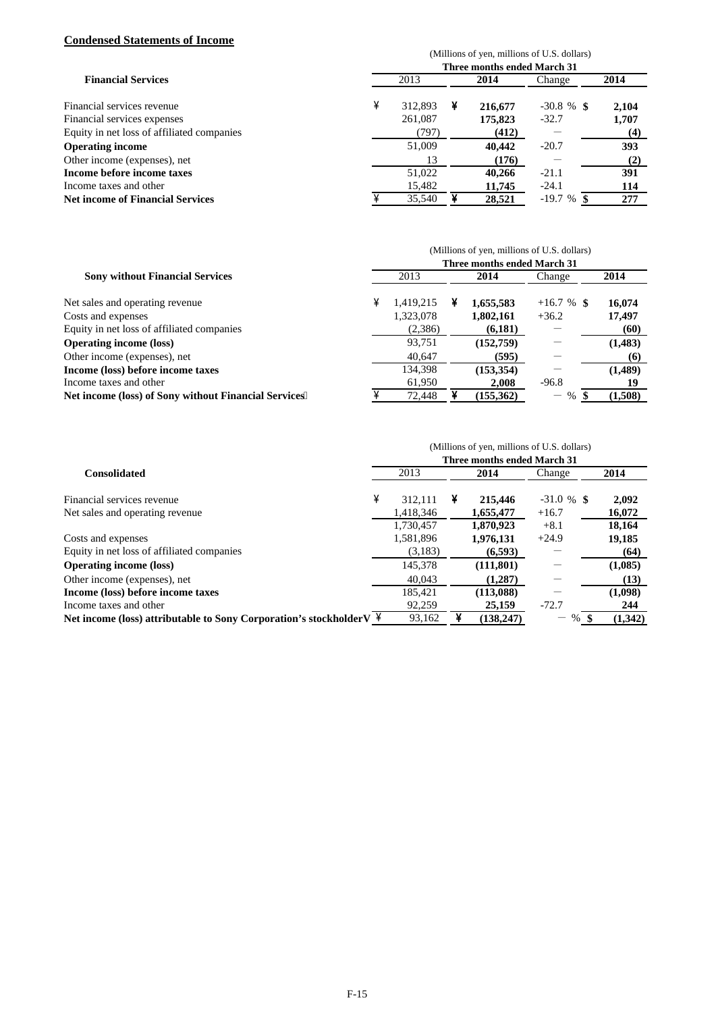## **Condensed Statements of Income**

|                                            | (Millions of yen, millions of U.S. dollars) |              |   |         |               |       |  |  |  |
|--------------------------------------------|---------------------------------------------|--------------|---|---------|---------------|-------|--|--|--|
|                                            | Three months ended March 31                 |              |   |         |               |       |  |  |  |
| <b>Financial Services</b>                  |                                             | 2013<br>2014 |   |         | Change        | 2014  |  |  |  |
| Financial services revenue                 | ¥                                           | 312,893      | ¥ | 216,677 | $-30.8 \%$ \$ | 2,104 |  |  |  |
| Financial services expenses                |                                             | 261,087      |   | 175,823 | $-32.7$       | 1,707 |  |  |  |
| Equity in net loss of affiliated companies |                                             | (797)        |   | (412)   |               | (4)   |  |  |  |
| <b>Operating income</b>                    |                                             | 51,009       |   | 40,442  | $-20.7$       | 393   |  |  |  |
| Other income (expenses), net               |                                             | 13           |   | (176)   |               | (2)   |  |  |  |
| Income before income taxes                 |                                             | 51,022       |   | 40,266  | $-21.1$       | 391   |  |  |  |
| Income taxes and other                     |                                             | 15,482       |   | 11,745  | $-24.1$       | 114   |  |  |  |
| <b>Net income of Financial Services</b>    |                                             | 35,540       |   | 28.521  | $-19.7%$      | 277   |  |  |  |

|                                                        | (Millions of yen, millions of U.S. dollars)<br>Three months ended March 31 |           |                |            |                           |         |  |  |  |
|--------------------------------------------------------|----------------------------------------------------------------------------|-----------|----------------|------------|---------------------------|---------|--|--|--|
|                                                        |                                                                            |           |                |            |                           |         |  |  |  |
| <b>Sony without Financial Services</b>                 |                                                                            | 2013      | 2014<br>Change |            |                           |         |  |  |  |
| Net sales and operating revenue                        | ¥                                                                          | 1.419.215 | ¥              | 1,655,583  | $+16.7%$                  | 16,074  |  |  |  |
| Costs and expenses                                     |                                                                            | 1,323,078 |                | 1,802,161  | $+36.2$                   | 17,497  |  |  |  |
| Equity in net loss of affiliated companies             |                                                                            | (2,386)   |                | (6,181)    |                           | (60)    |  |  |  |
| <b>Operating income (loss)</b>                         |                                                                            | 93,751    |                | (152,759)  |                           | (1,483) |  |  |  |
| Other income (expenses), net                           |                                                                            | 40.647    |                | (595)      |                           | (6)     |  |  |  |
| Income (loss) before income taxes                      |                                                                            | 134.398   |                | (153, 354) |                           | (1,489) |  |  |  |
| Income taxes and other                                 |                                                                            | 61,950    |                | 2.008      | $-96.8$                   | 19      |  |  |  |
| Net income (loss) of Sony without Financial Services'' |                                                                            | 72,448    |                | (155, 362) | $\%$<br>$\qquad \qquad -$ | (1,508) |  |  |  |

## (Millions of yen, millions of U.S. dollars)

|                                                                                 | Three months ended March 31 |           |   |            |               |         |  |  |  |
|---------------------------------------------------------------------------------|-----------------------------|-----------|---|------------|---------------|---------|--|--|--|
| <b>Consolidated</b>                                                             |                             | 2013      |   | 2014       | Change        | 2014    |  |  |  |
| Financial services revenue                                                      | ¥                           | 312.111   | ¥ | 215,446    | $-31.0 \%$ \$ | 2,092   |  |  |  |
| Net sales and operating revenue.                                                |                             | 1,418,346 |   | 1,655,477  | $+16.7$       | 16,072  |  |  |  |
|                                                                                 |                             | 1,730,457 |   | 1,870,923  | $+8.1$        | 18,164  |  |  |  |
| Costs and expenses                                                              |                             | 1,581,896 |   | 1,976,131  | $+24.9$       | 19,185  |  |  |  |
| Equity in net loss of affiliated companies                                      |                             | (3,183)   |   | (6, 593)   |               | (64)    |  |  |  |
| <b>Operating income (loss)</b>                                                  |                             | 145,378   |   | (111, 801) |               | (1,085) |  |  |  |
| Other income (expenses), net                                                    |                             | 40,043    |   | (1,287)    |               | (13)    |  |  |  |
| Income (loss) before income taxes                                               |                             | 185,421   |   | (113,088)  |               | (1,098) |  |  |  |
| Income taxes and other                                                          |                             | 92,259    |   | 25,159     | $-72.7$       | 244     |  |  |  |
| Net income (loss) attributable to Sony Corporation's stockholderu $\frac{1}{2}$ |                             | 93,162    |   | (138, 247) | %<br>-        | (1,342) |  |  |  |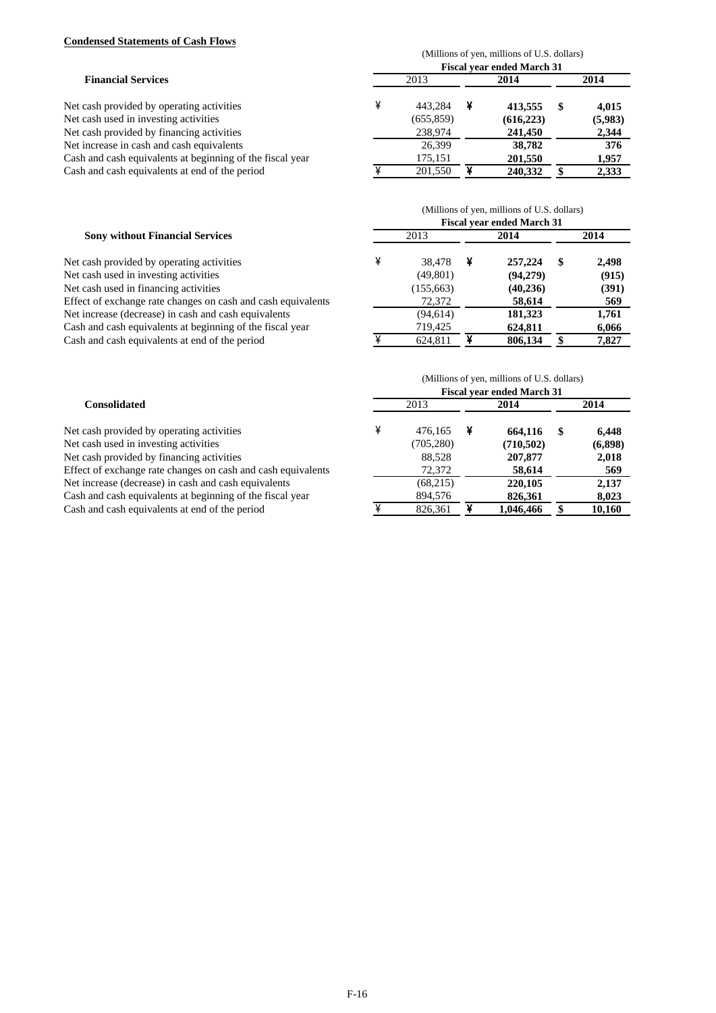## **Condensed Statements of Cash Flows**

|                                                           | (Millions of yen, millions of U.S. dollars)<br><b>Fiscal year ended March 31</b> |            |      |            |      |         |  |  |  |
|-----------------------------------------------------------|----------------------------------------------------------------------------------|------------|------|------------|------|---------|--|--|--|
| <b>Financial Services</b>                                 |                                                                                  | 2013       | 2014 |            | 2014 |         |  |  |  |
| Net cash provided by operating activities                 |                                                                                  | 443.284    |      | 413.555    | ж    | 4.015   |  |  |  |
| Net cash used in investing activities                     |                                                                                  | (655, 859) |      | (616, 223) |      | (5,983) |  |  |  |
| Net cash provided by financing activities                 |                                                                                  | 238,974    |      | 241,450    |      | 2,344   |  |  |  |
| Net increase in cash and cash equivalents                 |                                                                                  | 26.399     |      | 38,782     |      | 376     |  |  |  |
| Cash and cash equivalents at beginning of the fiscal year |                                                                                  | 175,151    |      | 201,550    |      | 1,957   |  |  |  |
| Cash and cash equivalents at end of the period            |                                                                                  | 201,550    |      | 240,332    |      | 2,333   |  |  |  |

|                                                              | (Millions of yen, millions of U.S. dollars)<br><b>Fiscal year ended March 31</b> |            |   |           |    |       |  |  |
|--------------------------------------------------------------|----------------------------------------------------------------------------------|------------|---|-----------|----|-------|--|--|
| <b>Sony without Financial Services</b>                       |                                                                                  | 2013       |   | 2014      |    | 2014  |  |  |
| Net cash provided by operating activities                    | ¥                                                                                | 38.478     | ¥ | 257,224   | \$ | 2,498 |  |  |
| Net cash used in investing activities                        |                                                                                  | (49, 801)  |   | (94,279)  |    | (915) |  |  |
| Net cash used in financing activities                        |                                                                                  | (155, 663) |   | (40, 236) |    | (391) |  |  |
| Effect of exchange rate changes on cash and cash equivalents |                                                                                  | 72,372     |   | 58,614    |    | 569   |  |  |
| Net increase (decrease) in cash and cash equivalents         |                                                                                  | (94, 614)  |   | 181,323   |    | 1,761 |  |  |
| Cash and cash equivalents at beginning of the fiscal year    |                                                                                  | 719,425    |   | 624,811   |    | 6,066 |  |  |
| Cash and cash equivalents at end of the period               |                                                                                  | 624,811    |   | 806,134   |    | 7,827 |  |  |

|   | 2013       |  | 2014      |   | 2014                                                                             |  |  |  |
|---|------------|--|-----------|---|----------------------------------------------------------------------------------|--|--|--|
| ¥ | 476.165    |  | 664.116   | S | 6,448                                                                            |  |  |  |
|   | (705, 280) |  | (710,502) |   | (6,898)                                                                          |  |  |  |
|   | 88,528     |  | 207,877   |   | 2,018                                                                            |  |  |  |
|   | 72,372     |  | 58,614    |   | 569                                                                              |  |  |  |
|   | (68,215)   |  | 220,105   |   | 2,137                                                                            |  |  |  |
|   | 894,576    |  | 826,361   |   | 8,023                                                                            |  |  |  |
|   | 826,361    |  | 1,046,466 |   | 10,160                                                                           |  |  |  |
|   |            |  |           |   | (Millions of yen, millions of U.S. dollars)<br><b>Fiscal year ended March 31</b> |  |  |  |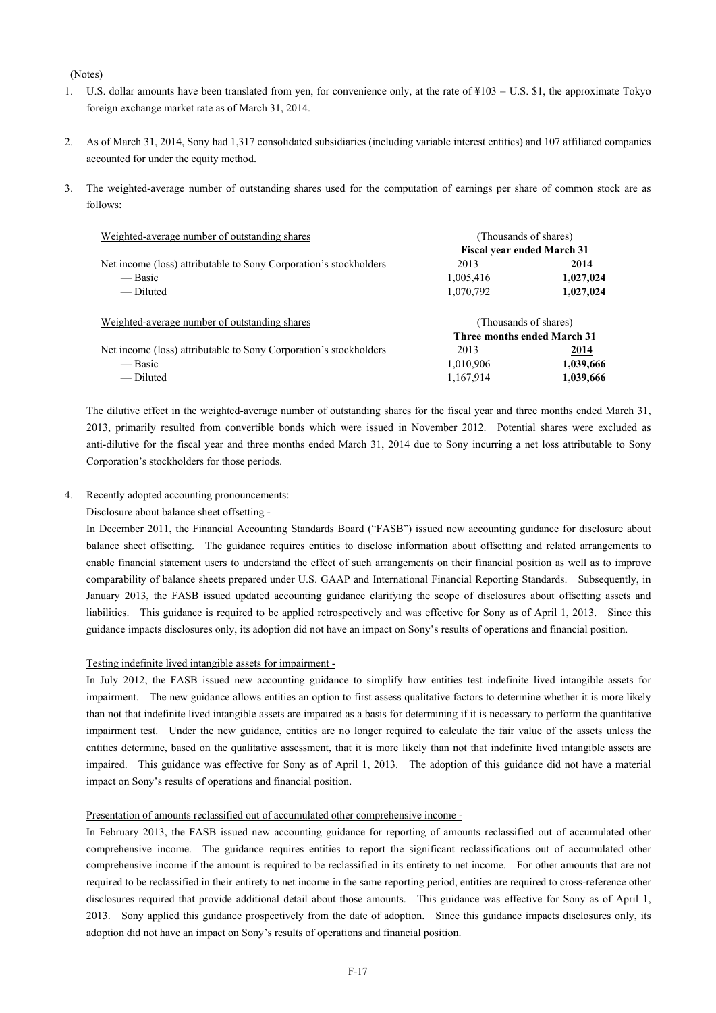### (Notes)

- 1. U.S. dollar amounts have been translated from yen, for convenience only, at the rate of  $\frac{103}{2} = U.S.$  \$1, the approximate Tokyo foreign exchange market rate as of March 31, 2014.
- 2. As of March 31, 2014, Sony had 1,317 consolidated subsidiaries (including variable interest entities) and 107 affiliated companies accounted for under the equity method.
- 3. The weighted-average number of outstanding shares used for the computation of earnings per share of common stock are as follows:

| Weighted-average number of outstanding shares                     | (Thousands of shares)             |           |
|-------------------------------------------------------------------|-----------------------------------|-----------|
|                                                                   | <b>Fiscal year ended March 31</b> |           |
| Net income (loss) attributable to Sony Corporation's stockholders | 2013                              | 2014      |
| — Basic                                                           | 1,005,416                         | 1,027,024 |
| — Diluted                                                         | 1,070,792                         | 1,027,024 |
| Weighted-average number of outstanding shares                     | (Thousands of shares)             |           |
|                                                                   | Three months ended March 31       |           |
| Net income (loss) attributable to Sony Corporation's stockholders | 2013                              | 2014      |
| — Basic                                                           | 1,010,906                         | 1,039,666 |
| — Diluted                                                         | 1,167,914                         | 1,039,666 |

The dilutive effect in the weighted-average number of outstanding shares for the fiscal year and three months ended March 31, 2013, primarily resulted from convertible bonds which were issued in November 2012. Potential shares were excluded as anti-dilutive for the fiscal year and three months ended March 31, 2014 due to Sony incurring a net loss attributable to Sony Corporation's stockholders for those periods.

4. Recently adopted accounting pronouncements:

#### Disclosure about balance sheet offsetting -

In December 2011, the Financial Accounting Standards Board ("FASB") issued new accounting guidance for disclosure about balance sheet offsetting. The guidance requires entities to disclose information about offsetting and related arrangements to enable financial statement users to understand the effect of such arrangements on their financial position as well as to improve comparability of balance sheets prepared under U.S. GAAP and International Financial Reporting Standards. Subsequently, in January 2013, the FASB issued updated accounting guidance clarifying the scope of disclosures about offsetting assets and liabilities. This guidance is required to be applied retrospectively and was effective for Sony as of April 1, 2013. Since this guidance impacts disclosures only, its adoption did not have an impact on Sony's results of operations and financial position.

#### Testing indefinite lived intangible assets for impairment -

In July 2012, the FASB issued new accounting guidance to simplify how entities test indefinite lived intangible assets for impairment. The new guidance allows entities an option to first assess qualitative factors to determine whether it is more likely than not that indefinite lived intangible assets are impaired as a basis for determining if it is necessary to perform the quantitative impairment test. Under the new guidance, entities are no longer required to calculate the fair value of the assets unless the entities determine, based on the qualitative assessment, that it is more likely than not that indefinite lived intangible assets are impaired. This guidance was effective for Sony as of April 1, 2013. The adoption of this guidance did not have a material impact on Sony's results of operations and financial position.

#### Presentation of amounts reclassified out of accumulated other comprehensive income -

In February 2013, the FASB issued new accounting guidance for reporting of amounts reclassified out of accumulated other comprehensive income. The guidance requires entities to report the significant reclassifications out of accumulated other comprehensive income if the amount is required to be reclassified in its entirety to net income. For other amounts that are not required to be reclassified in their entirety to net income in the same reporting period, entities are required to cross-reference other disclosures required that provide additional detail about those amounts. This guidance was effective for Sony as of April 1, 2013. Sony applied this guidance prospectively from the date of adoption. Since this guidance impacts disclosures only, its adoption did not have an impact on Sony's results of operations and financial position.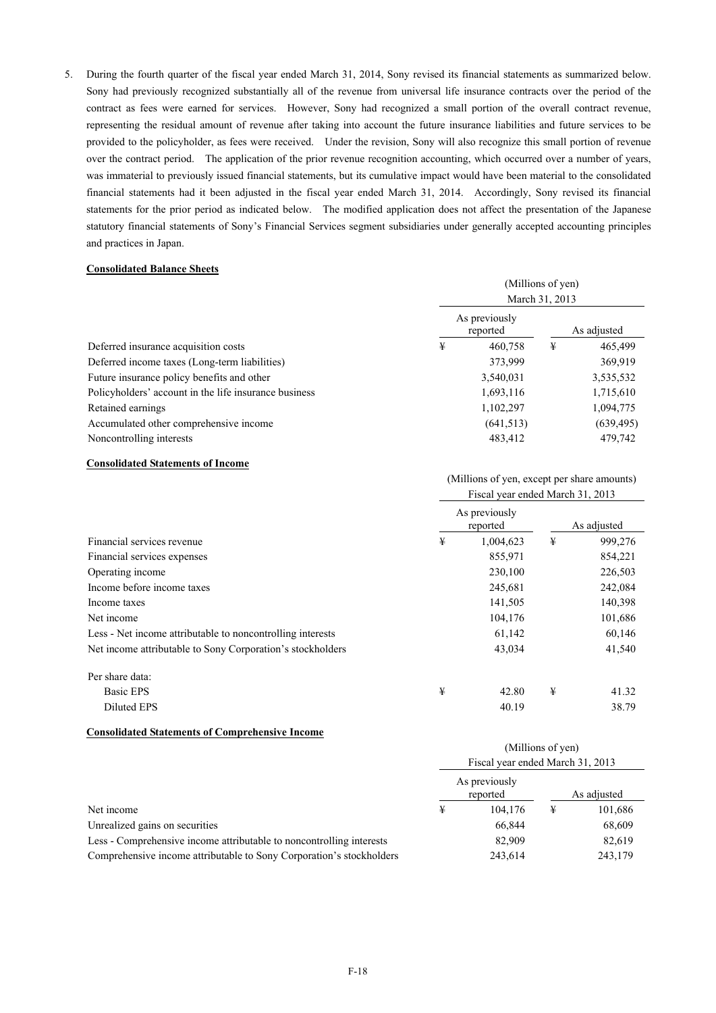5. During the fourth quarter of the fiscal year ended March 31, 2014, Sony revised its financial statements as summarized below. Sony had previously recognized substantially all of the revenue from universal life insurance contracts over the period of the contract as fees were earned for services. However, Sony had recognized a small portion of the overall contract revenue, representing the residual amount of revenue after taking into account the future insurance liabilities and future services to be provided to the policyholder, as fees were received. Under the revision, Sony will also recognize this small portion of revenue over the contract period. The application of the prior revenue recognition accounting, which occurred over a number of years, was immaterial to previously issued financial statements, but its cumulative impact would have been material to the consolidated financial statements had it been adjusted in the fiscal year ended March 31, 2014. Accordingly, Sony revised its financial statements for the prior period as indicated below. The modified application does not affect the presentation of the Japanese statutory financial statements of Sony's Financial Services segment subsidiaries under generally accepted accounting principles and practices in Japan.

### **Consolidated Balance Sheets**

| (Millions of yen)         |            |   |             |  |  |  |
|---------------------------|------------|---|-------------|--|--|--|
| March 31, 2013            |            |   |             |  |  |  |
| As previously<br>reported |            |   | As adjusted |  |  |  |
| ¥                         | 460,758    | ¥ | 465,499     |  |  |  |
|                           | 373,999    |   | 369,919     |  |  |  |
|                           | 3,540,031  |   | 3,535,532   |  |  |  |
|                           | 1,693,116  |   | 1,715,610   |  |  |  |
|                           | 1,102,297  |   | 1,094,775   |  |  |  |
|                           | (641, 513) |   | (639, 495)  |  |  |  |
|                           | 483,412    |   | 479,742     |  |  |  |
|                           |            |   |             |  |  |  |

(Millions of yen, except per share amounts)

### **Consolidated Statements of Income**

|                                                            |   | Fiscal year ended March 31, 2013 |   |             |  |  |  |
|------------------------------------------------------------|---|----------------------------------|---|-------------|--|--|--|
|                                                            |   | As previously<br>reported        |   | As adjusted |  |  |  |
| Financial services revenue                                 | ¥ | 1,004,623                        | ¥ | 999,276     |  |  |  |
| Financial services expenses                                |   | 855,971                          |   | 854,221     |  |  |  |
| Operating income                                           |   | 230,100                          |   | 226,503     |  |  |  |
| Income before income taxes                                 |   | 245,681                          |   | 242,084     |  |  |  |
| Income taxes                                               |   | 141,505                          |   | 140,398     |  |  |  |
| Net income                                                 |   | 104,176                          |   | 101,686     |  |  |  |
| Less - Net income attributable to noncontrolling interests |   | 61,142                           |   | 60,146      |  |  |  |
| Net income attributable to Sony Corporation's stockholders |   | 43,034                           |   | 41,540      |  |  |  |
| Per share data:                                            |   |                                  |   |             |  |  |  |
| <b>Basic EPS</b>                                           | ¥ | 42.80                            | ¥ | 41.32       |  |  |  |
| Diluted EPS                                                |   | 40.19                            |   | 38.79       |  |  |  |

#### **Consolidated Statements of Comprehensive Income**

|                                                                      | (Millions of yen)<br>Fiscal year ended March 31, 2013 |                           |             |         |  |
|----------------------------------------------------------------------|-------------------------------------------------------|---------------------------|-------------|---------|--|
|                                                                      |                                                       | As previously<br>reported | As adjusted |         |  |
| Net income                                                           | ¥                                                     | 104.176                   | ¥           | 101,686 |  |
| Unrealized gains on securities                                       |                                                       | 66.844                    |             | 68,609  |  |
| Less - Comprehensive income attributable to noncontrolling interests |                                                       | 82.909                    |             | 82,619  |  |
| Comprehensive income attributable to Sony Corporation's stockholders |                                                       | 243,614                   |             | 243,179 |  |